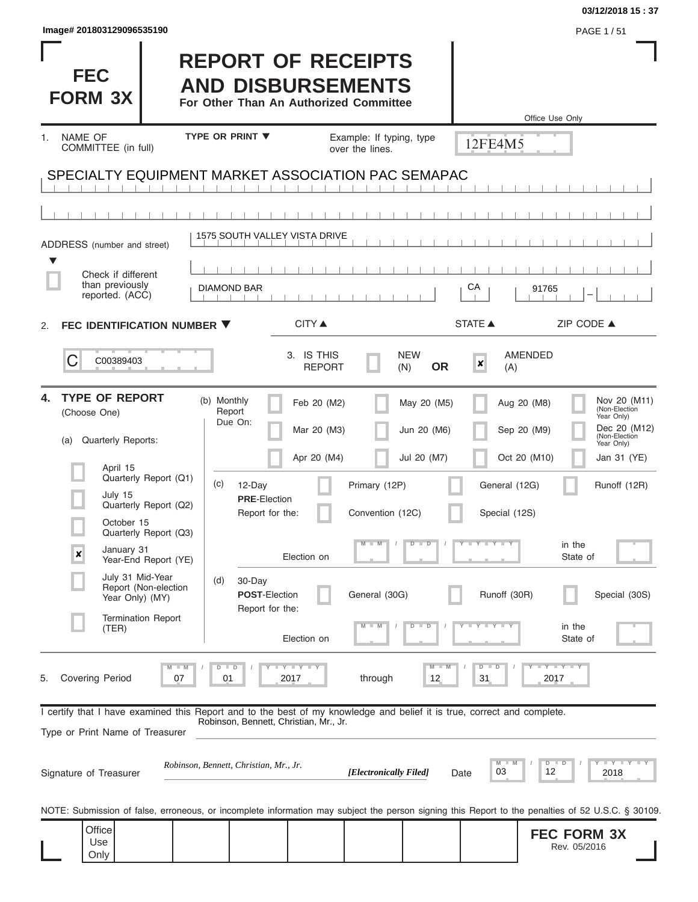| Image# 201803129096535190                                                                                                                                                                                                                        |                                                                                                            |                                                                                                                   |                                                      |                                                                                         | PAGE 1/51                                                                                                                                       |
|--------------------------------------------------------------------------------------------------------------------------------------------------------------------------------------------------------------------------------------------------|------------------------------------------------------------------------------------------------------------|-------------------------------------------------------------------------------------------------------------------|------------------------------------------------------|-----------------------------------------------------------------------------------------|-------------------------------------------------------------------------------------------------------------------------------------------------|
| <b>FEC</b><br><b>FORM 3X</b>                                                                                                                                                                                                                     | <b>REPORT OF RECEIPTS</b><br><b>AND DISBURSEMENTS</b><br>For Other Than An Authorized Committee            |                                                                                                                   |                                                      |                                                                                         | Office Use Only                                                                                                                                 |
| <b>NAME OF</b><br>1.<br>COMMITTEE (in full)                                                                                                                                                                                                      | <b>TYPE OR PRINT ▼</b>                                                                                     | Example: If typing, type<br>over the lines.                                                                       |                                                      | 12FE4M5                                                                                 |                                                                                                                                                 |
| SPECIALTY EQUIPMENT MARKET ASSOCIATION PAC SEMAPAC                                                                                                                                                                                               |                                                                                                            |                                                                                                                   |                                                      |                                                                                         |                                                                                                                                                 |
|                                                                                                                                                                                                                                                  |                                                                                                            |                                                                                                                   |                                                      |                                                                                         |                                                                                                                                                 |
| ADDRESS (number and street)                                                                                                                                                                                                                      | 1575 SOUTH VALLEY VISTA DRIVE                                                                              |                                                                                                                   |                                                      |                                                                                         |                                                                                                                                                 |
| Check if different<br>than previously<br>reported. (ACC)                                                                                                                                                                                         | <b>DIAMOND BAR</b>                                                                                         |                                                                                                                   | СA                                                   | 91765                                                                                   |                                                                                                                                                 |
| FEC IDENTIFICATION NUMBER ▼<br>2.                                                                                                                                                                                                                | <b>CITY</b> ▲                                                                                              |                                                                                                                   | <b>STATE ▲</b>                                       |                                                                                         | ZIP CODE ▲                                                                                                                                      |
| С<br>C00389403                                                                                                                                                                                                                                   | 3. IS THIS                                                                                                 | <b>REPORT</b>                                                                                                     | <b>NEW</b><br><b>OR</b><br>(N)                       | <b>AMENDED</b><br>×<br>(A)                                                              |                                                                                                                                                 |
| <b>TYPE OF REPORT</b><br>4.<br>(Choose One)<br>Quarterly Reports:<br>(a)<br>April 15<br>Quarterly Report (Q1)<br>July 15<br>Quarterly Report (Q2)<br>October 15<br>Quarterly Report (Q3)<br>January 31<br>$\pmb{\times}$<br>Year-End Report (YE) | (b) Monthly<br>Report<br>Due On:<br>(c)<br>12-Day<br><b>PRE-Election</b><br>Report for the:<br>Election on | Feb 20 (M2)<br>Mar 20 (M3)<br>Apr 20 (M4)<br>Primary (12P)<br>Convention (12C)<br>$\overline{\mathsf{M}}$<br>$-M$ | May 20 (M5)<br>Jun 20 (M6)<br>Jul 20 (M7)<br>$D$ $D$ | Aug 20 (M8)<br>Sep 20 (M9)<br>Oct 20 (M10)<br>General (12G)<br>Special (12S)<br>Y I Y I | Nov 20 (M11)<br>(Non-Election<br>Year Only)<br>Dec 20 (M12)<br>(Non-Election<br>Year Only)<br>Jan 31 (YE)<br>Runoff (12R)<br>in the<br>State of |
| July 31 Mid-Year<br>Report (Non-election<br>Year Only) (MY)<br><b>Termination Report</b><br>(TER)                                                                                                                                                | 30-Day<br>(d)<br><b>POST-Election</b><br>Report for the:                                                   | General (30G)                                                                                                     | $\overline{D}$                                       | Runoff (30R)<br><b>TELEVISION</b>                                                       | Special (30S)<br>in the                                                                                                                         |
| <b>Covering Period</b><br>5.<br>07                                                                                                                                                                                                               | Election on<br>Y I Y I Y<br>D<br>2017<br>01                                                                | through                                                                                                           | 12                                                   | $\overline{D}$<br>$\blacksquare$<br>31                                                  | State of<br>$Y$ $Y$ $Y$ $Y$<br>2017                                                                                                             |
| I certify that I have examined this Report and to the best of my knowledge and belief it is true, correct and complete.<br>Type or Print Name of Treasurer<br>Signature of Treasurer                                                             | Robinson, Bennett, Christian, Mr., Jr.<br>Robinson, Bennett, Christian, Mr., Jr.                           | [Electronically Filed]                                                                                            | Date                                                 | M<br>03<br>12                                                                           | $\mathbf{I}$ $\mathbf{Y}$ $\mathbf{I}$ $\mathbf{Y}$ $\mathbf{I}$ $\mathbf{Y}$<br>$D$ $D$<br>2018                                                |
|                                                                                                                                                                                                                                                  |                                                                                                            |                                                                                                                   |                                                      |                                                                                         |                                                                                                                                                 |
| NOTE: Submission of false, erroneous, or incomplete information may subject the person signing this Report to the penalties of 52 U.S.C. § 30109.<br>Office<br>Use<br>Only                                                                       |                                                                                                            |                                                                                                                   |                                                      |                                                                                         | <b>FEC FORM 3X</b><br>Rev. 05/2016                                                                                                              |

**03/12/2018 15 : 37**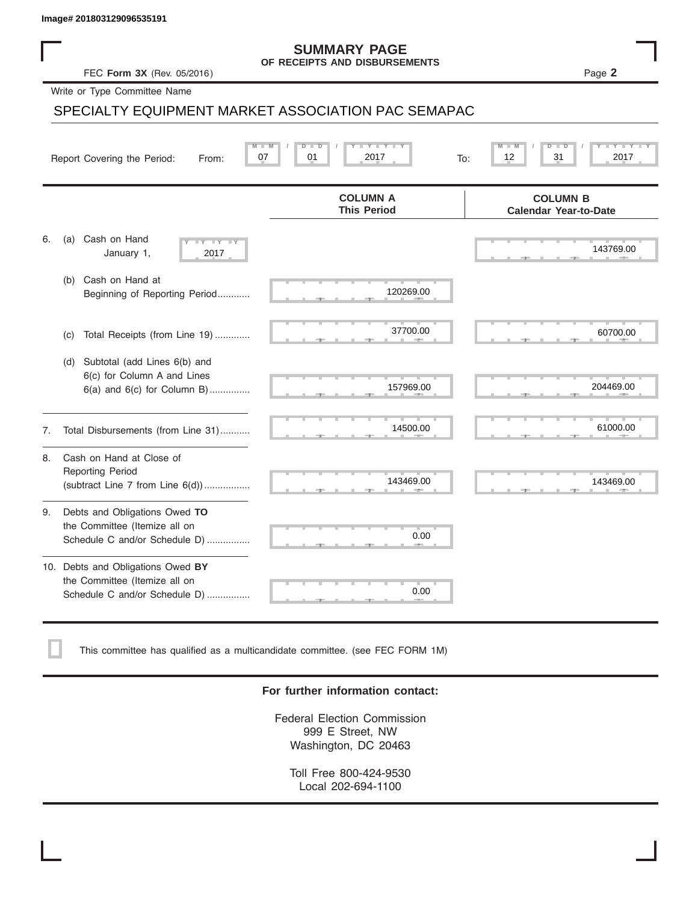### **SUMMARY PAGE OF RECEIPTS AND DISBURSEMENTS**

## SPECIALTY EQUIPMENT MARKET ASSOCIATION PAC SEMAPAC

|    | Image# 201803129096535191                                                                             |                                                      |                                                 |
|----|-------------------------------------------------------------------------------------------------------|------------------------------------------------------|-------------------------------------------------|
|    | FEC Form 3X (Rev. 05/2016)                                                                            | <b>SUMMARY PAGE</b><br>OF RECEIPTS AND DISBURSEMENTS | Page 2                                          |
|    | Write or Type Committee Name                                                                          |                                                      |                                                 |
|    |                                                                                                       | SPECIALTY EQUIPMENT MARKET ASSOCIATION PAC SEMAPAC   |                                                 |
|    | Report Covering the Period:<br>From:                                                                  | Y Y "<br>D<br>2017<br>07<br>01<br>To:                | 31<br>2017<br>12                                |
|    |                                                                                                       | <b>COLUMN A</b><br><b>This Period</b>                | <b>COLUMN B</b><br><b>Calendar Year-to-Date</b> |
| 6. | Cash on Hand<br>(a)<br>$-Y - Y - IY$<br>January 1,<br>2017                                            |                                                      | 143769.00                                       |
|    | Cash on Hand at<br>(b)<br>Beginning of Reporting Period                                               | 120269.00                                            |                                                 |
|    | Total Receipts (from Line 19)<br>(c)                                                                  | 37700.00                                             | 60700.00                                        |
|    | Subtotal (add Lines 6(b) and<br>(d)<br>6(c) for Column A and Lines<br>$6(a)$ and $6(c)$ for Column B) | 157969.00                                            | 204469.00                                       |
| 7. | Total Disbursements (from Line 31)                                                                    | 14500.00                                             | 61000.00                                        |
| 8. | Cash on Hand at Close of<br><b>Reporting Period</b><br>(subtract Line $7$ from Line $6(d)$ )          | 143469.00                                            | 143469.00                                       |
| 9. | Debts and Obligations Owed TO<br>the Committee (Itemize all on<br>Schedule C and/or Schedule D)       | 0.00                                                 |                                                 |
|    | 10. Debts and Obligations Owed BY<br>the Committee (Itemize all on<br>Schedule C and/or Schedule D)   | т<br>0.00                                            |                                                 |

This committee has qualified as a multicandidate committee. (see FEC FORM 1M)

### **For further information contact:**

Federal Election Commission 999 E Street, NW Washington, DC 20463

Toll Free 800-424-9530 Local 202-694-1100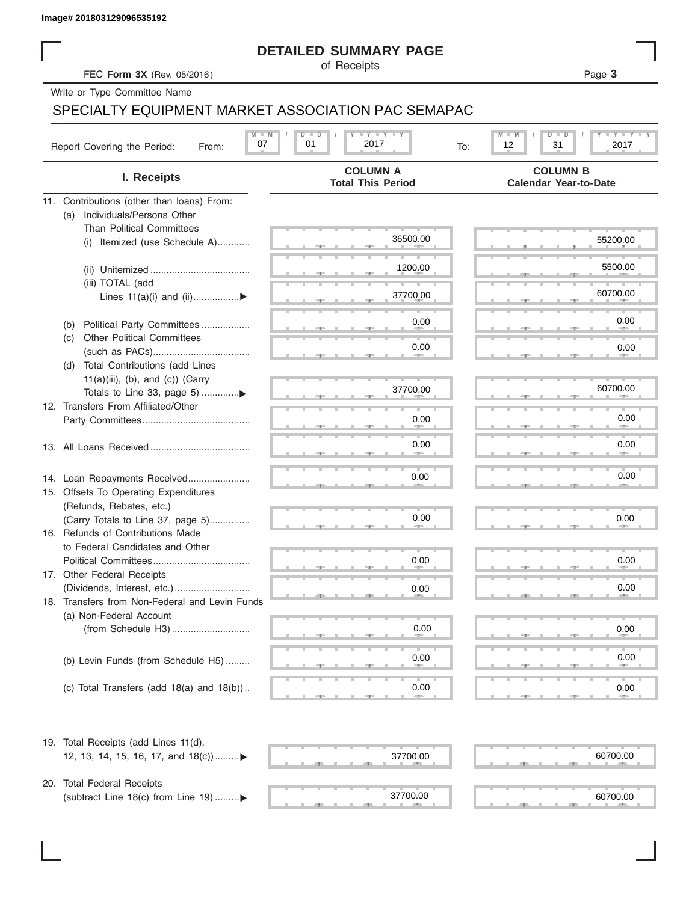### **DETAILED SUMMARY PAGE**

### SPECIALTY EQUIPMENT MARKET ASSOCIATION PAC SEMAPAC

|                                                                           | <b>DETAILED SUMMARY PAGE</b>       |                                                          |
|---------------------------------------------------------------------------|------------------------------------|----------------------------------------------------------|
| FEC Form 3X (Rev. 05/2016)                                                | of Receipts                        | Page 3                                                   |
| Write or Type Committee Name                                              |                                    |                                                          |
| SPECIALTY EQUIPMENT MARKET ASSOCIATION PAC SEMAPAC                        |                                    |                                                          |
| $M - M$                                                                   | $I - Y - I - Y - I - Y$<br>$D$ $D$ | <b>LYLYLY</b><br>$M$ $M$<br>D<br>$\overline{\mathsf{D}}$ |
| 07<br>Report Covering the Period:<br>From:                                | 01<br>2017<br>To:                  | 12<br>31<br>2017                                         |
|                                                                           | <b>COLUMN A</b>                    | <b>COLUMN B</b>                                          |
| I. Receipts                                                               | <b>Total This Period</b>           | <b>Calendar Year-to-Date</b>                             |
| 11. Contributions (other than loans) From:                                |                                    |                                                          |
| Individuals/Persons Other<br>(a)                                          |                                    |                                                          |
| <b>Than Political Committees</b>                                          |                                    |                                                          |
| (i) Itemized (use Schedule A)                                             | 36500.00                           | 55200.00                                                 |
|                                                                           | 1200.00                            | 5500.00                                                  |
| (iii) TOTAL (add                                                          |                                    |                                                          |
| Lines 11(a)(i) and (ii)▶                                                  | 37700.00                           | 60700.00                                                 |
|                                                                           |                                    | 0.00                                                     |
| Political Party Committees<br>(b)<br><b>Other Political Committees</b>    | 0.00                               |                                                          |
| (C)                                                                       | 0.00                               | 0.00                                                     |
| Total Contributions (add Lines<br>(d)                                     |                                    |                                                          |
| $11(a)(iii)$ , (b), and (c)) (Carry                                       |                                    |                                                          |
| Totals to Line 33, page 5) ▶                                              | 37700.00                           | 60700.00                                                 |
| 12. Transfers From Affiliated/Other                                       |                                    |                                                          |
|                                                                           | 0.00                               | 0.00                                                     |
|                                                                           | 0.00                               | 0.00                                                     |
|                                                                           |                                    |                                                          |
| 14. Loan Repayments Received                                              | 0.00                               | 0.00                                                     |
| 15. Offsets To Operating Expenditures                                     |                                    |                                                          |
| (Refunds, Rebates, etc.)                                                  |                                    |                                                          |
| (Carry Totals to Line 37, page 5)                                         | 0.00                               | 0.00                                                     |
| 16. Refunds of Contributions Made                                         |                                    |                                                          |
| to Federal Candidates and Other                                           |                                    |                                                          |
| Political Committees                                                      | 0.00                               | 0.00                                                     |
| 17. Other Federal Receipts                                                |                                    |                                                          |
|                                                                           | 0.00                               | 0.00                                                     |
| 18. Transfers from Non-Federal and Levin Funds<br>(a) Non-Federal Account |                                    |                                                          |
|                                                                           | 0.00                               | 0.00                                                     |
|                                                                           |                                    |                                                          |
| (b) Levin Funds (from Schedule H5)                                        | 0.00                               | 0.00                                                     |
|                                                                           |                                    |                                                          |
| (c) Total Transfers (add $18(a)$ and $18(b)$ )                            | 0.00                               | 0.00                                                     |
|                                                                           |                                    |                                                          |
| 19. Total Receipts (add Lines 11(d),                                      |                                    |                                                          |
| 12, 13, 14, 15, 16, 17, and 18(c))                                        | 37700.00                           | 60700.00                                                 |
|                                                                           |                                    |                                                          |
| 20. Total Federal Receipts                                                |                                    |                                                          |
| (subtract Line 18(c) from Line 19) ▶                                      | 37700.00                           | 60700.00                                                 |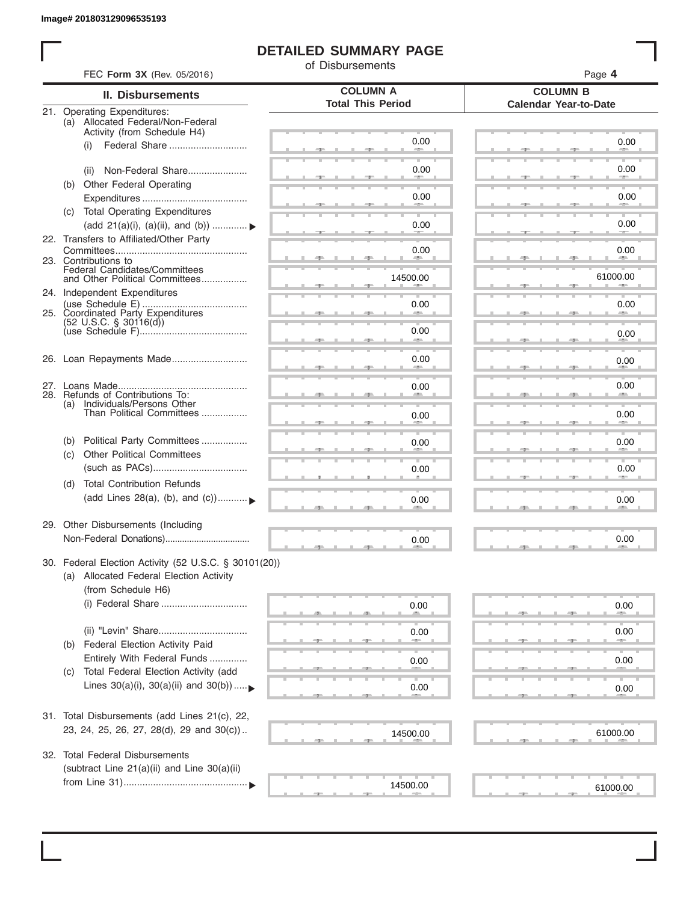I

### **DETAILED SUMMARY PAGE**

of Disbursements

| FEC Form 3X (Rev. 05/2016)                                                                      |                                             | Page 4                                          |
|-------------------------------------------------------------------------------------------------|---------------------------------------------|-------------------------------------------------|
| <b>II. Disbursements</b>                                                                        | <b>COLUMN A</b><br><b>Total This Period</b> | <b>COLUMN B</b><br><b>Calendar Year-to-Date</b> |
| 21. Operating Expenditures:<br>(a) Allocated Federal/Non-Federal<br>Activity (from Schedule H4) |                                             |                                                 |
| Federal Share<br>(i)                                                                            | 0.00                                        | 0.00                                            |
| Non-Federal Share<br>(ii)                                                                       | 0.00                                        | 0.00                                            |
| (b) Other Federal Operating                                                                     | 0.00                                        | 0.00                                            |
| (c) Total Operating Expenditures<br>(add 21(a)(i), (a)(ii), and (b))  ▶                         | 0.00                                        | 0.00                                            |
| 22. Transfers to Affiliated/Other Party                                                         |                                             |                                                 |
| 23. Contributions to                                                                            | 0.00                                        | 0.00                                            |
| Federal Candidates/Committees<br>and Other Political Committees<br>24. Independent Expenditures | 14500.00                                    | 61000.00                                        |
| 25. Coordinated Party Expenditures                                                              | 0.00                                        | 0.00                                            |
| $(52 \text{ U.S.C. }$ § 30116(d))                                                               | 0.00<br><b>Allen</b>                        | 0.00                                            |
| 26. Loan Repayments Made                                                                        | 0.00                                        | 0.00                                            |
|                                                                                                 | 0.00                                        | 0.00                                            |
| 28. Refunds of Contributions To:<br>(a) Individuals/Persons Other<br>Than Political Committees  | 0.00                                        | 0.00                                            |
| Political Party Committees<br>(b)                                                               | 0.00                                        | 0.00                                            |
| <b>Other Political Committees</b><br>(c)                                                        | 0.00                                        | 0.00                                            |
| <b>Total Contribution Refunds</b><br>(d)<br>(add Lines 28(a), (b), and (c))                     | 0.00                                        | 0.00                                            |
| 29. Other Disbursements (Including                                                              | 0.00                                        | 0.00                                            |
| 30. Federal Election Activity (52 U.S.C. § 30101(20))                                           |                                             |                                                 |
| (a) Allocated Federal Election Activity<br>(from Schedule H6)                                   |                                             |                                                 |
| (i) Federal Share                                                                               | 0.00                                        | 0.00                                            |
| Federal Election Activity Paid<br>(b)                                                           | 0.00                                        | 0.00                                            |
| Entirely With Federal Funds                                                                     | 0.00                                        | 0.00                                            |
| Total Federal Election Activity (add<br>(C)<br>Lines $30(a)(i)$ , $30(a)(ii)$ and $30(b))$      | 0.00                                        | 0.00                                            |
| 31. Total Disbursements (add Lines 21(c), 22,                                                   |                                             |                                                 |
| 23, 24, 25, 26, 27, 28(d), 29 and 30(c))                                                        | 14500.00                                    | 61000.00                                        |
| 32. Total Federal Disbursements<br>(subtract Line 21(a)(ii) and Line 30(a)(ii)                  |                                             |                                                 |
|                                                                                                 | 14500.00                                    | 61000.00                                        |
|                                                                                                 |                                             |                                                 |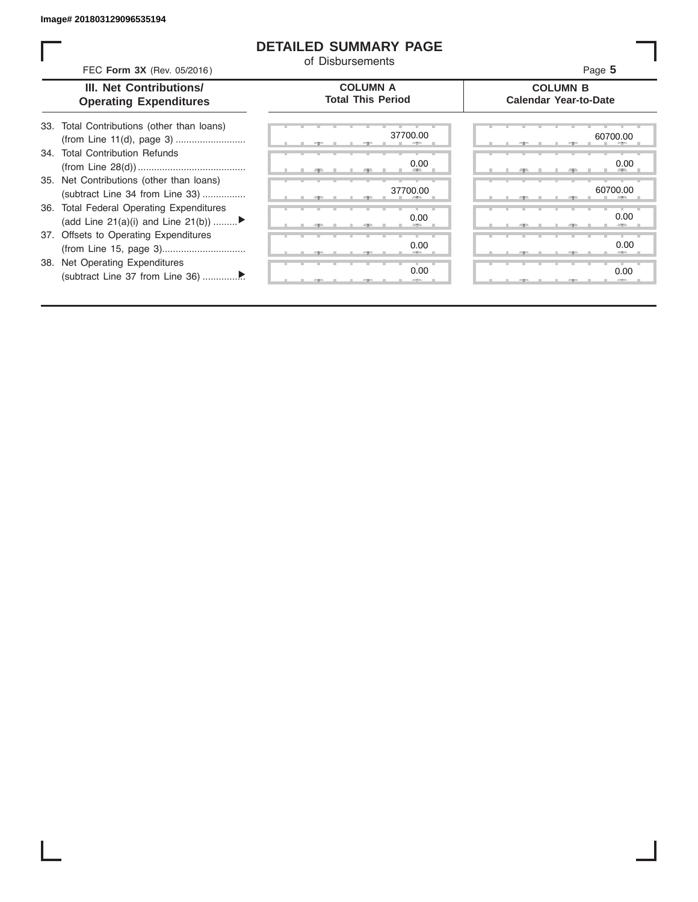ı

### **DETAILED SUMMARY PAGE**

of Disbursements

FEC **Form 3X** (Rev. 05/2016) Page **5**

|  | <b>III. Net Contributions/</b> |
|--|--------------------------------|
|  | <b>Operating Expenditures</b>  |

### **COLUMN A Total This Period**

### **COLUMN B Calendar Year-to-Date**

| 33. Total Contributions (other than loans) |
|--------------------------------------------|
| 34. Total Contribution Refunds             |
|                                            |
| 35. Net Contributions (other than loans)   |
| (subtract Line 34 from Line 33)            |
| 36. Total Federal Operating Expenditures   |
| (add Line 21(a)(i) and Line 21(b))         |
| 37. Offsets to Operating Expenditures      |
|                                            |
| 38. Net Operating Expenditures             |
|                                            |

|        | 37700.00<br>-2     | 60700.0<br>$-5-$             |
|--------|--------------------|------------------------------|
|        | 0.00<br><b>ALL</b> | 0.0                          |
|        | 37700.00           | 60700.0<br><b>ALL</b><br>- 5 |
|        | 0.00<br>-          | 0.0<br>-                     |
|        | 0.00<br>--         | 0. <sub>C</sub>              |
| ٠<br>и | ٠<br>0.00<br>$-=-$ | ш<br>0.0<br>--               |

|       | 37700.00           | 60700.00<br>-                    |  |
|-------|--------------------|----------------------------------|--|
|       | 0.00<br><b>ALL</b> | 0.00<br><b>All Street</b><br>49. |  |
|       | 37700.00<br>÷      | 60700.00                         |  |
|       | 0.00<br>-          | 0.00<br><b>Allen</b>             |  |
|       | 0.00               | 0.00<br>-                        |  |
| $-7-$ | 0.00<br>$-=-$      | 0.00<br>$-2-$                    |  |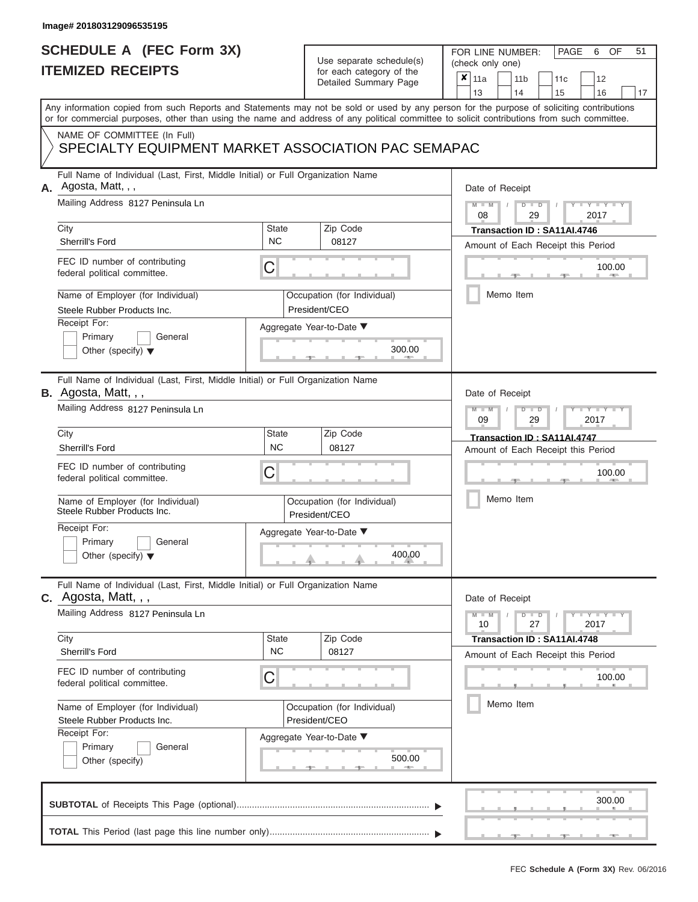## **SCHEDULE A (FEC Form 3X) ITEMIZED RECEIPTS**

# Use separate schedule(s)

| SCHEDULE A (FEC Form 3X) |                                                                                                                                                                                                                                                                                         | Use separate schedule(s)  | 51<br>FOR LINE NUMBER:<br>PAGE<br>OF<br>6<br>(check only one) |                                                                                      |
|--------------------------|-----------------------------------------------------------------------------------------------------------------------------------------------------------------------------------------------------------------------------------------------------------------------------------------|---------------------------|---------------------------------------------------------------|--------------------------------------------------------------------------------------|
|                          | <b>ITEMIZED RECEIPTS</b>                                                                                                                                                                                                                                                                |                           | for each category of the<br>Detailed Summary Page             | ×<br>11a<br>11 <sub>b</sub><br>12<br>11 <sub>c</sub><br>13<br>14<br>15<br>16<br>17   |
|                          | Any information copied from such Reports and Statements may not be sold or used by any person for the purpose of soliciting contributions<br>or for commercial purposes, other than using the name and address of any political committee to solicit contributions from such committee. |                           |                                                               |                                                                                      |
|                          | NAME OF COMMITTEE (In Full)<br>SPECIALTY EQUIPMENT MARKET ASSOCIATION PAC SEMAPAC                                                                                                                                                                                                       |                           |                                                               |                                                                                      |
| А.                       | Full Name of Individual (Last, First, Middle Initial) or Full Organization Name<br>Agosta, Matt, , ,                                                                                                                                                                                    |                           |                                                               | Date of Receipt                                                                      |
|                          | Mailing Address 8127 Peninsula Ln<br>City                                                                                                                                                                                                                                               | <b>State</b>              | Zip Code                                                      | $M - M$<br>$D$ $D$<br>$Y - Y - I$<br>08<br>29<br>2017<br>Transaction ID: SA11AI.4746 |
|                          | Sherrill's Ford                                                                                                                                                                                                                                                                         | <b>NC</b>                 | 08127                                                         | Amount of Each Receipt this Period                                                   |
|                          | FEC ID number of contributing<br>federal political committee.                                                                                                                                                                                                                           | С                         |                                                               | 100.00<br><b>Brita Allen</b>                                                         |
|                          | Name of Employer (for Individual)<br>Steele Rubber Products Inc.                                                                                                                                                                                                                        |                           | Occupation (for Individual)<br>President/CEO                  | Memo Item                                                                            |
|                          | Receipt For:<br>Primary<br>General                                                                                                                                                                                                                                                      |                           | Aggregate Year-to-Date ▼                                      |                                                                                      |
|                          | Other (specify) $\blacktriangledown$                                                                                                                                                                                                                                                    |                           | 300.00                                                        |                                                                                      |
|                          | Full Name of Individual (Last, First, Middle Initial) or Full Organization Name<br>B. Agosta, Matt, , ,                                                                                                                                                                                 |                           |                                                               | Date of Receipt                                                                      |
|                          | Mailing Address 8127 Peninsula Ln                                                                                                                                                                                                                                                       |                           |                                                               | $M - M$<br>$D$ $D$<br>$T - Y = T - Y = T$<br>09<br>2017<br>29                        |
|                          | City<br>Sherrill's Ford                                                                                                                                                                                                                                                                 | <b>State</b><br><b>NC</b> | Zip Code<br>08127                                             | Transaction ID: SA11AI.4747                                                          |
|                          | FEC ID number of contributing<br>federal political committee.                                                                                                                                                                                                                           | С                         |                                                               | Amount of Each Receipt this Period<br>100.00                                         |
|                          | Name of Employer (for Individual)<br>Steele Rubber Products Inc.                                                                                                                                                                                                                        |                           | Occupation (for Individual)<br>President/CEO                  | Memo Item                                                                            |
|                          | Receipt For:                                                                                                                                                                                                                                                                            |                           | Aggregate Year-to-Date ▼                                      |                                                                                      |
|                          | Primary<br>General<br>Other (specify) $\blacktriangledown$                                                                                                                                                                                                                              |                           | 400.00                                                        |                                                                                      |
|                          | Full Name of Individual (Last, First, Middle Initial) or Full Organization Name<br>$c.$ Agosta, Matt, $, ,$                                                                                                                                                                             |                           |                                                               | Date of Receipt                                                                      |
|                          | Mailing Address 8127 Peninsula Ln                                                                                                                                                                                                                                                       |                           |                                                               | $D$ $\Box$ $D$<br>$T - Y = T - Y$<br>$M - M$<br>10<br>27<br>2017                     |
|                          | City<br>Sherrill's Ford                                                                                                                                                                                                                                                                 | <b>State</b><br><b>NC</b> | Zip Code<br>08127                                             | Transaction ID: SA11AI.4748<br>Amount of Each Receipt this Period                    |
|                          | FEC ID number of contributing<br>federal political committee.                                                                                                                                                                                                                           | С                         |                                                               | 100.00                                                                               |
|                          | Name of Employer (for Individual)<br>Steele Rubber Products Inc.                                                                                                                                                                                                                        |                           | Occupation (for Individual)<br>President/CEO                  | Memo Item                                                                            |
|                          | Receipt For:<br>Primary<br>General<br>Other (specify)                                                                                                                                                                                                                                   |                           | Aggregate Year-to-Date ▼<br>500.00<br>$-1$                    |                                                                                      |
|                          |                                                                                                                                                                                                                                                                                         |                           |                                                               | 300.00                                                                               |
|                          |                                                                                                                                                                                                                                                                                         |                           |                                                               |                                                                                      |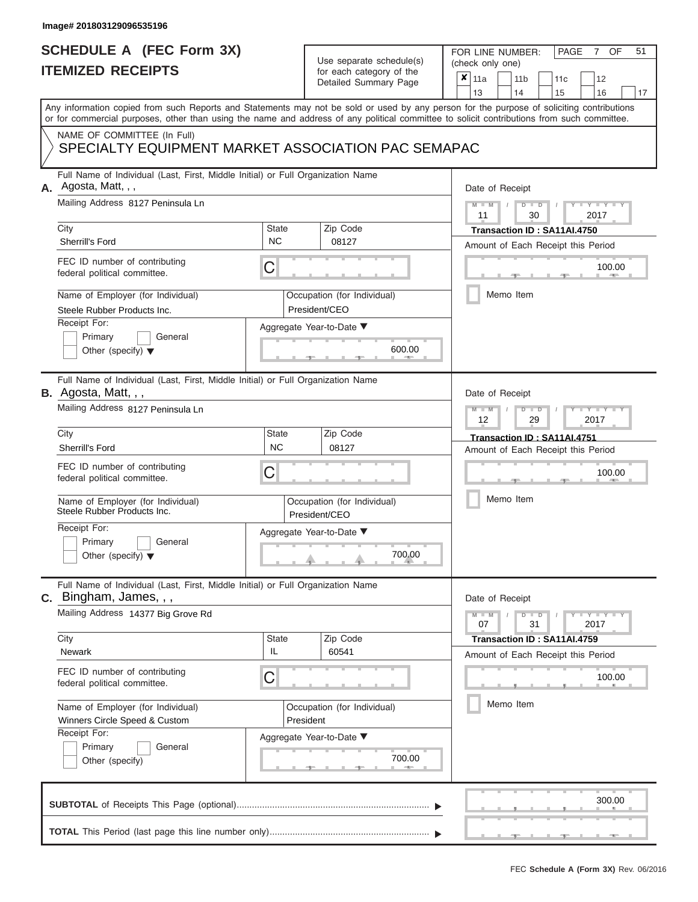## **SCHEDULE A (FEC Form 3X) ITEMIZED RECEIPTS**

# Use separate schedule(s)

| SCHEDULE A (FEC Form 3X)<br><b>ITEMIZED RECEIPTS</b>                                                           |                    | Use separate schedule(s)<br>for each category of the | 51<br>FOR LINE NUMBER:<br>PAGE<br>OF<br>7<br>(check only one)                                                                                                                                                                                                                           |
|----------------------------------------------------------------------------------------------------------------|--------------------|------------------------------------------------------|-----------------------------------------------------------------------------------------------------------------------------------------------------------------------------------------------------------------------------------------------------------------------------------------|
|                                                                                                                |                    | Detailed Summary Page                                | ×<br>11a<br>11 <sub>b</sub><br>12<br>11 <sub>c</sub><br>14<br>13<br>15<br>16<br>17                                                                                                                                                                                                      |
|                                                                                                                |                    |                                                      | Any information copied from such Reports and Statements may not be sold or used by any person for the purpose of soliciting contributions<br>or for commercial purposes, other than using the name and address of any political committee to solicit contributions from such committee. |
| NAME OF COMMITTEE (In Full)<br>SPECIALTY EQUIPMENT MARKET ASSOCIATION PAC SEMAPAC                              |                    |                                                      |                                                                                                                                                                                                                                                                                         |
| Full Name of Individual (Last, First, Middle Initial) or Full Organization Name<br>Agosta, Matt, , ,<br>А.     |                    |                                                      | Date of Receipt                                                                                                                                                                                                                                                                         |
| Mailing Address 8127 Peninsula Ln<br>City                                                                      | <b>State</b>       | Zip Code                                             | $M = M$ /<br>$D$ $D$<br>$Y - Y - I$<br>11<br>30<br>2017<br>Transaction ID: SA11AI.4750                                                                                                                                                                                                  |
| Sherrill's Ford                                                                                                | <b>NC</b>          | 08127                                                | Amount of Each Receipt this Period                                                                                                                                                                                                                                                      |
| FEC ID number of contributing<br>federal political committee.                                                  | С                  |                                                      | 100.00<br><b>COLLECTION</b>                                                                                                                                                                                                                                                             |
| Name of Employer (for Individual)<br>Steele Rubber Products Inc.                                               |                    | Occupation (for Individual)<br>President/CEO         | Memo Item                                                                                                                                                                                                                                                                               |
| Receipt For:<br>Primary<br>General                                                                             |                    | Aggregate Year-to-Date ▼                             |                                                                                                                                                                                                                                                                                         |
| Other (specify) $\blacktriangledown$                                                                           |                    | 600.00                                               |                                                                                                                                                                                                                                                                                         |
| Full Name of Individual (Last, First, Middle Initial) or Full Organization Name<br><b>B.</b> Agosta, Matt, , , |                    |                                                      | Date of Receipt                                                                                                                                                                                                                                                                         |
| Mailing Address 8127 Peninsula Ln                                                                              |                    |                                                      | $M - M$<br>$D$ $D$<br>$\mathbf{I} = \mathbf{Y} + \mathbf{Y} + \mathbf{Y}$<br>12<br>2017<br>29                                                                                                                                                                                           |
| City                                                                                                           | State              | Zip Code                                             | Transaction ID: SA11AI.4751                                                                                                                                                                                                                                                             |
| Sherrill's Ford                                                                                                | <b>NC</b>          | 08127                                                | Amount of Each Receipt this Period                                                                                                                                                                                                                                                      |
| FEC ID number of contributing<br>federal political committee.                                                  | С                  |                                                      | 100.00                                                                                                                                                                                                                                                                                  |
| Name of Employer (for Individual)<br>Steele Rubber Products Inc.                                               |                    | Occupation (for Individual)<br>President/CEO         | Memo Item                                                                                                                                                                                                                                                                               |
| Receipt For:                                                                                                   |                    | Aggregate Year-to-Date ▼                             |                                                                                                                                                                                                                                                                                         |
| Primary<br>General<br>Other (specify) $\blacktriangledown$                                                     |                    | $\begin{array}{c}\n700.00 \\ \hline\n\end{array}$    |                                                                                                                                                                                                                                                                                         |
| Full Name of Individual (Last, First, Middle Initial) or Full Organization Name<br>C. Bingham, James, , ,      |                    |                                                      | Date of Receipt                                                                                                                                                                                                                                                                         |
| Mailing Address 14377 Big Grove Rd                                                                             |                    |                                                      | $M - M$<br>$D$ $D$<br>$\mathbf{I}$ $\mathbf{Y}$ $\mathbf{I}$ $\mathbf{Y}$ $\mathbf{I}$ $\mathbf{Y}$<br>07<br>31<br>2017                                                                                                                                                                 |
| City<br>Newark                                                                                                 | <b>State</b><br>IL | Zip Code<br>60541                                    | Transaction ID: SA11AI.4759                                                                                                                                                                                                                                                             |
| FEC ID number of contributing<br>federal political committee.                                                  | С                  |                                                      | Amount of Each Receipt this Period<br>100.00                                                                                                                                                                                                                                            |
| Name of Employer (for Individual)<br>Winners Circle Speed & Custom                                             |                    | Occupation (for Individual)<br>President             | Memo Item                                                                                                                                                                                                                                                                               |
| Receipt For:<br>Primary<br>General<br>Other (specify)                                                          |                    | Aggregate Year-to-Date ▼<br>700.00                   |                                                                                                                                                                                                                                                                                         |
|                                                                                                                |                    |                                                      | 300.00                                                                                                                                                                                                                                                                                  |
|                                                                                                                |                    |                                                      |                                                                                                                                                                                                                                                                                         |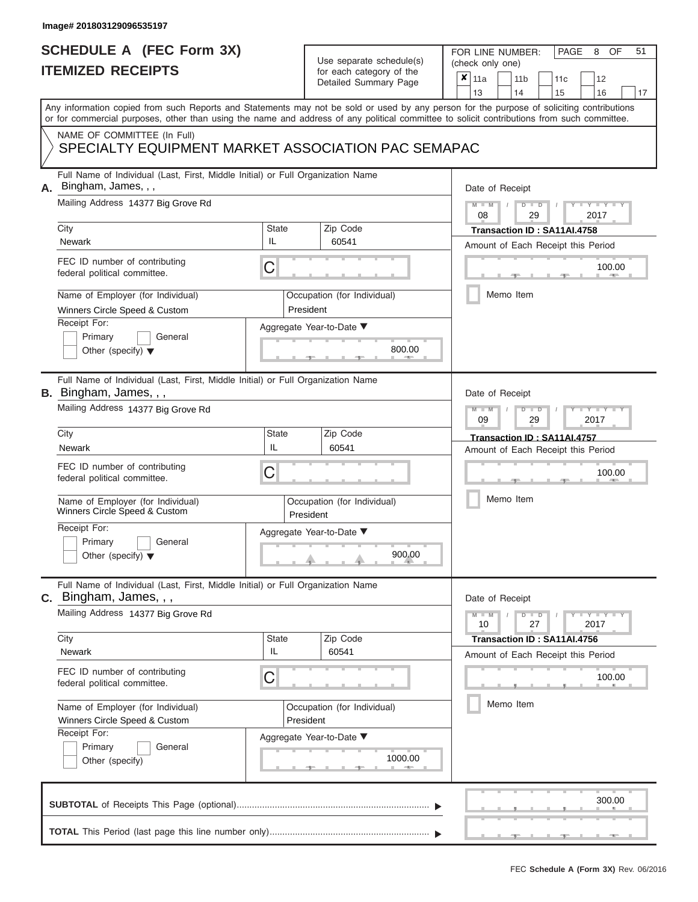## **SCHEDULE A (FEC Form 3X) ITEMIZED RECEIPTS**

# Use separate schedule(s)

| SCHEDULE A (FEC Form 3X)<br><b>ITEMIZED RECEIPTS</b>                                                                                                                                                                                                                                                                                                                                      |                  | Use separate schedule(s)<br>for each category of the<br>Detailed Summary Page                        | 51<br>FOR LINE NUMBER:<br>PAGE<br>OF<br>8<br>(check only one)<br>$\boldsymbol{x}$<br>11a<br>11 <sub>b</sub><br>11 <sub>c</sub><br>12                                                   |
|-------------------------------------------------------------------------------------------------------------------------------------------------------------------------------------------------------------------------------------------------------------------------------------------------------------------------------------------------------------------------------------------|------------------|------------------------------------------------------------------------------------------------------|----------------------------------------------------------------------------------------------------------------------------------------------------------------------------------------|
| Any information copied from such Reports and Statements may not be sold or used by any person for the purpose of soliciting contributions<br>or for commercial purposes, other than using the name and address of any political committee to solicit contributions from such committee.<br>NAME OF COMMITTEE (In Full)                                                                    |                  |                                                                                                      | 13<br>14<br>15<br>16<br>17                                                                                                                                                             |
| SPECIALTY EQUIPMENT MARKET ASSOCIATION PAC SEMAPAC                                                                                                                                                                                                                                                                                                                                        |                  |                                                                                                      |                                                                                                                                                                                        |
| Full Name of Individual (Last, First, Middle Initial) or Full Organization Name<br>Bingham, James, , ,<br>А.<br>Mailing Address 14377 Big Grove Rd<br>City<br>Newark<br>FEC ID number of contributing<br>federal political committee.<br>Name of Employer (for Individual)<br>Winners Circle Speed & Custom<br>Receipt For:<br>Primary<br>General<br>Other (specify) $\blacktriangledown$ | State<br>IL<br>С | Zip Code<br>60541<br>Occupation (for Individual)<br>President<br>Aggregate Year-to-Date ▼<br>800.00  | Date of Receipt<br>$M - M$ /<br>$D$ $D$<br>$Y - Y$<br>08<br>29<br>2017<br>Transaction ID: SA11AI.4758<br>Amount of Each Receipt this Period<br>100.00<br><b>AND IN</b><br>Memo Item    |
| Full Name of Individual (Last, First, Middle Initial) or Full Organization Name<br>B. Bingham, James, , ,<br>Mailing Address 14377 Big Grove Rd<br>City<br>Newark<br>FEC ID number of contributing<br>federal political committee.<br>Name of Employer (for Individual)<br>Winners Circle Speed & Custom<br>Receipt For:<br>Primary<br>General<br>Other (specify) $\blacktriangledown$    | State<br>IL<br>С | Zip Code<br>60541<br>Occupation (for Individual)<br>President<br>Aggregate Year-to-Date ▼<br>900.00  | Date of Receipt<br>$M - M$<br>$D$ $D$<br>Y TYT<br>09<br>2017<br>29<br>Transaction ID: SA11AI.4757<br>Amount of Each Receipt this Period<br>100.00<br>Memo Item                         |
| Full Name of Individual (Last, First, Middle Initial) or Full Organization Name<br><b>C.</b> Bingham, James, , ,<br>Mailing Address 14377 Big Grove Rd<br>City<br>Newark<br>FEC ID number of contributing<br>federal political committee.<br>Name of Employer (for Individual)<br>Winners Circle Speed & Custom<br>Receipt For:<br>Primary<br>General<br>Other (specify)                  | State<br>IL<br>С | Zip Code<br>60541<br>Occupation (for Individual)<br>President<br>Aggregate Year-to-Date ▼<br>1000.00 | Date of Receipt<br>$M - M$<br>$-1$ $-1$ $-1$ $-1$ $-1$ $-1$<br>$D$ $D$<br>10<br>27<br>2017<br>Transaction ID: SA11AI.4756<br>Amount of Each Receipt this Period<br>100.00<br>Memo Item |
|                                                                                                                                                                                                                                                                                                                                                                                           |                  |                                                                                                      | 300.00                                                                                                                                                                                 |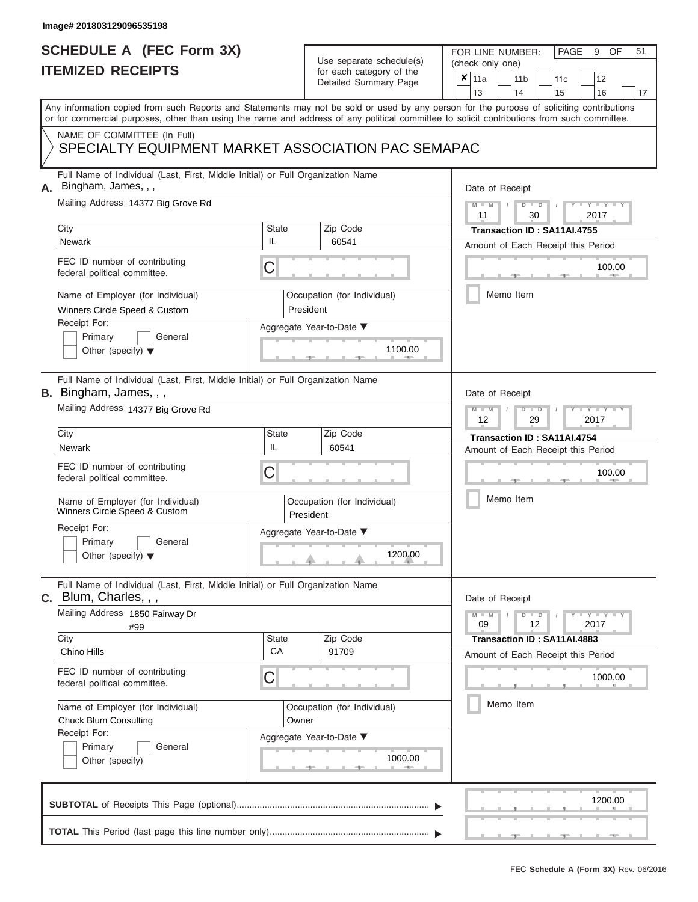### **SCHEDULE A (FEC Form 3X) ITEMIZED RECEIPTS**

# Use separate schedule(s)

FOR LINE NUMBER:<br>(check only one)

PAGE 9 OF 51

| Any information copied from such Reports and Statements may not be sold or used by any person for the purpose of soliciting contributions<br>or for commercial purposes, other than using the name and address of any political committee to solicit contributions from such committee.<br>NAME OF COMMITTEE (In Full)<br>SPECIALTY EQUIPMENT MARKET ASSOCIATION PAC SEMAPAC<br>Full Name of Individual (Last, First, Middle Initial) or Full Organization Name<br>Bingham, James, , ,<br>А.<br>Date of Receipt<br>Mailing Address 14377 Big Grove Rd<br>$Y - Y$<br>D<br>$\overline{D}$<br>2017<br>30<br>11<br>City<br><b>State</b><br>Zip Code<br>Transaction ID: SA11AI.4755<br>IL<br><b>Newark</b><br>60541<br>Amount of Each Receipt this Period<br>FEC ID number of contributing<br>C<br>100.00<br>federal political committee.<br>Memo Item<br>Name of Employer (for Individual)<br>Occupation (for Individual)<br>President<br>Winners Circle Speed & Custom<br>Receipt For:<br>Aggregate Year-to-Date ▼<br>Primary<br>General<br>1100.00<br>Other (specify) $\blacktriangledown$<br>Full Name of Individual (Last, First, Middle Initial) or Full Organization Name<br><b>B.</b> Bingham, James, , ,<br>Date of Receipt<br>Mailing Address 14377 Big Grove Rd<br>Y I Y<br>$\overline{\mathsf{M}}$<br>W<br>$\overline{\mathbb{D}}$<br>2017<br>12<br>29<br>City<br><b>State</b><br>Zip Code<br>Transaction ID: SA11AI.4754<br>IL<br>60541<br>Newark<br>Amount of Each Receipt this Period<br>FEC ID number of contributing<br>C<br>100.00<br>federal political committee.<br>Memo Item<br>Name of Employer (for Individual)<br>Occupation (for Individual)<br>Winners Circle Speed & Custom<br>President<br>Receipt For:<br>Aggregate Year-to-Date ▼<br>Primary<br>General<br>1200.00<br>Other (specify) $\blacktriangledown$<br>Full Name of Individual (Last, First, Middle Initial) or Full Organization Name<br>$c.$ Blum, Charles, , ,<br>Date of Receipt<br>Mailing Address 1850 Fairway Dr<br>$Y = Y + Y$<br>$D$ $D$<br>09<br>12<br>2017<br>#99<br>City<br><b>State</b><br>Zip Code<br>Transaction ID: SA11AI.4883<br>CA<br>Chino Hills<br>91709<br>Amount of Each Receipt this Period<br>FEC ID number of contributing<br>С<br>1000.00<br>federal political committee.<br>Memo Item<br>Name of Employer (for Individual)<br>Occupation (for Individual)<br><b>Chuck Blum Consulting</b><br>Owner<br>Receipt For:<br>Aggregate Year-to-Date ▼<br>Primary<br>General<br>1000.00<br>Other (specify)<br>1200.00 | IIEMIZED RECEIPIS | for each category of the<br>Detailed Summary Page | ×<br>11a<br>11 <sub>b</sub><br>12<br>11c<br>13<br>17<br>14<br>15<br>16 |
|---------------------------------------------------------------------------------------------------------------------------------------------------------------------------------------------------------------------------------------------------------------------------------------------------------------------------------------------------------------------------------------------------------------------------------------------------------------------------------------------------------------------------------------------------------------------------------------------------------------------------------------------------------------------------------------------------------------------------------------------------------------------------------------------------------------------------------------------------------------------------------------------------------------------------------------------------------------------------------------------------------------------------------------------------------------------------------------------------------------------------------------------------------------------------------------------------------------------------------------------------------------------------------------------------------------------------------------------------------------------------------------------------------------------------------------------------------------------------------------------------------------------------------------------------------------------------------------------------------------------------------------------------------------------------------------------------------------------------------------------------------------------------------------------------------------------------------------------------------------------------------------------------------------------------------------------------------------------------------------------------------------------------------------------------------------------------------------------------------------------------------------------------------------------------------------------------------------------------------------------------------------------------------------------------------------------------------------------------------------------------------------------------------------------------------------------------------------------------------------------------------------------------|-------------------|---------------------------------------------------|------------------------------------------------------------------------|
|                                                                                                                                                                                                                                                                                                                                                                                                                                                                                                                                                                                                                                                                                                                                                                                                                                                                                                                                                                                                                                                                                                                                                                                                                                                                                                                                                                                                                                                                                                                                                                                                                                                                                                                                                                                                                                                                                                                                                                                                                                                                                                                                                                                                                                                                                                                                                                                                                                                                                                                           |                   |                                                   |                                                                        |
|                                                                                                                                                                                                                                                                                                                                                                                                                                                                                                                                                                                                                                                                                                                                                                                                                                                                                                                                                                                                                                                                                                                                                                                                                                                                                                                                                                                                                                                                                                                                                                                                                                                                                                                                                                                                                                                                                                                                                                                                                                                                                                                                                                                                                                                                                                                                                                                                                                                                                                                           |                   |                                                   |                                                                        |
|                                                                                                                                                                                                                                                                                                                                                                                                                                                                                                                                                                                                                                                                                                                                                                                                                                                                                                                                                                                                                                                                                                                                                                                                                                                                                                                                                                                                                                                                                                                                                                                                                                                                                                                                                                                                                                                                                                                                                                                                                                                                                                                                                                                                                                                                                                                                                                                                                                                                                                                           |                   |                                                   |                                                                        |
|                                                                                                                                                                                                                                                                                                                                                                                                                                                                                                                                                                                                                                                                                                                                                                                                                                                                                                                                                                                                                                                                                                                                                                                                                                                                                                                                                                                                                                                                                                                                                                                                                                                                                                                                                                                                                                                                                                                                                                                                                                                                                                                                                                                                                                                                                                                                                                                                                                                                                                                           |                   |                                                   |                                                                        |
|                                                                                                                                                                                                                                                                                                                                                                                                                                                                                                                                                                                                                                                                                                                                                                                                                                                                                                                                                                                                                                                                                                                                                                                                                                                                                                                                                                                                                                                                                                                                                                                                                                                                                                                                                                                                                                                                                                                                                                                                                                                                                                                                                                                                                                                                                                                                                                                                                                                                                                                           |                   |                                                   |                                                                        |
|                                                                                                                                                                                                                                                                                                                                                                                                                                                                                                                                                                                                                                                                                                                                                                                                                                                                                                                                                                                                                                                                                                                                                                                                                                                                                                                                                                                                                                                                                                                                                                                                                                                                                                                                                                                                                                                                                                                                                                                                                                                                                                                                                                                                                                                                                                                                                                                                                                                                                                                           |                   |                                                   |                                                                        |
|                                                                                                                                                                                                                                                                                                                                                                                                                                                                                                                                                                                                                                                                                                                                                                                                                                                                                                                                                                                                                                                                                                                                                                                                                                                                                                                                                                                                                                                                                                                                                                                                                                                                                                                                                                                                                                                                                                                                                                                                                                                                                                                                                                                                                                                                                                                                                                                                                                                                                                                           |                   |                                                   |                                                                        |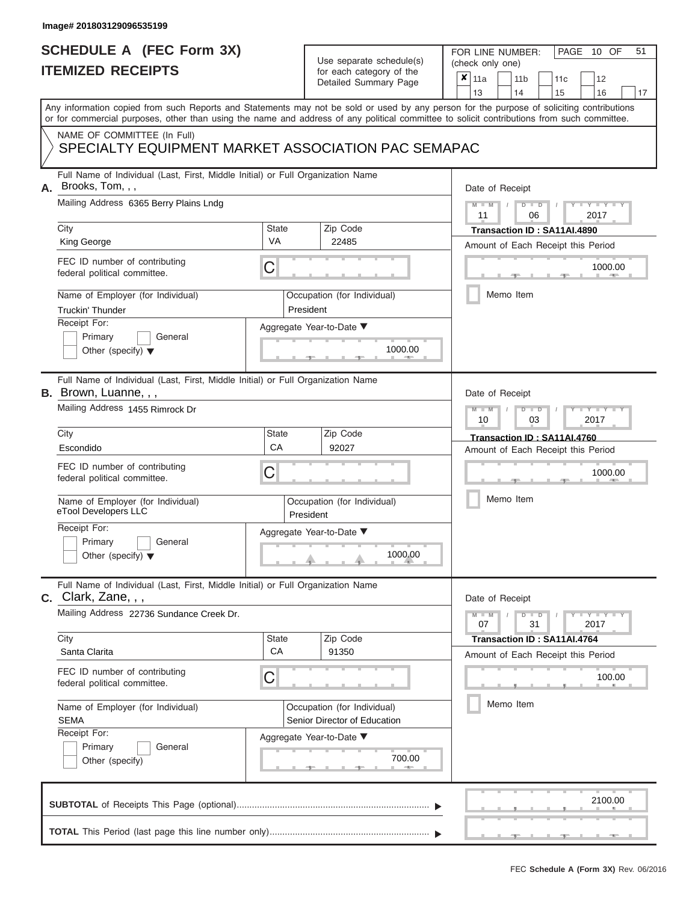# **SCHEDULE A (FEC Form 3X)**

# Use separate schedule(s)

| SCHEDULE A (FEC Form 3X)<br><b>ITEMIZED RECEIPTS</b>                                                                                                                                                                                                                                                                                                                                      |                         | Use separate schedule(s)<br>for each category of the<br>Detailed Summary Page                                          | 51<br>FOR LINE NUMBER:<br>PAGE<br>10 OF<br>(check only one)<br>$\boldsymbol{x}$<br>11a<br>11 <sub>b</sub><br>11c<br>12<br>13<br>14<br>15<br>16<br>17                                     |
|-------------------------------------------------------------------------------------------------------------------------------------------------------------------------------------------------------------------------------------------------------------------------------------------------------------------------------------------------------------------------------------------|-------------------------|------------------------------------------------------------------------------------------------------------------------|------------------------------------------------------------------------------------------------------------------------------------------------------------------------------------------|
| Any information copied from such Reports and Statements may not be sold or used by any person for the purpose of soliciting contributions<br>or for commercial purposes, other than using the name and address of any political committee to solicit contributions from such committee.<br>NAME OF COMMITTEE (In Full)<br>SPECIALTY EQUIPMENT MARKET ASSOCIATION PAC SEMAPAC              |                         |                                                                                                                        |                                                                                                                                                                                          |
| Full Name of Individual (Last, First, Middle Initial) or Full Organization Name<br>Brooks, Tom, , ,<br>А.<br>Mailing Address 6365 Berry Plains Lndg<br>City<br>King George<br>FEC ID number of contributing<br>federal political committee.<br>Name of Employer (for Individual)<br><b>Truckin' Thunder</b><br>Receipt For:<br>Primary<br>General<br>Other (specify) $\blacktriangledown$ | State<br><b>VA</b><br>С | Zip Code<br>22485<br>Occupation (for Individual)<br>President<br>Aggregate Year-to-Date ▼<br>1000.00                   | Date of Receipt<br>$M = M$ /<br>$D$ $D$<br>$Y - Y - I$<br>11<br>2017<br>06<br>Transaction ID: SA11AI.4890<br>Amount of Each Receipt this Period<br>1000.00<br><b>AND IN</b><br>Memo Item |
| Full Name of Individual (Last, First, Middle Initial) or Full Organization Name<br><b>B.</b> Brown, Luanne, , ,<br>Mailing Address 1455 Rimrock Dr<br>City<br>Escondido<br>FEC ID number of contributing<br>federal political committee.<br>Name of Employer (for Individual)<br>eTool Developers LLC<br>Receipt For:<br>Primary<br>General<br>Other (specify) $\blacktriangledown$       | State<br>CA<br>С        | Zip Code<br>92027<br>Occupation (for Individual)<br>President<br>Aggregate Year-to-Date ▼<br>1000.00                   | Date of Receipt<br>$M - M$<br>$D$ $\Box$ $D$<br>Y TYT<br>10<br>2017<br>03<br>Transaction ID: SA11AI.4760<br>Amount of Each Receipt this Period<br>1000.00<br>Memo Item                   |
| Full Name of Individual (Last, First, Middle Initial) or Full Organization Name<br>$c.$ Clark, Zane, , ,<br>Mailing Address 22736 Sundance Creek Dr.<br>City<br>Santa Clarita<br>FEC ID number of contributing<br>federal political committee.<br>Name of Employer (for Individual)<br><b>SEMA</b><br>Receipt For:<br>Primary<br>General<br>Other (specify)                               | State<br>CA<br>С        | Zip Code<br>91350<br>Occupation (for Individual)<br>Senior Director of Education<br>Aggregate Year-to-Date ▼<br>700.00 | Date of Receipt<br>$M - M$<br>$D$ $D$<br>$-1 - Y - 1 - Y - 1$<br>07<br>31<br>2017<br>Transaction ID: SA11AI.4764<br>Amount of Each Receipt this Period<br>100.00<br>Memo Item            |
|                                                                                                                                                                                                                                                                                                                                                                                           |                         |                                                                                                                        | 2100.00                                                                                                                                                                                  |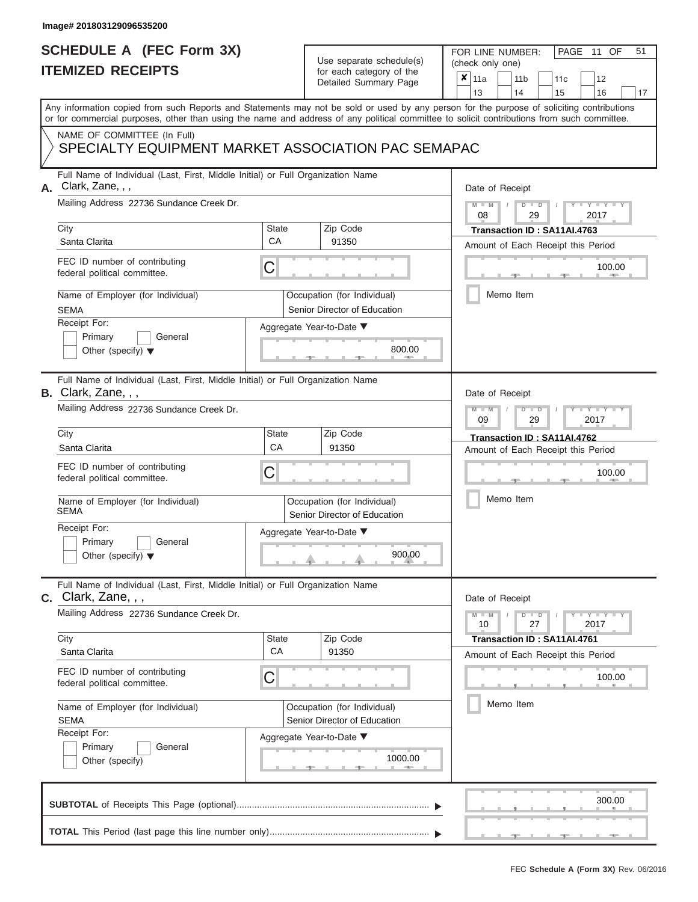|                          | <b>SCHEDULE A (FEC Form 3X)</b> |
|--------------------------|---------------------------------|
| <b>ITEMIZED RECEIPTS</b> |                                 |

FOR LINE NUMBER:<br>(check only one)

PAGE 11 OF 51

| <u>IIEMIZED REVEILIS</u>                                                                                                                   |                    | for each category of the                                    | $\pmb{\times}$<br>11a<br>11 <sub>b</sub><br>12<br>11c                                                                                     |  |  |  |  |  |  |  |  |  |  |  |
|--------------------------------------------------------------------------------------------------------------------------------------------|--------------------|-------------------------------------------------------------|-------------------------------------------------------------------------------------------------------------------------------------------|--|--|--|--|--|--|--|--|--|--|--|
|                                                                                                                                            |                    | Detailed Summary Page                                       | 13<br>14<br>15<br>16<br>17                                                                                                                |  |  |  |  |  |  |  |  |  |  |  |
| or for commercial purposes, other than using the name and address of any political committee to solicit contributions from such committee. |                    |                                                             | Any information copied from such Reports and Statements may not be sold or used by any person for the purpose of soliciting contributions |  |  |  |  |  |  |  |  |  |  |  |
| NAME OF COMMITTEE (In Full)<br>SPECIALTY EQUIPMENT MARKET ASSOCIATION PAC SEMAPAC                                                          |                    |                                                             |                                                                                                                                           |  |  |  |  |  |  |  |  |  |  |  |
| Full Name of Individual (Last, First, Middle Initial) or Full Organization Name<br>Clark, Zane, , ,<br>А.                                  |                    |                                                             | Date of Receipt                                                                                                                           |  |  |  |  |  |  |  |  |  |  |  |
| Mailing Address 22736 Sundance Creek Dr.                                                                                                   |                    |                                                             | $Y - Y - Y - Y - Y$<br>$M - M$<br>$D$ $\Box$ $D$<br>29<br>2017<br>08                                                                      |  |  |  |  |  |  |  |  |  |  |  |
| City<br>Santa Clarita                                                                                                                      | <b>State</b><br>CA | Zip Code<br>91350                                           | Transaction ID: SA11AI.4763<br>Amount of Each Receipt this Period                                                                         |  |  |  |  |  |  |  |  |  |  |  |
| FEC ID number of contributing<br>federal political committee.                                                                              | C                  |                                                             | 100.00<br>$\sim 0.01$                                                                                                                     |  |  |  |  |  |  |  |  |  |  |  |
| Name of Employer (for Individual)<br><b>SEMA</b>                                                                                           |                    | Occupation (for Individual)<br>Senior Director of Education | Memo Item                                                                                                                                 |  |  |  |  |  |  |  |  |  |  |  |
| Receipt For:<br>Primary<br>General<br>Other (specify) $\blacktriangledown$                                                                 |                    | Aggregate Year-to-Date ▼<br>800.00                          |                                                                                                                                           |  |  |  |  |  |  |  |  |  |  |  |
| Full Name of Individual (Last, First, Middle Initial) or Full Organization Name<br>B. Clark, Zane, , ,                                     |                    |                                                             | Date of Receipt                                                                                                                           |  |  |  |  |  |  |  |  |  |  |  |
| Mailing Address 22736 Sundance Creek Dr.                                                                                                   |                    |                                                             | $M - M$<br>$T - Y = T - Y = T - Y$<br>$D$ $\Box$ $D$<br>09<br>29<br>2017                                                                  |  |  |  |  |  |  |  |  |  |  |  |
| City<br>Santa Clarita                                                                                                                      | State<br>CA        | Zip Code<br>91350                                           | Transaction ID: SA11AI.4762<br>Amount of Each Receipt this Period                                                                         |  |  |  |  |  |  |  |  |  |  |  |
| FEC ID number of contributing<br>federal political committee.                                                                              | C                  |                                                             | 100.00                                                                                                                                    |  |  |  |  |  |  |  |  |  |  |  |
| Name of Employer (for Individual)<br><b>SEMA</b>                                                                                           |                    | Occupation (for Individual)<br>Senior Director of Education | Memo Item                                                                                                                                 |  |  |  |  |  |  |  |  |  |  |  |
| Receipt For:<br>Primary<br>General<br>Other (specify) $\blacktriangledown$                                                                 |                    | Aggregate Year-to-Date ▼<br>900.00                          |                                                                                                                                           |  |  |  |  |  |  |  |  |  |  |  |
| Full Name of Individual (Last, First, Middle Initial) or Full Organization Name<br>$c.$ Clark, Zane, $,$ ,                                 |                    |                                                             | Date of Receipt                                                                                                                           |  |  |  |  |  |  |  |  |  |  |  |
| Mailing Address 22736 Sundance Creek Dr.                                                                                                   |                    |                                                             | $D$ $\Box$ $D$<br>$Y - Y - Y - Y - Y$<br>$M - M$<br>10<br>27<br>2017                                                                      |  |  |  |  |  |  |  |  |  |  |  |
| City<br>Santa Clarita                                                                                                                      | <b>State</b><br>CA | Zip Code<br>91350                                           | Transaction ID: SA11AI.4761<br>Amount of Each Receipt this Period                                                                         |  |  |  |  |  |  |  |  |  |  |  |
| FEC ID number of contributing<br>federal political committee.                                                                              | $\mathsf C$        |                                                             | 100.00                                                                                                                                    |  |  |  |  |  |  |  |  |  |  |  |
| Name of Employer (for Individual)<br><b>SEMA</b>                                                                                           |                    | Occupation (for Individual)<br>Senior Director of Education | Memo Item                                                                                                                                 |  |  |  |  |  |  |  |  |  |  |  |
| Receipt For:<br>Primary<br>General<br>Other (specify)                                                                                      |                    | Aggregate Year-to-Date ▼<br>1000.00<br>$-$                  |                                                                                                                                           |  |  |  |  |  |  |  |  |  |  |  |
|                                                                                                                                            |                    |                                                             | 300.00                                                                                                                                    |  |  |  |  |  |  |  |  |  |  |  |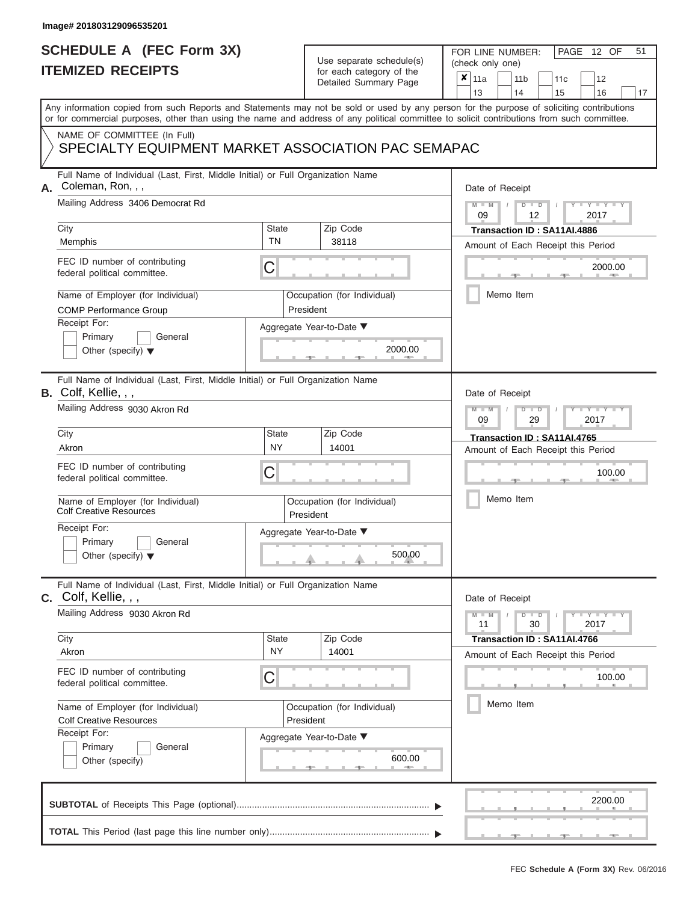|                          | <b>SCHEDULE A (FEC Form 3X)</b> |
|--------------------------|---------------------------------|
| <b>ITEMIZED RECEIPTS</b> |                                 |

FOR LINE NUMBER:

PAGE 12 OF 51

|    | <b>ILEMIZED RECEIPIS</b>                                                                                                                                                                                                                                                                |              |           | for each category of the<br>Detailed Summary Page | $\pmb{\times}$ | 11a<br>11 <sub>b</sub><br>12<br>11c<br>13<br>14<br>15<br>16<br>17              |  |  |  |  |  |  |  |  |  |
|----|-----------------------------------------------------------------------------------------------------------------------------------------------------------------------------------------------------------------------------------------------------------------------------------------|--------------|-----------|---------------------------------------------------|----------------|--------------------------------------------------------------------------------|--|--|--|--|--|--|--|--|--|
|    | Any information copied from such Reports and Statements may not be sold or used by any person for the purpose of soliciting contributions<br>or for commercial purposes, other than using the name and address of any political committee to solicit contributions from such committee. |              |           |                                                   |                |                                                                                |  |  |  |  |  |  |  |  |  |
|    | NAME OF COMMITTEE (In Full)<br>SPECIALTY EQUIPMENT MARKET ASSOCIATION PAC SEMAPAC                                                                                                                                                                                                       |              |           |                                                   |                |                                                                                |  |  |  |  |  |  |  |  |  |
| А. | Full Name of Individual (Last, First, Middle Initial) or Full Organization Name<br>Coleman, Ron, , ,                                                                                                                                                                                    |              |           |                                                   |                | Date of Receipt                                                                |  |  |  |  |  |  |  |  |  |
|    | Mailing Address 3406 Democrat Rd                                                                                                                                                                                                                                                        |              |           |                                                   |                | $M - M$<br>$Y = Y =$<br>$\overline{D}$<br>$\overline{D}$<br>2017<br>09<br>12   |  |  |  |  |  |  |  |  |  |
|    | City                                                                                                                                                                                                                                                                                    | State<br>TN  |           | Zip Code                                          |                | Transaction ID: SA11AI.4886                                                    |  |  |  |  |  |  |  |  |  |
|    | Memphis                                                                                                                                                                                                                                                                                 |              |           | 38118                                             |                | Amount of Each Receipt this Period                                             |  |  |  |  |  |  |  |  |  |
|    | FEC ID number of contributing<br>federal political committee.                                                                                                                                                                                                                           | C            |           |                                                   |                | 2000.00                                                                        |  |  |  |  |  |  |  |  |  |
|    | Name of Employer (for Individual)<br><b>COMP Performance Group</b>                                                                                                                                                                                                                      |              | President | Occupation (for Individual)                       |                | Memo Item                                                                      |  |  |  |  |  |  |  |  |  |
|    | Receipt For:                                                                                                                                                                                                                                                                            |              |           | Aggregate Year-to-Date ▼                          |                |                                                                                |  |  |  |  |  |  |  |  |  |
|    | Primary<br>General<br>Other (specify) $\blacktriangledown$                                                                                                                                                                                                                              |              |           | 2000.00                                           |                |                                                                                |  |  |  |  |  |  |  |  |  |
|    | Full Name of Individual (Last, First, Middle Initial) or Full Organization Name<br><b>B.</b> Colf, Kellie, , ,                                                                                                                                                                          |              |           |                                                   |                | Date of Receipt                                                                |  |  |  |  |  |  |  |  |  |
|    | Mailing Address 9030 Akron Rd                                                                                                                                                                                                                                                           |              |           |                                                   |                | $Y = Y$<br>$\overline{\mathbb{D}}$<br>2017<br>09<br>29                         |  |  |  |  |  |  |  |  |  |
|    | City                                                                                                                                                                                                                                                                                    | State        |           | Zip Code                                          |                | Transaction ID: SA11AI.4765                                                    |  |  |  |  |  |  |  |  |  |
|    | Akron                                                                                                                                                                                                                                                                                   | <b>NY</b>    |           | 14001                                             |                | Amount of Each Receipt this Period                                             |  |  |  |  |  |  |  |  |  |
|    | FEC ID number of contributing<br>federal political committee.                                                                                                                                                                                                                           | С            |           |                                                   | 100.00         |                                                                                |  |  |  |  |  |  |  |  |  |
|    | Name of Employer (for Individual)<br><b>Colf Creative Resources</b>                                                                                                                                                                                                                     |              | President | Occupation (for Individual)                       |                | Memo Item                                                                      |  |  |  |  |  |  |  |  |  |
|    | Receipt For:<br>Primary<br>General<br>Other (specify) $\blacktriangledown$                                                                                                                                                                                                              |              |           | Aggregate Year-to-Date ▼<br>500.00                |                |                                                                                |  |  |  |  |  |  |  |  |  |
|    | Full Name of Individual (Last, First, Middle Initial) or Full Organization Name<br>$c.$ Colf, Kellie, , ,                                                                                                                                                                               |              |           |                                                   |                | Date of Receipt                                                                |  |  |  |  |  |  |  |  |  |
|    | Mailing Address 9030 Akron Rd                                                                                                                                                                                                                                                           |              |           |                                                   |                | $Y - Y - Y$<br>$\overline{D}$<br>$\overline{D}$<br>$M - M$<br>30<br>2017<br>11 |  |  |  |  |  |  |  |  |  |
|    | City                                                                                                                                                                                                                                                                                    | <b>State</b> |           | Zip Code                                          |                | Transaction ID: SA11AI.4766                                                    |  |  |  |  |  |  |  |  |  |
|    | Akron                                                                                                                                                                                                                                                                                   | <b>NY</b>    |           | 14001                                             |                | Amount of Each Receipt this Period                                             |  |  |  |  |  |  |  |  |  |
|    | FEC ID number of contributing<br>federal political committee.                                                                                                                                                                                                                           | C            |           |                                                   |                | 100.00                                                                         |  |  |  |  |  |  |  |  |  |
|    | Name of Employer (for Individual)                                                                                                                                                                                                                                                       |              |           | Occupation (for Individual)                       |                | Memo Item                                                                      |  |  |  |  |  |  |  |  |  |
|    | <b>Colf Creative Resources</b>                                                                                                                                                                                                                                                          | President    |           |                                                   |                |                                                                                |  |  |  |  |  |  |  |  |  |
|    | Receipt For:                                                                                                                                                                                                                                                                            |              |           | Aggregate Year-to-Date ▼                          |                |                                                                                |  |  |  |  |  |  |  |  |  |
|    | Primary<br>General<br>Other (specify)                                                                                                                                                                                                                                                   |              |           |                                                   |                |                                                                                |  |  |  |  |  |  |  |  |  |
|    |                                                                                                                                                                                                                                                                                         |              |           |                                                   |                | 2200.00                                                                        |  |  |  |  |  |  |  |  |  |
|    |                                                                                                                                                                                                                                                                                         |              |           |                                                   |                |                                                                                |  |  |  |  |  |  |  |  |  |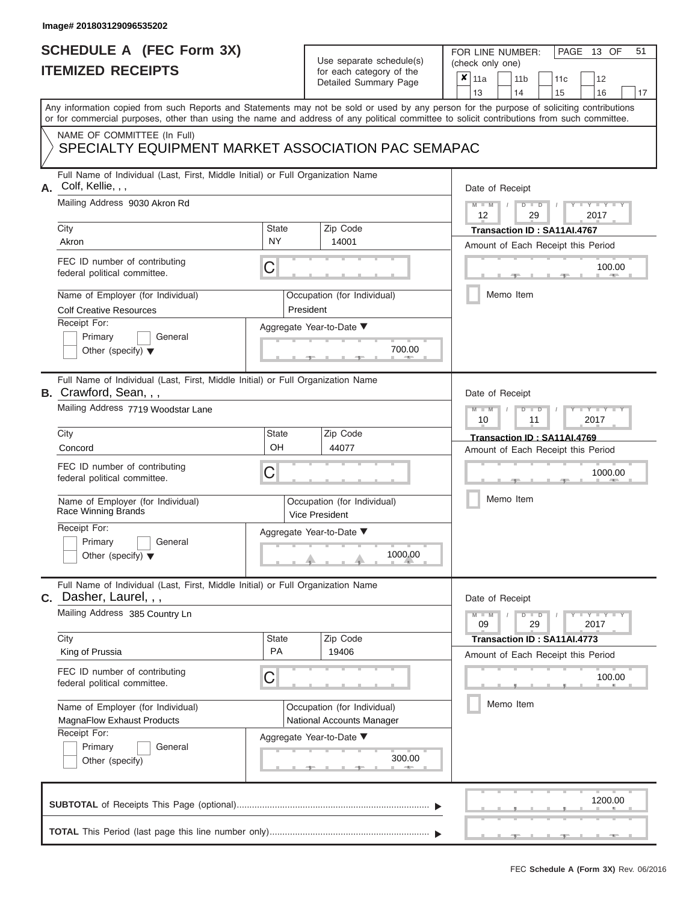## **SCHEDULE A (FEC Form 3X) ITEMIZED RECEIPTS**

# Use separate schedule(s)

FOR LINE NUMBER:<br>(check only one)

PAGE 13 OF 51

|                                                                                        | <u>IIEMIZED RECEIPIS</u>                                                                                                                                                                                                                                                                |                    | for each category of the<br>Detailed Summary Page                                    |         | ×                                            | 11a<br>13                                                       |           | 11 b<br>14                | 11c<br>15                                                         | 12<br>16        | 17 |  |  |  |  |  |
|----------------------------------------------------------------------------------------|-----------------------------------------------------------------------------------------------------------------------------------------------------------------------------------------------------------------------------------------------------------------------------------------|--------------------|--------------------------------------------------------------------------------------|---------|----------------------------------------------|-----------------------------------------------------------------|-----------|---------------------------|-------------------------------------------------------------------|-----------------|----|--|--|--|--|--|
|                                                                                        | Any information copied from such Reports and Statements may not be sold or used by any person for the purpose of soliciting contributions<br>or for commercial purposes, other than using the name and address of any political committee to solicit contributions from such committee. |                    |                                                                                      |         |                                              |                                                                 |           |                           |                                                                   |                 |    |  |  |  |  |  |
|                                                                                        | NAME OF COMMITTEE (In Full)<br>SPECIALTY EQUIPMENT MARKET ASSOCIATION PAC SEMAPAC                                                                                                                                                                                                       |                    |                                                                                      |         |                                              |                                                                 |           |                           |                                                                   |                 |    |  |  |  |  |  |
| А.                                                                                     | Full Name of Individual (Last, First, Middle Initial) or Full Organization Name<br>Colf, Kellie, , ,<br>Mailing Address 9030 Akron Rd                                                                                                                                                   |                    |                                                                                      |         |                                              | Date of Receipt                                                 |           |                           |                                                                   |                 |    |  |  |  |  |  |
|                                                                                        | City                                                                                                                                                                                                                                                                                    | <b>State</b>       | Zip Code                                                                             |         |                                              | $Y = Y$<br>D<br>2017<br>12<br>29<br>Transaction ID: SA11AI.4767 |           |                           |                                                                   |                 |    |  |  |  |  |  |
|                                                                                        | Akron                                                                                                                                                                                                                                                                                   | <b>NY</b>          | 14001                                                                                |         |                                              |                                                                 |           |                           |                                                                   |                 |    |  |  |  |  |  |
|                                                                                        | FEC ID number of contributing<br>federal political committee.                                                                                                                                                                                                                           | С                  |                                                                                      |         | Amount of Each Receipt this Period<br>100.00 |                                                                 |           |                           |                                                                   |                 |    |  |  |  |  |  |
|                                                                                        | Name of Employer (for Individual)<br><b>Colf Creative Resources</b>                                                                                                                                                                                                                     |                    | Occupation (for Individual)<br>President                                             |         |                                              |                                                                 | Memo Item |                           |                                                                   |                 |    |  |  |  |  |  |
|                                                                                        | Receipt For:<br>Primary<br>General<br>Other (specify) $\blacktriangledown$                                                                                                                                                                                                              |                    | Aggregate Year-to-Date ▼                                                             | 700.00  |                                              |                                                                 |           |                           |                                                                   |                 |    |  |  |  |  |  |
|                                                                                        | Full Name of Individual (Last, First, Middle Initial) or Full Organization Name<br><b>B.</b> Crawford, Sean, , ,                                                                                                                                                                        |                    |                                                                                      |         |                                              | Date of Receipt                                                 |           |                           |                                                                   |                 |    |  |  |  |  |  |
|                                                                                        | Mailing Address 7719 Woodstar Lane                                                                                                                                                                                                                                                      |                    |                                                                                      |         |                                              | $-Y$<br>2017<br>10<br>11                                        |           |                           |                                                                   |                 |    |  |  |  |  |  |
|                                                                                        | City<br>Concord                                                                                                                                                                                                                                                                         | <b>State</b><br>OH | Zip Code<br>44077                                                                    |         | Amount of Each Receipt this Period           |                                                                 |           |                           |                                                                   |                 |    |  |  |  |  |  |
|                                                                                        | FEC ID number of contributing<br>federal political committee.                                                                                                                                                                                                                           | С                  |                                                                                      |         |                                              | 1000.00                                                         |           |                           |                                                                   |                 |    |  |  |  |  |  |
|                                                                                        | Name of Employer (for Individual)<br>Race Winning Brands                                                                                                                                                                                                                                |                    | Occupation (for Individual)<br><b>Vice President</b>                                 |         | Memo Item                                    |                                                                 |           |                           |                                                                   |                 |    |  |  |  |  |  |
|                                                                                        | Receipt For:<br>Primary<br>General<br>Other (specify) $\blacktriangledown$                                                                                                                                                                                                              |                    | Aggregate Year-to-Date ▼                                                             | 1000.00 |                                              |                                                                 |           |                           |                                                                   |                 |    |  |  |  |  |  |
|                                                                                        | Full Name of Individual (Last, First, Middle Initial) or Full Organization Name<br><b>C.</b> Dasher, Laurel, , ,                                                                                                                                                                        |                    |                                                                                      |         |                                              | Date of Receipt                                                 |           |                           |                                                                   |                 |    |  |  |  |  |  |
|                                                                                        | Mailing Address 385 Country Ln                                                                                                                                                                                                                                                          |                    |                                                                                      |         |                                              | 09                                                              |           | $\blacksquare$<br>D<br>29 |                                                                   | $Y - Y$<br>2017 |    |  |  |  |  |  |
|                                                                                        | City<br>King of Prussia                                                                                                                                                                                                                                                                 | <b>State</b><br>PA | Zip Code<br>19406                                                                    |         |                                              |                                                                 |           |                           | Transaction ID: SA11AI.4773<br>Amount of Each Receipt this Period |                 |    |  |  |  |  |  |
|                                                                                        | FEC ID number of contributing<br>federal political committee.                                                                                                                                                                                                                           | С                  |                                                                                      |         |                                              |                                                                 |           |                           |                                                                   | 100.00          |    |  |  |  |  |  |
| Name of Employer (for Individual)<br><b>MagnaFlow Exhaust Products</b><br>Receipt For: |                                                                                                                                                                                                                                                                                         |                    | Occupation (for Individual)<br>National Accounts Manager<br>Aggregate Year-to-Date ▼ |         | Memo Item                                    |                                                                 |           |                           |                                                                   |                 |    |  |  |  |  |  |
|                                                                                        | Primary<br>General<br>Other (specify)                                                                                                                                                                                                                                                   |                    |                                                                                      |         |                                              |                                                                 |           |                           |                                                                   |                 |    |  |  |  |  |  |
|                                                                                        |                                                                                                                                                                                                                                                                                         |                    |                                                                                      |         |                                              |                                                                 |           |                           |                                                                   | 1200.00         |    |  |  |  |  |  |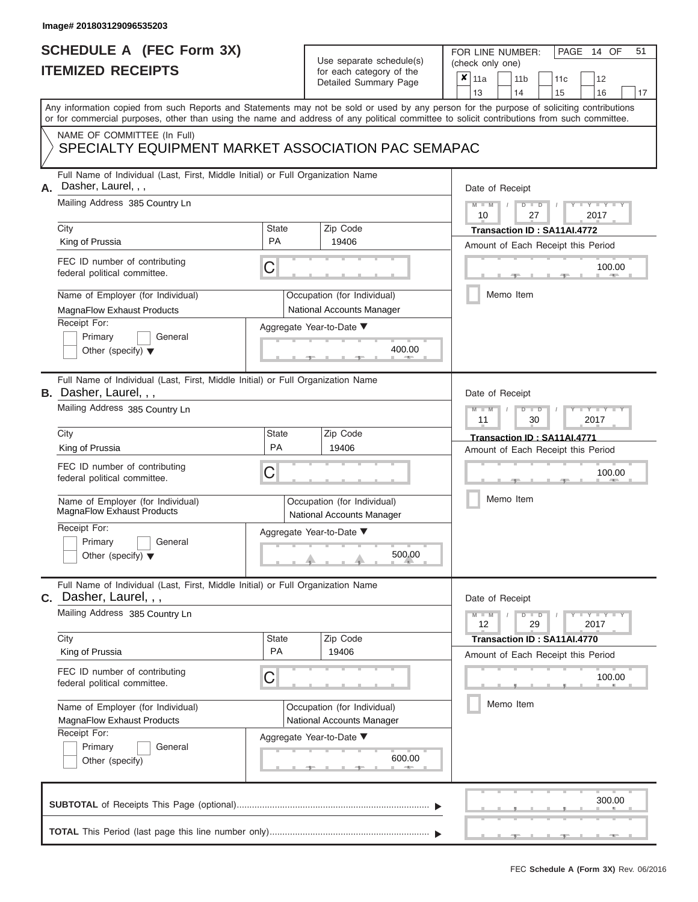## **SCHEDULE A (FEC Form 3X) ITEMIZED RECEIPTS**

# Use separate schedule(s)

| SCHEDULE A (FEC Form 3X)<br><b>ITEMIZED RECEIPTS</b> |                                                                                                                                                                                                                                                                                         | Use separate schedule(s)                          | 51<br>FOR LINE NUMBER:<br>PAGE<br>14 OF<br>(check only one)                   |                                                                                                                                           |  |  |  |  |  |  |
|------------------------------------------------------|-----------------------------------------------------------------------------------------------------------------------------------------------------------------------------------------------------------------------------------------------------------------------------------------|---------------------------------------------------|-------------------------------------------------------------------------------|-------------------------------------------------------------------------------------------------------------------------------------------|--|--|--|--|--|--|
|                                                      |                                                                                                                                                                                                                                                                                         | for each category of the<br>Detailed Summary Page | ×<br>11a<br>11 <sub>b</sub><br>12<br>11c<br>13<br>14<br>15<br>16<br>17        |                                                                                                                                           |  |  |  |  |  |  |
|                                                      | Any information copied from such Reports and Statements may not be sold or used by any person for the purpose of soliciting contributions<br>or for commercial purposes, other than using the name and address of any political committee to solicit contributions from such committee. |                                                   |                                                                               |                                                                                                                                           |  |  |  |  |  |  |
|                                                      | NAME OF COMMITTEE (In Full)<br>SPECIALTY EQUIPMENT MARKET ASSOCIATION PAC SEMAPAC                                                                                                                                                                                                       |                                                   |                                                                               |                                                                                                                                           |  |  |  |  |  |  |
|                                                      | Full Name of Individual (Last, First, Middle Initial) or Full Organization Name<br>Dasher, Laurel, , ,<br>Mailing Address 385 Country Ln                                                                                                                                                |                                                   |                                                                               | Date of Receipt                                                                                                                           |  |  |  |  |  |  |
|                                                      | City                                                                                                                                                                                                                                                                                    | State                                             | Zip Code                                                                      | $M - M$<br>$D$ $D$<br>$Y - Y - I$<br>10<br>27<br>2017<br>Transaction ID: SA11AI.4772                                                      |  |  |  |  |  |  |
|                                                      | King of Prussia<br>FEC ID number of contributing<br>federal political committee.                                                                                                                                                                                                        | <b>PA</b><br>С                                    | 19406                                                                         | Amount of Each Receipt this Period<br>100.00                                                                                              |  |  |  |  |  |  |
|                                                      | Name of Employer (for Individual)<br>MagnaFlow Exhaust Products                                                                                                                                                                                                                         |                                                   | Occupation (for Individual)<br>National Accounts Manager                      | <b>COLL</b><br>Memo Item                                                                                                                  |  |  |  |  |  |  |
|                                                      | Receipt For:<br>Primary<br>General<br>Other (specify) $\blacktriangledown$                                                                                                                                                                                                              |                                                   | Aggregate Year-to-Date ▼<br>400.00                                            |                                                                                                                                           |  |  |  |  |  |  |
|                                                      | Full Name of Individual (Last, First, Middle Initial) or Full Organization Name<br><b>B.</b> Dasher, Laurel, , ,<br>Mailing Address 385 Country Ln                                                                                                                                      |                                                   |                                                                               | Date of Receipt<br>$M - M$<br>$D$ $\Box$ $D$<br>$\blacksquare$ $\blacksquare$ $\blacksquare$ $\blacksquare$ $\blacksquare$ $\blacksquare$ |  |  |  |  |  |  |
|                                                      | City<br>King of Prussia                                                                                                                                                                                                                                                                 | <b>State</b><br>PA                                | Zip Code<br>19406                                                             | 2017<br>11<br>30<br>Transaction ID: SA11AI.4771<br>Amount of Each Receipt this Period                                                     |  |  |  |  |  |  |
|                                                      | FEC ID number of contributing<br>С<br>federal political committee.                                                                                                                                                                                                                      |                                                   |                                                                               | 100.00                                                                                                                                    |  |  |  |  |  |  |
|                                                      | Name of Employer (for Individual)<br>MagnaFlow Exhaust Products<br>Receipt For:                                                                                                                                                                                                         |                                                   | Occupation (for Individual)<br><b>National Accounts Manager</b>               | Memo Item                                                                                                                                 |  |  |  |  |  |  |
|                                                      | Primary<br>General<br>Other (specify) $\blacktriangledown$                                                                                                                                                                                                                              |                                                   | Aggregate Year-to-Date ▼<br>$\begin{array}{c}\n500.00 \\ \hline\n\end{array}$ |                                                                                                                                           |  |  |  |  |  |  |
|                                                      | Full Name of Individual (Last, First, Middle Initial) or Full Organization Name<br>C. Dasher, Laurel, , ,                                                                                                                                                                               |                                                   |                                                                               | Date of Receipt                                                                                                                           |  |  |  |  |  |  |
|                                                      | Mailing Address 385 Country Ln<br>City                                                                                                                                                                                                                                                  | <b>State</b>                                      | Zip Code                                                                      | $M - M$<br>$D$ $\Box$ $D$<br>$\mathbf{I} = \mathbf{Y} + \mathbf{Y} + \mathbf{I}$<br>12<br>29<br>2017<br>Transaction ID: SA11AI.4770       |  |  |  |  |  |  |
|                                                      | King of Prussia<br>FEC ID number of contributing<br>federal political committee.                                                                                                                                                                                                        | <b>PA</b><br>С                                    | 19406                                                                         | Amount of Each Receipt this Period<br>100.00                                                                                              |  |  |  |  |  |  |
|                                                      | Name of Employer (for Individual)<br>MagnaFlow Exhaust Products                                                                                                                                                                                                                         |                                                   | Occupation (for Individual)<br>National Accounts Manager                      | Memo Item                                                                                                                                 |  |  |  |  |  |  |
|                                                      | Receipt For:<br>Aggregate Year-to-Date ▼<br>Primary<br>General<br>600.00<br>Other (specify)                                                                                                                                                                                             |                                                   |                                                                               |                                                                                                                                           |  |  |  |  |  |  |
|                                                      |                                                                                                                                                                                                                                                                                         |                                                   |                                                                               | 300.00                                                                                                                                    |  |  |  |  |  |  |
|                                                      |                                                                                                                                                                                                                                                                                         |                                                   |                                                                               |                                                                                                                                           |  |  |  |  |  |  |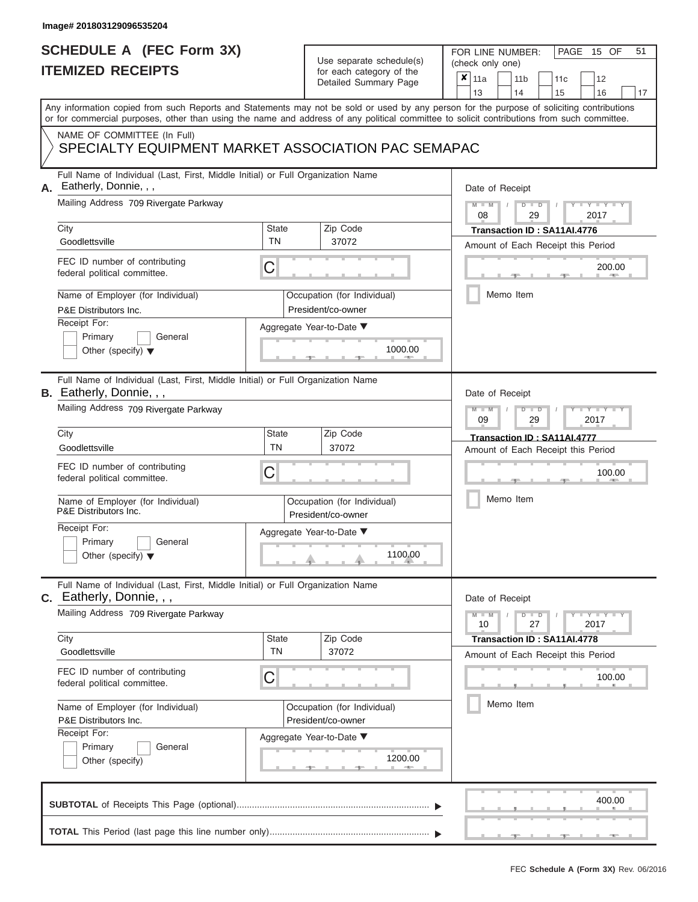## **SCHEDULE A (FEC Form 3X) ITEMIZED RECEIPTS**

# Use separate schedule(s)

| SCHEDULE A (FEC Form 3X)<br><b>ITEMIZED RECEIPTS</b>                                                                                                                                                                                                                                                                                                                                               |                                | Use separate schedule(s)<br>for each category of the<br>Detailed Summary Page                                 | 51<br>FOR LINE NUMBER:<br>PAGE 15 OF<br>(check only one)<br>$\boldsymbol{x}$<br>11a<br>11 <sub>b</sub><br>12<br>11 <sub>c</sub><br>13<br>14<br>15<br>16<br>17                                       |
|----------------------------------------------------------------------------------------------------------------------------------------------------------------------------------------------------------------------------------------------------------------------------------------------------------------------------------------------------------------------------------------------------|--------------------------------|---------------------------------------------------------------------------------------------------------------|-----------------------------------------------------------------------------------------------------------------------------------------------------------------------------------------------------|
| Any information copied from such Reports and Statements may not be sold or used by any person for the purpose of soliciting contributions<br>or for commercial purposes, other than using the name and address of any political committee to solicit contributions from such committee.<br>NAME OF COMMITTEE (In Full)<br>SPECIALTY EQUIPMENT MARKET ASSOCIATION PAC SEMAPAC                       |                                |                                                                                                               |                                                                                                                                                                                                     |
| Full Name of Individual (Last, First, Middle Initial) or Full Organization Name<br>Eatherly, Donnie, , ,<br>А.<br>Mailing Address 709 Rivergate Parkway<br>City<br>Goodlettsville<br>FEC ID number of contributing<br>federal political committee.<br>Name of Employer (for Individual)<br>P&E Distributors Inc.                                                                                   | <b>State</b><br><b>TN</b><br>C | Zip Code<br>37072<br>Occupation (for Individual)<br>President/co-owner                                        | Date of Receipt<br>$M - M$ /<br>$D$ $D$<br>$-1 - Y - 1 - Y - 1$<br>08<br>29<br>2017<br>Transaction ID: SA11AI.4776<br>Amount of Each Receipt this Period<br>200.00<br><b>Britannia</b><br>Memo Item |
| Receipt For:<br>Primary<br>General<br>Other (specify) $\blacktriangledown$                                                                                                                                                                                                                                                                                                                         |                                | Aggregate Year-to-Date ▼<br>1000.00                                                                           |                                                                                                                                                                                                     |
| Full Name of Individual (Last, First, Middle Initial) or Full Organization Name<br><b>B.</b> Eatherly, Donnie, , ,<br>Mailing Address 709 Rivergate Parkway<br>City<br>Goodlettsville<br>FEC ID number of contributing<br>federal political committee.<br>Name of Employer (for Individual)<br>P&E Distributors Inc.<br>Receipt For:<br>Primary<br>General<br>Other (specify) $\blacktriangledown$ | <b>State</b><br><b>TN</b><br>C | Zip Code<br>37072<br>Occupation (for Individual)<br>President/co-owner<br>Aggregate Year-to-Date ▼<br>1100.00 | Date of Receipt<br>$M - M$<br>$D$ $\Box$ $D$<br>$T - Y = T - T$<br>09<br>2017<br>29<br>Transaction ID: SA11AI.4777<br>Amount of Each Receipt this Period<br>100.00<br>Memo Item                     |
| Full Name of Individual (Last, First, Middle Initial) or Full Organization Name<br>C. Eatherly, Donnie, , ,<br>Mailing Address 709 Rivergate Parkway<br>City<br>Goodlettsville<br>FEC ID number of contributing<br>federal political committee.<br>Name of Employer (for Individual)<br>P&E Distributors Inc.<br>Receipt For:<br>Primary<br>General<br>Other (specify)                             | State<br><b>TN</b><br>C        | Zip Code<br>37072<br>Occupation (for Individual)<br>President/co-owner<br>Aggregate Year-to-Date ▼<br>1200.00 | Date of Receipt<br>$M - M$<br>$D$ $D$<br>$T - Y = T - Y - T - Y$<br>10<br>27<br>2017<br>Transaction ID: SA11AI.4778<br>Amount of Each Receipt this Period<br>100.00<br>Memo Item                    |
|                                                                                                                                                                                                                                                                                                                                                                                                    |                                |                                                                                                               | 400.00                                                                                                                                                                                              |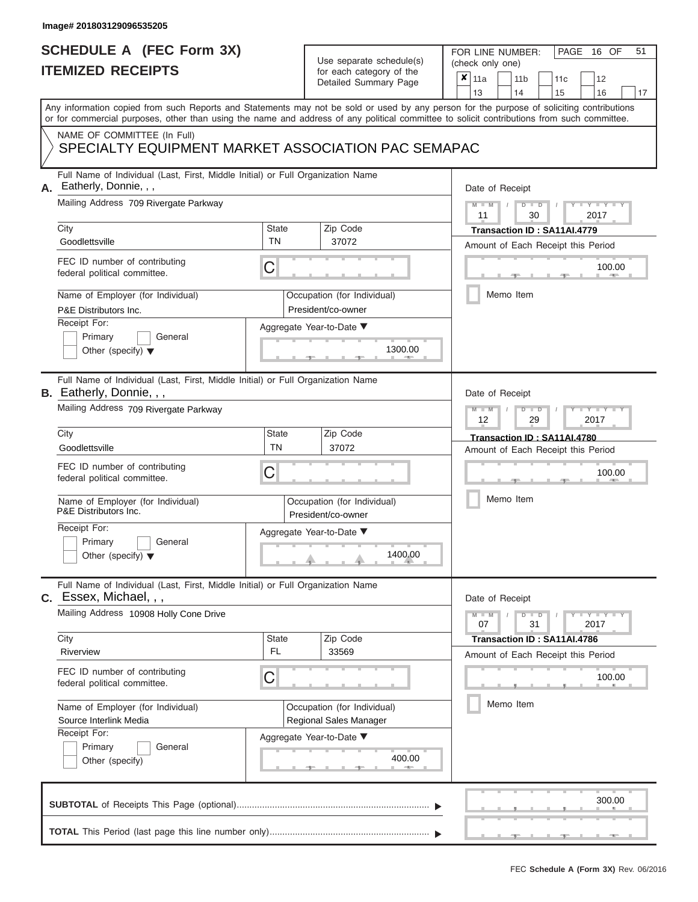# **SCHEDULE A (FEC Form 3X)**

# Use separate schedule(s)

| SCHEDULE A (FEC Form 3X)<br><b>ITEMIZED RECEIPTS</b>                                                                                                                                                                                                                                                                                                                                           |                                | Use separate schedule(s)<br>for each category of the<br>Detailed Summary Page                                    | 51<br>FOR LINE NUMBER:<br>PAGE<br>16 OF<br>(check only one)<br>$\boldsymbol{x}$<br>11a<br>11 <sub>b</sub><br>12<br>11c<br>16<br>13<br>14<br>15<br>17                                                                 |
|------------------------------------------------------------------------------------------------------------------------------------------------------------------------------------------------------------------------------------------------------------------------------------------------------------------------------------------------------------------------------------------------|--------------------------------|------------------------------------------------------------------------------------------------------------------|----------------------------------------------------------------------------------------------------------------------------------------------------------------------------------------------------------------------|
| Any information copied from such Reports and Statements may not be sold or used by any person for the purpose of soliciting contributions<br>or for commercial purposes, other than using the name and address of any political committee to solicit contributions from such committee.<br>NAME OF COMMITTEE (In Full)<br>SPECIALTY EQUIPMENT MARKET ASSOCIATION PAC SEMAPAC                   |                                |                                                                                                                  |                                                                                                                                                                                                                      |
| Full Name of Individual (Last, First, Middle Initial) or Full Organization Name<br>Eatherly, Donnie, , ,<br>А.<br>Mailing Address 709 Rivergate Parkway<br>City<br>Goodlettsville<br>FEC ID number of contributing<br>federal political committee.<br>Name of Employer (for Individual)<br>P&E Distributors Inc.<br>Receipt For:<br>Primary<br>General<br>Other (specify) $\blacktriangledown$ | <b>State</b><br><b>TN</b><br>С | Zip Code<br>37072<br>Occupation (for Individual)<br>President/co-owner<br>Aggregate Year-to-Date ▼<br>1300.00    | Date of Receipt<br>$M$ – $M$ /<br>$D$ $D$<br>$Y - Y - I$<br>11<br>30<br>2017<br>Transaction ID: SA11AI.4779<br>Amount of Each Receipt this Period<br>100.00<br><b>AND IN</b><br>Memo Item                            |
| Full Name of Individual (Last, First, Middle Initial) or Full Organization Name<br>B. Eatherly, Donnie, , ,<br>Mailing Address 709 Rivergate Parkway<br>City<br>Goodlettsville<br>FEC ID number of contributing<br>federal political committee.<br>Name of Employer (for Individual)<br>P&E Distributors Inc.<br>Receipt For:<br>Primary<br>General<br>Other (specify) $\blacktriangledown$    | <b>State</b><br><b>TN</b><br>С | Zip Code<br>37072<br>Occupation (for Individual)<br>President/co-owner<br>Aggregate Year-to-Date ▼<br>1400.00    | Date of Receipt<br>$M - M$<br>$D$ $D$<br>YIYI<br>12<br>2017<br>29<br>Transaction ID: SA11AI.4780<br>Amount of Each Receipt this Period<br>100.00<br>Memo Item                                                        |
| Full Name of Individual (Last, First, Middle Initial) or Full Organization Name<br>$C.$ Essex, Michael, , ,<br>Mailing Address 10908 Holly Cone Drive<br>City<br>Riverview<br>FEC ID number of contributing<br>federal political committee.<br>Name of Employer (for Individual)<br>Source Interlink Media<br>Receipt For:<br>Primary<br>General<br>Other (specify)                            | <b>State</b><br>FL.<br>С       | Zip Code<br>33569<br>Occupation (for Individual)<br>Regional Sales Manager<br>Aggregate Year-to-Date ▼<br>400.00 | Date of Receipt<br>$M - M$<br>$D$ $D$<br>$\blacksquare$ $\vdash$ $\vdash$ $\vdash$ $\vdash$ $\vdash$<br>07<br>31<br>2017<br>Transaction ID: SA11AI.4786<br>Amount of Each Receipt this Period<br>100.00<br>Memo Item |
|                                                                                                                                                                                                                                                                                                                                                                                                |                                |                                                                                                                  | 300.00                                                                                                                                                                                                               |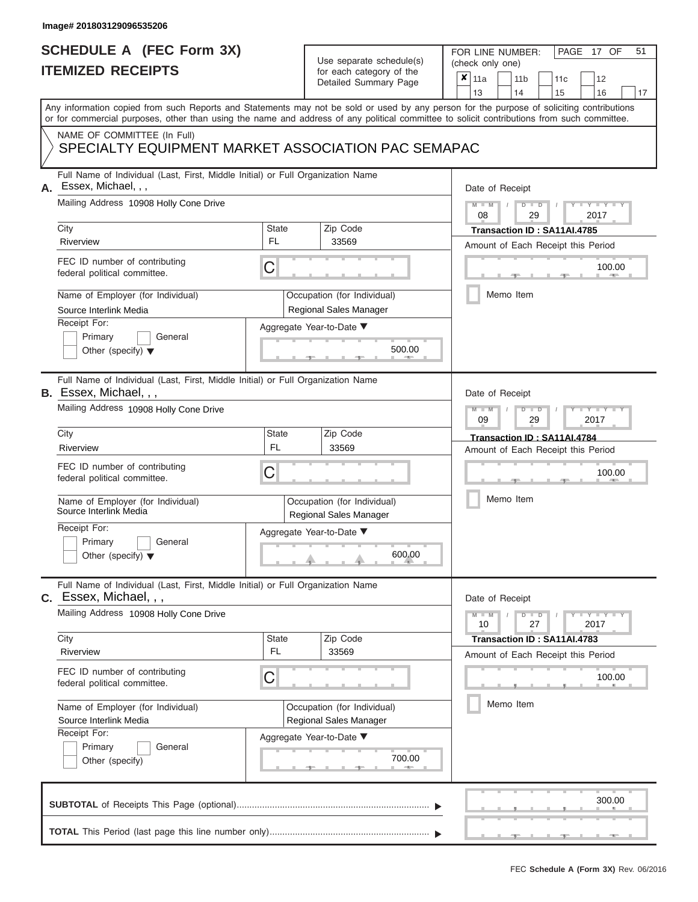## **SCHEDULE A (FEC Form 3X) ITEMIZED RECEIPTS**

| SCHEDULE A (FEC Form 3X)<br><b>ITEMIZED RECEIPTS</b>                                                                                                                                                                                                                                    |                           | Use separate schedule(s)<br>for each category of the                                        | 51<br>FOR LINE NUMBER:<br>PAGE 17 OF<br>(check only one)                                           |
|-----------------------------------------------------------------------------------------------------------------------------------------------------------------------------------------------------------------------------------------------------------------------------------------|---------------------------|---------------------------------------------------------------------------------------------|----------------------------------------------------------------------------------------------------|
|                                                                                                                                                                                                                                                                                         |                           | Detailed Summary Page                                                                       | ×<br>11a<br>11 <sub>b</sub><br>12<br>11 <sub>c</sub><br>13<br>14<br>15<br>16<br>17                 |
| Any information copied from such Reports and Statements may not be sold or used by any person for the purpose of soliciting contributions<br>or for commercial purposes, other than using the name and address of any political committee to solicit contributions from such committee. |                           |                                                                                             |                                                                                                    |
| NAME OF COMMITTEE (In Full)<br>SPECIALTY EQUIPMENT MARKET ASSOCIATION PAC SEMAPAC                                                                                                                                                                                                       |                           |                                                                                             |                                                                                                    |
| Full Name of Individual (Last, First, Middle Initial) or Full Organization Name<br>Essex, Michael, , ,<br>Mailing Address 10908 Holly Cone Drive                                                                                                                                        |                           |                                                                                             | Date of Receipt                                                                                    |
| City                                                                                                                                                                                                                                                                                    | <b>State</b>              | Zip Code                                                                                    | $M - M$<br>$D$ $D$<br>$Y - Y - I$<br>$\sqrt{ }$<br>08<br>29<br>2017<br>Transaction ID: SA11AI.4785 |
| Riverview<br>FEC ID number of contributing<br>federal political committee.                                                                                                                                                                                                              | FL<br>C                   | 33569                                                                                       | Amount of Each Receipt this Period<br>100.00<br><b>AND IN</b>                                      |
| Name of Employer (for Individual)<br>Source Interlink Media<br>Receipt For:<br>Primary<br>General<br>Other (specify) $\blacktriangledown$                                                                                                                                               |                           | Occupation (for Individual)<br>Regional Sales Manager<br>Aggregate Year-to-Date ▼<br>500.00 | Memo Item                                                                                          |
| Full Name of Individual (Last, First, Middle Initial) or Full Organization Name<br>B. Essex, Michael, , ,<br>Mailing Address 10908 Holly Cone Drive                                                                                                                                     |                           |                                                                                             | Date of Receipt<br>$M - M$<br>$D$ $D$<br>Y Y                                                       |
| City<br>Riverview                                                                                                                                                                                                                                                                       | State<br><b>FL</b>        | Zip Code<br>33569                                                                           | 09<br>2017<br>29<br>Transaction ID: SA11AI.4784<br>Amount of Each Receipt this Period              |
| FEC ID number of contributing<br>federal political committee.                                                                                                                                                                                                                           | С                         |                                                                                             | 100.00                                                                                             |
| Name of Employer (for Individual)<br>Source Interlink Media                                                                                                                                                                                                                             |                           | Occupation (for Individual)<br>Regional Sales Manager                                       | Memo Item                                                                                          |
| Receipt For:<br>Primary<br>General<br>Other (specify) $\blacktriangledown$                                                                                                                                                                                                              |                           | Aggregate Year-to-Date ▼<br>600.00                                                          |                                                                                                    |
| Full Name of Individual (Last, First, Middle Initial) or Full Organization Name<br>C. Essex, Michael, , ,                                                                                                                                                                               |                           |                                                                                             | Date of Receipt                                                                                    |
| Mailing Address 10908 Holly Cone Drive                                                                                                                                                                                                                                                  |                           |                                                                                             | $T - Y = T - Y$<br>$M - M$<br>$D$ $D$<br>10<br>27<br>2017                                          |
| City<br>Riverview                                                                                                                                                                                                                                                                       | <b>State</b><br><b>FL</b> | Zip Code<br>33569                                                                           | Transaction ID: SA11AI.4783<br>Amount of Each Receipt this Period                                  |
| FEC ID number of contributing<br>federal political committee.                                                                                                                                                                                                                           | С                         |                                                                                             | 100.00                                                                                             |
| Name of Employer (for Individual)<br>Source Interlink Media<br>Receipt For:<br>Primary<br>General<br>Other (specify)                                                                                                                                                                    |                           | Occupation (for Individual)<br>Regional Sales Manager<br>Aggregate Year-to-Date ▼<br>700.00 | Memo Item                                                                                          |
|                                                                                                                                                                                                                                                                                         |                           |                                                                                             | 300.00                                                                                             |

 $\frac{1}{2}$  ,  $\frac{1}{2}$  ,  $\frac{1}{2}$  ,  $\frac{1}{2}$  ,  $\frac{1}{2}$  ,  $\frac{1}{2}$  ,  $\frac{1}{2}$  ,  $\frac{1}{2}$  ,  $\frac{1}{2}$  ,  $\frac{1}{2}$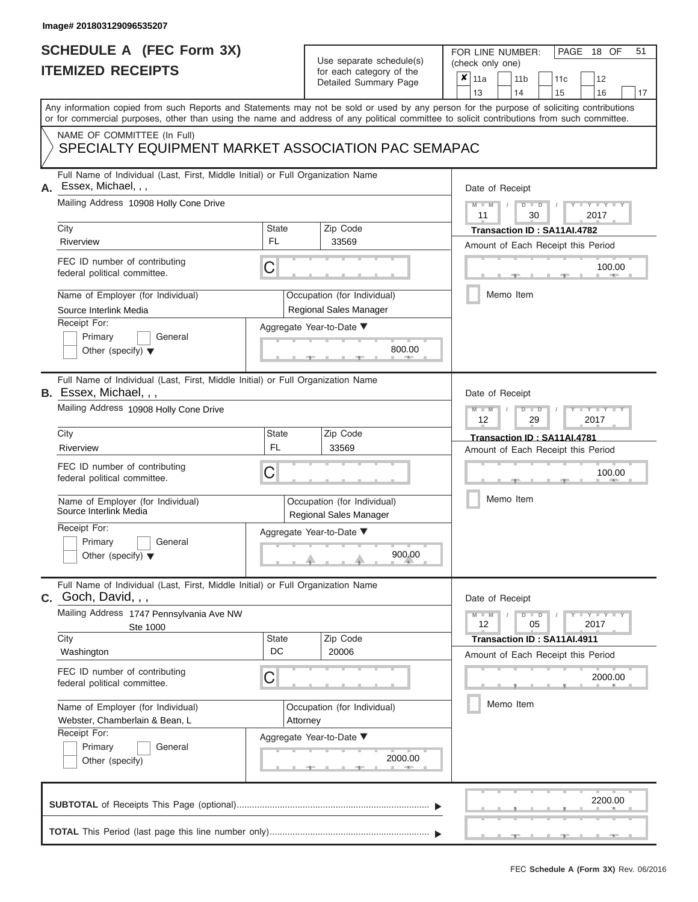## **SCHEDULE A (FEC Form 3X) ITEMIZED RECEIPTS**

FOR LINE NUMBER:<br>(check only one)

PAGE 18 OF 51

| <u>IIEMIZED REVEIFIJ</u> |                                                                                                                                                                                                                                                                                         |                    | for each category of the<br>Detailed Summary Page            | $\pmb{\times}$                                                                              | 11a             |  | 11 <sub>b</sub> |    | 11c                                |      | 12                  |    |  |  |  |  |
|--------------------------|-----------------------------------------------------------------------------------------------------------------------------------------------------------------------------------------------------------------------------------------------------------------------------------------|--------------------|--------------------------------------------------------------|---------------------------------------------------------------------------------------------|-----------------|--|-----------------|----|------------------------------------|------|---------------------|----|--|--|--|--|
|                          |                                                                                                                                                                                                                                                                                         |                    |                                                              |                                                                                             | 13              |  | 14              |    | 15                                 |      | 16                  | 17 |  |  |  |  |
|                          | Any information copied from such Reports and Statements may not be sold or used by any person for the purpose of soliciting contributions<br>or for commercial purposes, other than using the name and address of any political committee to solicit contributions from such committee. |                    |                                                              |                                                                                             |                 |  |                 |    |                                    |      |                     |    |  |  |  |  |
|                          | NAME OF COMMITTEE (In Full)<br>SPECIALTY EQUIPMENT MARKET ASSOCIATION PAC SEMAPAC                                                                                                                                                                                                       |                    |                                                              |                                                                                             |                 |  |                 |    |                                    |      |                     |    |  |  |  |  |
| А.                       | Full Name of Individual (Last, First, Middle Initial) or Full Organization Name<br>Essex, Michael, , ,                                                                                                                                                                                  |                    |                                                              |                                                                                             | Date of Receipt |  |                 |    |                                    |      |                     |    |  |  |  |  |
|                          | Mailing Address 10908 Holly Cone Drive                                                                                                                                                                                                                                                  |                    |                                                              | $M - M$<br>$Y - Y - Y$<br>$D$ $D$<br>2017<br>11<br>30<br><b>Transaction ID: SA11AI.4782</b> |                 |  |                 |    |                                    |      |                     |    |  |  |  |  |
|                          | City                                                                                                                                                                                                                                                                                    | State              | Zip Code                                                     |                                                                                             |                 |  |                 |    |                                    |      |                     |    |  |  |  |  |
|                          | Riverview                                                                                                                                                                                                                                                                               | FL.                | 33569                                                        | Amount of Each Receipt this Period                                                          |                 |  |                 |    |                                    |      |                     |    |  |  |  |  |
|                          | FEC ID number of contributing<br>federal political committee.                                                                                                                                                                                                                           | C                  |                                                              | 100.00<br><b>ARTIS</b>                                                                      |                 |  |                 |    |                                    |      |                     |    |  |  |  |  |
|                          | Name of Employer (for Individual)<br>Source Interlink Media                                                                                                                                                                                                                             |                    | Occupation (for Individual)<br>Regional Sales Manager        |                                                                                             |                 |  | Memo Item       |    |                                    |      |                     |    |  |  |  |  |
|                          | Receipt For:                                                                                                                                                                                                                                                                            |                    | Aggregate Year-to-Date ▼                                     |                                                                                             |                 |  |                 |    |                                    |      |                     |    |  |  |  |  |
|                          | Primary<br>General<br>Other (specify) $\blacktriangledown$                                                                                                                                                                                                                              |                    | 800.00                                                       |                                                                                             |                 |  |                 |    |                                    |      |                     |    |  |  |  |  |
|                          | Full Name of Individual (Last, First, Middle Initial) or Full Organization Name<br><b>B.</b> Essex, Michael, , ,                                                                                                                                                                        |                    |                                                              |                                                                                             | Date of Receipt |  |                 |    |                                    |      |                     |    |  |  |  |  |
|                          | Mailing Address 10908 Holly Cone Drive                                                                                                                                                                                                                                                  |                    |                                                              | $M - M$<br>$D$ $D$<br>Y TYT<br>12<br>29<br>2017                                             |                 |  |                 |    |                                    |      |                     |    |  |  |  |  |
|                          | City                                                                                                                                                                                                                                                                                    | <b>State</b>       | Zip Code                                                     | Transaction ID: SA11AI.4781<br>Amount of Each Receipt this Period                           |                 |  |                 |    |                                    |      |                     |    |  |  |  |  |
|                          | Riverview                                                                                                                                                                                                                                                                               | <b>FL</b>          | 33569                                                        |                                                                                             |                 |  |                 |    |                                    |      |                     |    |  |  |  |  |
|                          | FEC ID number of contributing<br>federal political committee.                                                                                                                                                                                                                           | C                  |                                                              |                                                                                             | 100.00          |  |                 |    |                                    |      |                     |    |  |  |  |  |
|                          | Name of Employer (for Individual)<br>Source Interlink Media                                                                                                                                                                                                                             |                    | Occupation (for Individual)<br><b>Regional Sales Manager</b> |                                                                                             |                 |  | Memo Item       |    |                                    |      |                     |    |  |  |  |  |
|                          | Receipt For:<br>Primary<br>General<br>Other (specify) $\blacktriangledown$                                                                                                                                                                                                              |                    | Aggregate Year-to-Date ▼<br>900.00                           |                                                                                             |                 |  |                 |    |                                    |      |                     |    |  |  |  |  |
|                          | Full Name of Individual (Last, First, Middle Initial) or Full Organization Name<br>$C.$ Goch, David, , ,                                                                                                                                                                                |                    |                                                              |                                                                                             | Date of Receipt |  |                 |    |                                    |      |                     |    |  |  |  |  |
|                          | Mailing Address 1747 Pennsylvania Ave NW<br>Ste 1000                                                                                                                                                                                                                                    |                    |                                                              |                                                                                             | $M - M$<br>12   |  | $D$ $D$         | 05 |                                    | 2017 | $Y - Y - Y - Y - Y$ |    |  |  |  |  |
|                          | City<br>Washington                                                                                                                                                                                                                                                                      | <b>State</b><br>DC | Zip Code<br>20006                                            |                                                                                             |                 |  |                 |    | Transaction ID: SA11AI.4911        |      |                     |    |  |  |  |  |
|                          |                                                                                                                                                                                                                                                                                         |                    |                                                              |                                                                                             |                 |  |                 |    | Amount of Each Receipt this Period |      |                     |    |  |  |  |  |
|                          | FEC ID number of contributing<br>federal political committee.                                                                                                                                                                                                                           | C                  |                                                              |                                                                                             | 2000.00         |  |                 |    |                                    |      |                     |    |  |  |  |  |
|                          | Name of Employer (for Individual)<br>Webster, Chamberlain & Bean, L                                                                                                                                                                                                                     |                    | Occupation (for Individual)<br>Attorney                      |                                                                                             |                 |  | Memo Item       |    |                                    |      |                     |    |  |  |  |  |
|                          | Receipt For:<br>Primary<br>General<br>Other (specify)                                                                                                                                                                                                                                   |                    | Aggregate Year-to-Date ▼<br>2000.00<br><b>ARTIS</b>          |                                                                                             |                 |  |                 |    |                                    |      |                     |    |  |  |  |  |
|                          |                                                                                                                                                                                                                                                                                         |                    |                                                              |                                                                                             |                 |  |                 |    |                                    |      | 2200.00             |    |  |  |  |  |
|                          |                                                                                                                                                                                                                                                                                         |                    |                                                              |                                                                                             |                 |  |                 |    |                                    |      |                     |    |  |  |  |  |

 ▲ ▲ ▲ , , .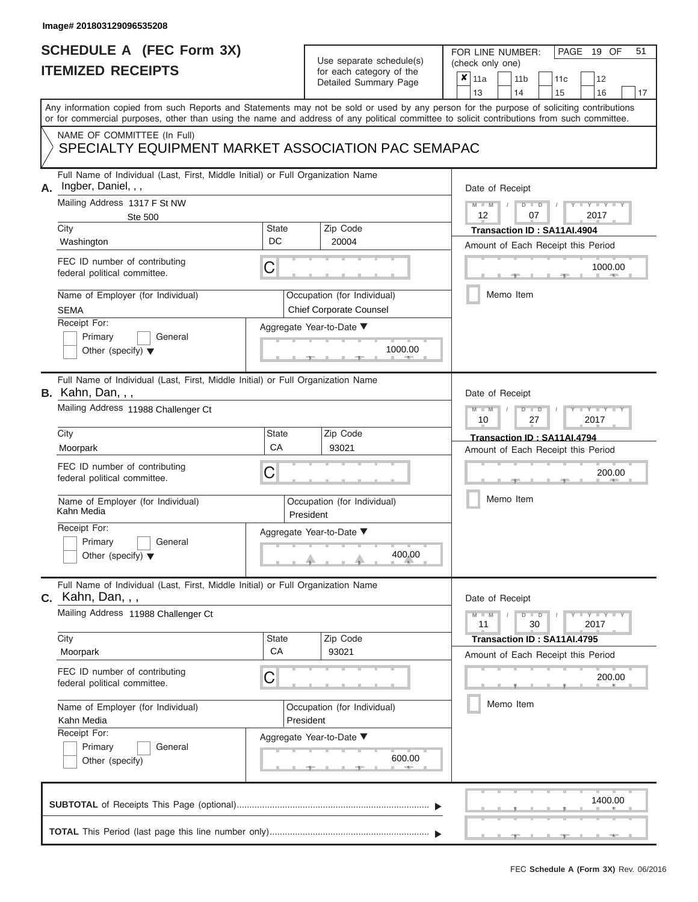# **SCHEDULE A (FEC Form 3X)**

# Use separate schedule(s)

| SCHEDULE A (FEC Form 3X)<br><b>ITEMIZED RECEIPTS</b>                                                                                                                                                                                                                                                                                                                                    |                         | Use separate schedule(s)<br>for each category of the<br>Detailed Summary Page                                             | 51<br>FOR LINE NUMBER:<br>PAGE<br>19 OF<br>(check only one)<br>$\boldsymbol{x}$<br>11a<br>11 <sub>b</sub><br>12<br>11c<br>13<br>16<br>14<br>15<br>17                                        |
|-----------------------------------------------------------------------------------------------------------------------------------------------------------------------------------------------------------------------------------------------------------------------------------------------------------------------------------------------------------------------------------------|-------------------------|---------------------------------------------------------------------------------------------------------------------------|---------------------------------------------------------------------------------------------------------------------------------------------------------------------------------------------|
| Any information copied from such Reports and Statements may not be sold or used by any person for the purpose of soliciting contributions<br>or for commercial purposes, other than using the name and address of any political committee to solicit contributions from such committee.<br>NAME OF COMMITTEE (In Full)<br>SPECIALTY EQUIPMENT MARKET ASSOCIATION PAC SEMAPAC            |                         |                                                                                                                           |                                                                                                                                                                                             |
| Full Name of Individual (Last, First, Middle Initial) or Full Organization Name<br>Ingber, Daniel, , ,<br>А.<br>Mailing Address 1317 F St NW<br><b>Ste 500</b><br>City<br>Washington<br>FEC ID number of contributing<br>federal political committee.<br>Name of Employer (for Individual)<br><b>SEMA</b><br>Receipt For:<br>Primary<br>General<br>Other (specify) $\blacktriangledown$ | <b>State</b><br>DC<br>С | Zip Code<br>20004<br>Occupation (for Individual)<br><b>Chief Corporate Counsel</b><br>Aggregate Year-to-Date ▼<br>1000.00 | Date of Receipt<br>$M - M$ /<br>$D$ $D$<br>$Y - Y - I$<br>12<br>07<br>2017<br>Transaction ID: SA11AI.4904<br>Amount of Each Receipt this Period<br>1000.00<br><b>ARCHITECT</b><br>Memo Item |
| Full Name of Individual (Last, First, Middle Initial) or Full Organization Name<br><b>B.</b> Kahn, Dan, , ,<br>Mailing Address 11988 Challenger Ct<br>City<br>Moorpark<br>FEC ID number of contributing<br>federal political committee.<br>Name of Employer (for Individual)<br>Kahn Media<br>Receipt For:<br>Primary<br>General<br>Other (specify) $\blacktriangledown$                | <b>State</b><br>CA<br>С | Zip Code<br>93021<br>Occupation (for Individual)<br>President<br>Aggregate Year-to-Date ▼<br>400.00                       | Date of Receipt<br>$M - M$<br>$D$ $D$<br>Y TYT<br>10<br>27<br>2017<br>Transaction ID: SA11AI.4794<br>Amount of Each Receipt this Period<br>200.00<br>Memo Item                              |
| Full Name of Individual (Last, First, Middle Initial) or Full Organization Name<br>$c.$ Kahn, Dan, , ,<br>Mailing Address 11988 Challenger Ct<br>City<br>Moorpark<br>FEC ID number of contributing<br>federal political committee.<br>Name of Employer (for Individual)<br>Kahn Media<br>Receipt For:<br>General<br>Primary<br>Other (specify)                                          | <b>State</b><br>CA<br>С | Zip Code<br>93021<br>Occupation (for Individual)<br>President<br>Aggregate Year-to-Date ▼<br>600.00                       | Date of Receipt<br>$M - M$<br>$D$ $D$<br>$\cdots$ Y $\cdots$ Y $\cdots$<br>30<br>2017<br>11<br>Transaction ID: SA11AI.4795<br>Amount of Each Receipt this Period<br>200.00<br>Memo Item     |
|                                                                                                                                                                                                                                                                                                                                                                                         |                         |                                                                                                                           | 1400.00                                                                                                                                                                                     |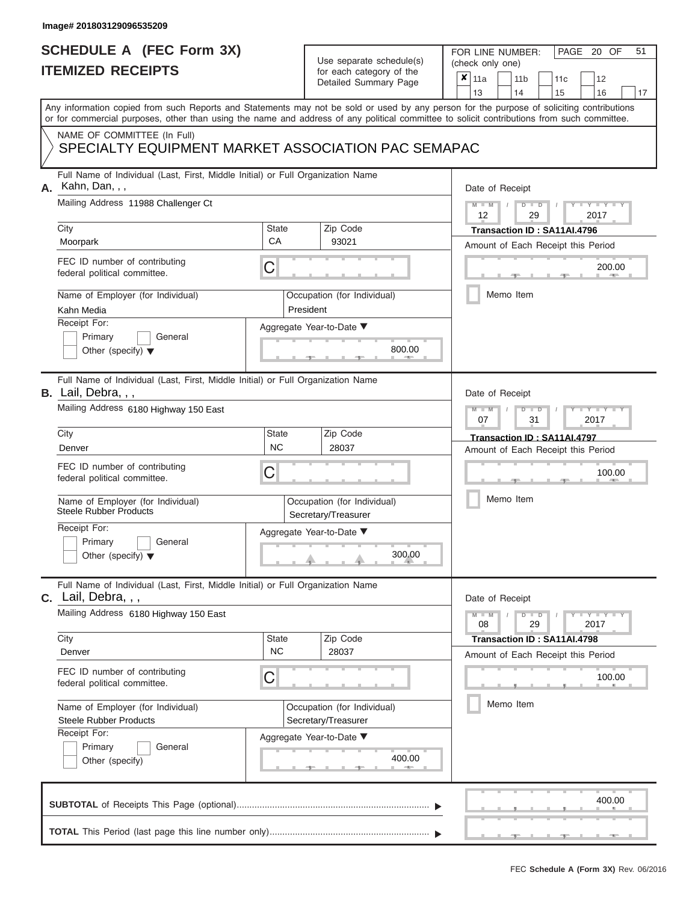|                          | <b>SCHEDULE A (FEC Form 3X)</b> |
|--------------------------|---------------------------------|
| <b>ITEMIZED RECEIPTS</b> |                                 |

FOR LINE NUMBER:

PAGE 20 OF 51

|    | <b>ILEMIZED REGEIPIS</b>                                                                                                                                                                                                                                                                |                                                    |           | for each category of the<br>Detailed Summary Page | $\pmb{\times}$ |                                    | 11a                                                        |                             | 11 <sub>b</sub> |               |  | 11c                                |      | 12                          |    |
|----|-----------------------------------------------------------------------------------------------------------------------------------------------------------------------------------------------------------------------------------------------------------------------------------------|----------------------------------------------------|-----------|---------------------------------------------------|----------------|------------------------------------|------------------------------------------------------------|-----------------------------|-----------------|---------------|--|------------------------------------|------|-----------------------------|----|
|    |                                                                                                                                                                                                                                                                                         |                                                    |           |                                                   |                |                                    | 13                                                         |                             | 14              |               |  | 15                                 |      | 16                          | 17 |
|    | Any information copied from such Reports and Statements may not be sold or used by any person for the purpose of soliciting contributions<br>or for commercial purposes, other than using the name and address of any political committee to solicit contributions from such committee. |                                                    |           |                                                   |                |                                    |                                                            |                             |                 |               |  |                                    |      |                             |    |
|    | NAME OF COMMITTEE (In Full)                                                                                                                                                                                                                                                             |                                                    |           |                                                   |                |                                    |                                                            |                             |                 |               |  |                                    |      |                             |    |
|    | SPECIALTY EQUIPMENT MARKET ASSOCIATION PAC SEMAPAC                                                                                                                                                                                                                                      |                                                    |           |                                                   |                |                                    |                                                            |                             |                 |               |  |                                    |      |                             |    |
| А. | Full Name of Individual (Last, First, Middle Initial) or Full Organization Name<br>Kahn, Dan, , ,                                                                                                                                                                                       |                                                    |           |                                                   |                |                                    | Date of Receipt                                            |                             |                 |               |  |                                    |      |                             |    |
|    | Mailing Address 11988 Challenger Ct                                                                                                                                                                                                                                                     |                                                    |           |                                                   |                |                                    | $M - M$<br>12                                              |                             |                 | $D$ $D$<br>29 |  |                                    |      | $T - Y = T - Y = T$<br>2017 |    |
|    | City                                                                                                                                                                                                                                                                                    | <b>State</b>                                       |           | Zip Code                                          |                |                                    |                                                            |                             |                 |               |  | Transaction ID: SA11AI.4796        |      |                             |    |
|    | Moorpark                                                                                                                                                                                                                                                                                | <b>CA</b>                                          |           | 93021                                             |                |                                    |                                                            |                             |                 |               |  | Amount of Each Receipt this Period |      |                             |    |
|    | FEC ID number of contributing<br>federal political committee.                                                                                                                                                                                                                           | C                                                  |           |                                                   |                |                                    |                                                            |                             |                 |               |  |                                    |      | 200.00<br><b>AREA</b>       |    |
|    | Name of Employer (for Individual)<br>Kahn Media                                                                                                                                                                                                                                         |                                                    | President | Occupation (for Individual)                       |                |                                    |                                                            | Memo Item                   |                 |               |  |                                    |      |                             |    |
|    | Receipt For:                                                                                                                                                                                                                                                                            |                                                    |           | Aggregate Year-to-Date ▼                          |                |                                    |                                                            |                             |                 |               |  |                                    |      |                             |    |
|    | Primary<br>General<br>Other (specify) $\blacktriangledown$                                                                                                                                                                                                                              |                                                    |           | 800.00                                            |                |                                    |                                                            |                             |                 |               |  |                                    |      |                             |    |
|    | Full Name of Individual (Last, First, Middle Initial) or Full Organization Name<br>B. Lail, Debra, , ,                                                                                                                                                                                  |                                                    |           |                                                   |                |                                    | Date of Receipt                                            |                             |                 |               |  |                                    |      |                             |    |
|    | Mailing Address 6180 Highway 150 East                                                                                                                                                                                                                                                   |                                                    |           |                                                   |                |                                    | $M - M$<br><b>TEXT TYPE</b><br>$D$ $D$<br>07<br>31<br>2017 |                             |                 |               |  |                                    |      |                             |    |
|    | City                                                                                                                                                                                                                                                                                    | State<br>Zip Code                                  |           |                                                   |                |                                    |                                                            | Transaction ID: SA11AI.4797 |                 |               |  |                                    |      |                             |    |
|    | Denver                                                                                                                                                                                                                                                                                  | <b>NC</b>                                          |           | 28037                                             |                | Amount of Each Receipt this Period |                                                            |                             |                 |               |  |                                    |      |                             |    |
|    | FEC ID number of contributing<br>C<br>federal political committee.                                                                                                                                                                                                                      |                                                    |           |                                                   |                |                                    |                                                            |                             |                 |               |  |                                    |      | 100.00                      |    |
|    | Name of Employer (for Individual)<br>Occupation (for Individual)<br><b>Steele Rubber Products</b><br>Secretary/Treasurer                                                                                                                                                                |                                                    |           |                                                   |                |                                    |                                                            | Memo Item                   |                 |               |  |                                    |      |                             |    |
|    | Receipt For:<br>Aggregate Year-to-Date ▼<br>Primary<br>General<br>300.00<br>Other (specify) $\blacktriangledown$                                                                                                                                                                        |                                                    |           |                                                   |                |                                    |                                                            |                             |                 |               |  |                                    |      |                             |    |
|    | Full Name of Individual (Last, First, Middle Initial) or Full Organization Name<br>$c.$ Lail, Debra, $,$                                                                                                                                                                                |                                                    |           |                                                   |                |                                    | Date of Receipt                                            |                             |                 |               |  |                                    |      |                             |    |
|    | Mailing Address 6180 Highway 150 East                                                                                                                                                                                                                                                   |                                                    |           |                                                   |                |                                    |                                                            |                             |                 | $D$ $D$<br>29 |  |                                    | 2017 | $-Y - Y - Y - Y$            |    |
|    | City                                                                                                                                                                                                                                                                                    | <b>State</b>                                       |           | Zip Code                                          |                |                                    |                                                            |                             |                 |               |  | Transaction ID: SA11AI.4798        |      |                             |    |
|    | Denver                                                                                                                                                                                                                                                                                  | <b>NC</b>                                          |           | 28037                                             |                |                                    |                                                            |                             |                 |               |  | Amount of Each Receipt this Period |      |                             |    |
|    | FEC ID number of contributing<br>federal political committee.                                                                                                                                                                                                                           | C                                                  |           |                                                   |                |                                    |                                                            |                             |                 |               |  |                                    |      | 100.00                      |    |
|    | Name of Employer (for Individual)<br><b>Steele Rubber Products</b>                                                                                                                                                                                                                      | Occupation (for Individual)<br>Secretary/Treasurer |           |                                                   |                |                                    |                                                            |                             | Memo Item       |               |  |                                    |      |                             |    |
|    | Receipt For:                                                                                                                                                                                                                                                                            | Aggregate Year-to-Date ▼                           |           |                                                   |                |                                    |                                                            |                             |                 |               |  |                                    |      |                             |    |
|    | General<br>Primary<br>Other (specify)                                                                                                                                                                                                                                                   |                                                    |           | 400.00<br><b>1. 400</b>                           |                |                                    |                                                            |                             |                 |               |  |                                    |      |                             |    |
|    |                                                                                                                                                                                                                                                                                         |                                                    |           |                                                   |                |                                    |                                                            |                             |                 |               |  |                                    |      | 400.00                      |    |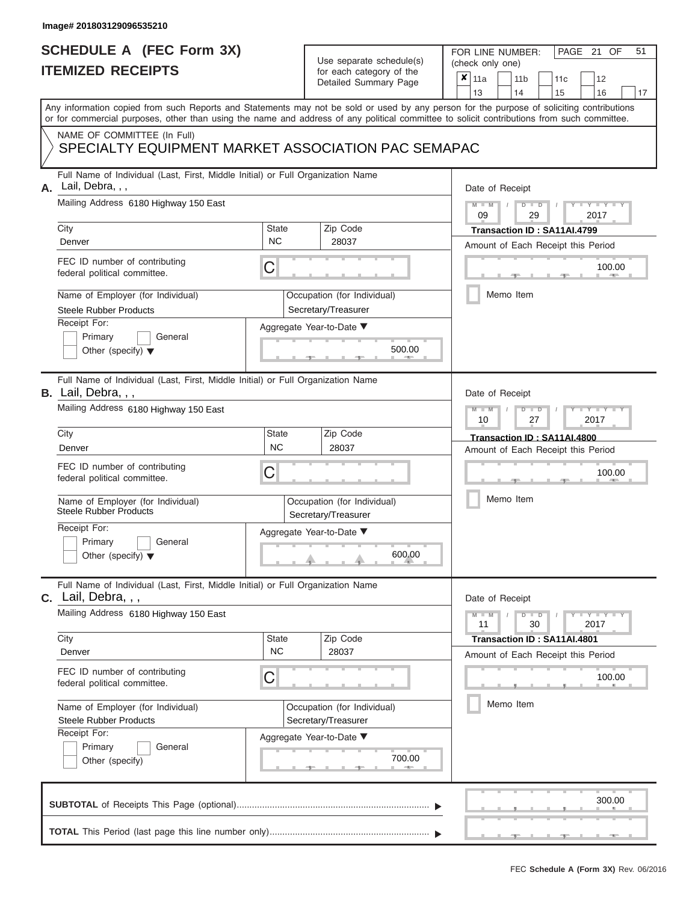# **SCHEDULE A (FEC Form 3X)**

# Use separate schedule(s)

| SCHEDULE A (FEC Form 3X)<br><b>ITEMIZED RECEIPTS</b>                                                                                                                                                                                                                                                                                                                                      |                                | Use separate schedule(s)<br>for each category of the<br>Detailed Summary Page                                 | 51<br>FOR LINE NUMBER:<br>PAGE 21<br>OF<br>(check only one)<br>$\boldsymbol{x}$<br>11a<br>11 <sub>b</sub><br>12<br>11c<br>16<br>13<br>14<br>15<br>17                                    |
|-------------------------------------------------------------------------------------------------------------------------------------------------------------------------------------------------------------------------------------------------------------------------------------------------------------------------------------------------------------------------------------------|--------------------------------|---------------------------------------------------------------------------------------------------------------|-----------------------------------------------------------------------------------------------------------------------------------------------------------------------------------------|
| Any information copied from such Reports and Statements may not be sold or used by any person for the purpose of soliciting contributions<br>or for commercial purposes, other than using the name and address of any political committee to solicit contributions from such committee.<br>NAME OF COMMITTEE (In Full)<br>SPECIALTY EQUIPMENT MARKET ASSOCIATION PAC SEMAPAC              |                                |                                                                                                               |                                                                                                                                                                                         |
| Full Name of Individual (Last, First, Middle Initial) or Full Organization Name<br>Lail, Debra, , ,<br>А.<br>Mailing Address 6180 Highway 150 East<br>City<br>Denver<br>FEC ID number of contributing<br>federal political committee.<br>Name of Employer (for Individual)<br><b>Steele Rubber Products</b><br>Receipt For:<br>Primary<br>General<br>Other (specify) $\blacktriangledown$ | <b>State</b><br><b>NC</b><br>С | Zip Code<br>28037<br>Occupation (for Individual)<br>Secretary/Treasurer<br>Aggregate Year-to-Date ▼<br>500.00 | Date of Receipt<br>$M - M$<br>$D$ $D$<br>$Y - Y - I$<br>$\sqrt{ }$<br>09<br>29<br>2017<br>Transaction ID: SA11AI.4799<br>Amount of Each Receipt this Period<br>100.00<br>Memo Item      |
| Full Name of Individual (Last, First, Middle Initial) or Full Organization Name<br>B. Lail, Debra, , ,<br>Mailing Address 6180 Highway 150 East<br>City<br>Denver<br>FEC ID number of contributing<br>federal political committee.<br>Name of Employer (for Individual)<br><b>Steele Rubber Products</b><br>Receipt For:<br>Primary<br>General<br>Other (specify) $\blacktriangledown$    | <b>State</b><br><b>NC</b><br>С | Zip Code<br>28037<br>Occupation (for Individual)<br>Secretary/Treasurer<br>Aggregate Year-to-Date ▼<br>600.00 | Date of Receipt<br>$M - M$<br>$D$ $D$<br>Y Y Y U<br>27<br>2017<br>10<br>Transaction ID: SA11AI.4800<br>Amount of Each Receipt this Period<br>100.00<br>Memo Item                        |
| Full Name of Individual (Last, First, Middle Initial) or Full Organization Name<br><b>C.</b> Lail, Debra, , ,<br>Mailing Address 6180 Highway 150 East<br>City<br>Denver<br>FEC ID number of contributing<br>federal political committee.<br>Name of Employer (for Individual)<br><b>Steele Rubber Products</b><br>Receipt For:<br>Primary<br>General<br>Other (specify)                  | <b>State</b><br><b>NC</b><br>С | Zip Code<br>28037<br>Occupation (for Individual)<br>Secretary/Treasurer<br>Aggregate Year-to-Date ▼<br>700.00 | Date of Receipt<br>$M - M$<br>$D$ $D$<br>$\cdots$ Y $\cdots$ Y $\cdots$<br>30<br>2017<br>11<br>Transaction ID: SA11AI.4801<br>Amount of Each Receipt this Period<br>100.00<br>Memo Item |
|                                                                                                                                                                                                                                                                                                                                                                                           |                                |                                                                                                               | 300.00                                                                                                                                                                                  |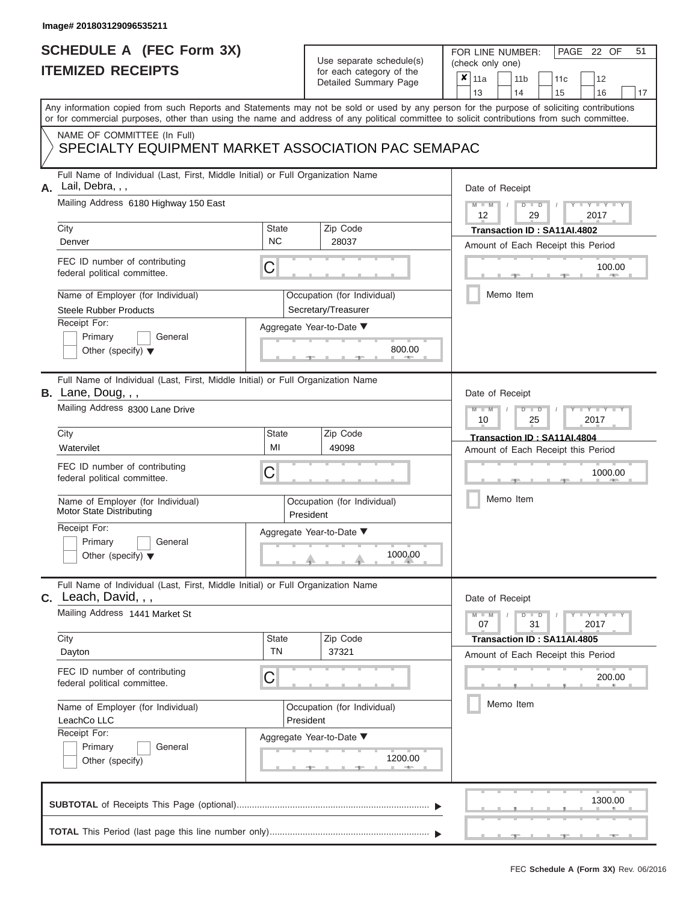|                          | <b>SCHEDULE A (FEC Form 3X)</b> |
|--------------------------|---------------------------------|
| <b>ITEMIZED RECEIPTS</b> |                                 |

FOR LINE NUMBER:<br>(check only one)

PAGE 22 OF 51

| IILMILLU NLVLIF IJ                                                                                                                                                                                                                                                                      |                                                                                 | iul each caleguly of the<br>Detailed Summary Page  | ×                                  | 11a                                    |           | 11 <sub>b</sub> |                                        | 11c                         |                                                                                                                          | 12      |    |  |  |  |  |
|-----------------------------------------------------------------------------------------------------------------------------------------------------------------------------------------------------------------------------------------------------------------------------------------|---------------------------------------------------------------------------------|----------------------------------------------------|------------------------------------|----------------------------------------|-----------|-----------------|----------------------------------------|-----------------------------|--------------------------------------------------------------------------------------------------------------------------|---------|----|--|--|--|--|
|                                                                                                                                                                                                                                                                                         |                                                                                 |                                                    |                                    | 13                                     |           | 14              |                                        | 15                          |                                                                                                                          | 16      | 17 |  |  |  |  |
| Any information copied from such Reports and Statements may not be sold or used by any person for the purpose of soliciting contributions<br>or for commercial purposes, other than using the name and address of any political committee to solicit contributions from such committee. |                                                                                 |                                                    |                                    |                                        |           |                 |                                        |                             |                                                                                                                          |         |    |  |  |  |  |
| NAME OF COMMITTEE (In Full)                                                                                                                                                                                                                                                             |                                                                                 |                                                    |                                    |                                        |           |                 |                                        |                             |                                                                                                                          |         |    |  |  |  |  |
| SPECIALTY EQUIPMENT MARKET ASSOCIATION PAC SEMAPAC                                                                                                                                                                                                                                      |                                                                                 |                                                    |                                    |                                        |           |                 |                                        |                             |                                                                                                                          |         |    |  |  |  |  |
| Lail, Debra, , ,<br>А.                                                                                                                                                                                                                                                                  | Full Name of Individual (Last, First, Middle Initial) or Full Organization Name |                                                    |                                    |                                        |           |                 |                                        |                             |                                                                                                                          |         |    |  |  |  |  |
| Mailing Address 6180 Highway 150 East                                                                                                                                                                                                                                                   |                                                                                 |                                                    |                                    | $M - M$<br>$D$ $D$<br>12<br>29<br>2017 |           |                 |                                        |                             |                                                                                                                          |         |    |  |  |  |  |
| City                                                                                                                                                                                                                                                                                    | State                                                                           | Zip Code                                           |                                    |                                        |           |                 |                                        | Transaction ID: SA11AI.4802 |                                                                                                                          |         |    |  |  |  |  |
| Denver                                                                                                                                                                                                                                                                                  | <b>NC</b>                                                                       | 28037                                              |                                    | Amount of Each Receipt this Period     |           |                 |                                        |                             |                                                                                                                          |         |    |  |  |  |  |
| FEC ID number of contributing<br>federal political committee.                                                                                                                                                                                                                           | С                                                                               |                                                    |                                    |                                        |           |                 |                                        |                             |                                                                                                                          | 100.00  |    |  |  |  |  |
| Name of Employer (for Individual)<br><b>Steele Rubber Products</b>                                                                                                                                                                                                                      |                                                                                 | Occupation (for Individual)<br>Secretary/Treasurer |                                    |                                        |           | Memo Item       |                                        |                             |                                                                                                                          |         |    |  |  |  |  |
| Receipt For:                                                                                                                                                                                                                                                                            |                                                                                 | Aggregate Year-to-Date ▼                           |                                    |                                        |           |                 |                                        |                             |                                                                                                                          |         |    |  |  |  |  |
| Primary<br>General                                                                                                                                                                                                                                                                      |                                                                                 |                                                    |                                    |                                        |           |                 |                                        |                             |                                                                                                                          |         |    |  |  |  |  |
| Other (specify) $\blacktriangledown$                                                                                                                                                                                                                                                    |                                                                                 | 800.00                                             |                                    |                                        |           |                 |                                        |                             |                                                                                                                          |         |    |  |  |  |  |
| <b>B.</b> Lane, Doug, , ,                                                                                                                                                                                                                                                               | Full Name of Individual (Last, First, Middle Initial) or Full Organization Name |                                                    |                                    |                                        |           |                 |                                        |                             |                                                                                                                          |         |    |  |  |  |  |
| Mailing Address 8300 Lane Drive                                                                                                                                                                                                                                                         |                                                                                 |                                                    |                                    |                                        |           |                 | $M - M$<br>$D$ $D$<br>10<br>25<br>2017 |                             |                                                                                                                          |         |    |  |  |  |  |
| City                                                                                                                                                                                                                                                                                    | Zip Code<br><b>State</b>                                                        |                                                    |                                    |                                        |           |                 |                                        |                             | Transaction ID: SA11AI.4804                                                                                              |         |    |  |  |  |  |
| Watervilet                                                                                                                                                                                                                                                                              | MI                                                                              | 49098                                              | Amount of Each Receipt this Period |                                        |           |                 |                                        |                             |                                                                                                                          |         |    |  |  |  |  |
| FEC ID number of contributing<br>federal political committee.                                                                                                                                                                                                                           | С                                                                               |                                                    |                                    |                                        |           |                 |                                        |                             |                                                                                                                          | 1000.00 |    |  |  |  |  |
| Name of Employer (for Individual)<br><b>Motor State Distributing</b>                                                                                                                                                                                                                    | Occupation (for Individual)<br>President                                        |                                                    |                                    |                                        | Memo Item |                 |                                        |                             |                                                                                                                          |         |    |  |  |  |  |
| Receipt For:                                                                                                                                                                                                                                                                            |                                                                                 | Aggregate Year-to-Date ▼                           |                                    |                                        |           |                 |                                        |                             |                                                                                                                          |         |    |  |  |  |  |
| Primary<br>General                                                                                                                                                                                                                                                                      |                                                                                 | 1000.00                                            |                                    |                                        |           |                 |                                        |                             |                                                                                                                          |         |    |  |  |  |  |
| Other (specify) $\blacktriangledown$                                                                                                                                                                                                                                                    |                                                                                 |                                                    |                                    |                                        |           |                 |                                        |                             |                                                                                                                          |         |    |  |  |  |  |
| $c.$ Leach, David, $, ,$                                                                                                                                                                                                                                                                | Full Name of Individual (Last, First, Middle Initial) or Full Organization Name |                                                    |                                    |                                        |           |                 |                                        |                             |                                                                                                                          |         |    |  |  |  |  |
| Mailing Address 1441 Market St                                                                                                                                                                                                                                                          |                                                                                 |                                                    |                                    | $M - M$<br>07                          |           | $D$ $D$         | 31                                     |                             | $\blacksquare \blacksquare \mathsf{Y} \blacksquare \blacksquare \mathsf{Y} \blacksquare \blacksquare \mathsf{Y}$<br>2017 |         |    |  |  |  |  |
| City                                                                                                                                                                                                                                                                                    | <b>State</b>                                                                    | Zip Code                                           |                                    |                                        |           |                 |                                        | Transaction ID: SA11AI.4805 |                                                                                                                          |         |    |  |  |  |  |
| Dayton                                                                                                                                                                                                                                                                                  | TN                                                                              | 37321                                              |                                    | Amount of Each Receipt this Period     |           |                 |                                        |                             |                                                                                                                          |         |    |  |  |  |  |
| FEC ID number of contributing<br>federal political committee.                                                                                                                                                                                                                           | C                                                                               |                                                    |                                    |                                        |           |                 |                                        |                             |                                                                                                                          | 200.00  |    |  |  |  |  |
| Name of Employer (for Individual)<br>LeachCo LLC                                                                                                                                                                                                                                        |                                                                                 | Occupation (for Individual)<br>President           |                                    |                                        |           | Memo Item       |                                        |                             |                                                                                                                          |         |    |  |  |  |  |
| Receipt For:                                                                                                                                                                                                                                                                            |                                                                                 | Aggregate Year-to-Date ▼                           |                                    |                                        |           |                 |                                        |                             |                                                                                                                          |         |    |  |  |  |  |
| Primary<br>General                                                                                                                                                                                                                                                                      |                                                                                 |                                                    |                                    |                                        |           |                 |                                        |                             |                                                                                                                          |         |    |  |  |  |  |
| Other (specify)                                                                                                                                                                                                                                                                         |                                                                                 | 1200.00                                            |                                    |                                        |           |                 |                                        |                             |                                                                                                                          |         |    |  |  |  |  |
|                                                                                                                                                                                                                                                                                         |                                                                                 |                                                    |                                    |                                        |           |                 |                                        |                             |                                                                                                                          | 1300.00 |    |  |  |  |  |
|                                                                                                                                                                                                                                                                                         |                                                                                 |                                                    |                                    |                                        |           |                 |                                        |                             |                                                                                                                          |         |    |  |  |  |  |
|                                                                                                                                                                                                                                                                                         |                                                                                 |                                                    |                                    |                                        |           |                 |                                        |                             |                                                                                                                          |         |    |  |  |  |  |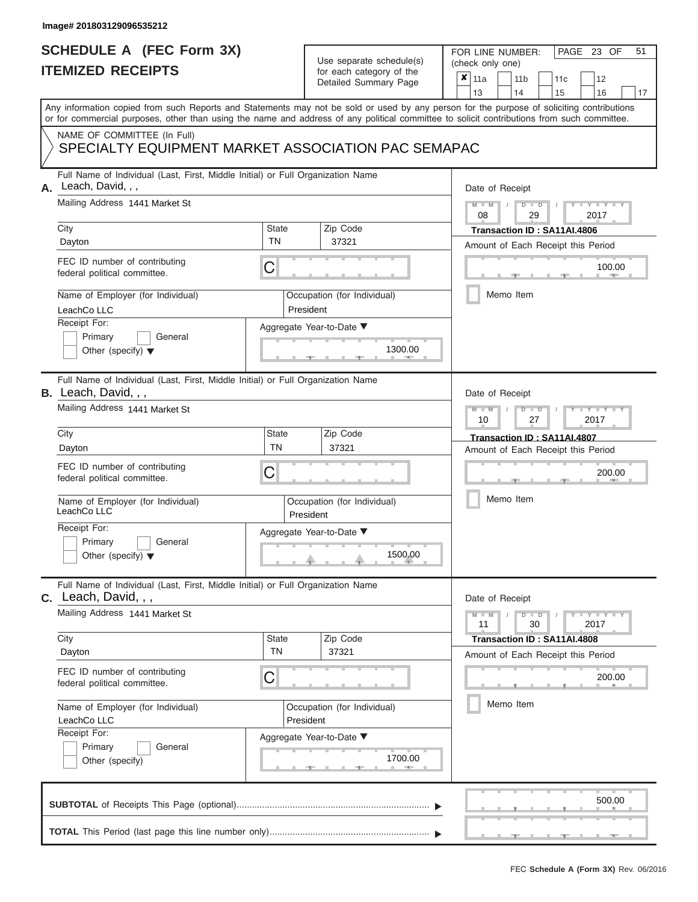## **SCHEDULE A (FEC Form 3X) ITEMIZED RECEIPTS**

# Use separate schedule(s)

| SCHEDULE A (FEC Form 3X)<br><b>ITEMIZED RECEIPTS</b>                                                                                       |                           | Use separate schedule(s)<br>for each category of the | 51<br>FOR LINE NUMBER:<br>PAGE 23 OF<br>(check only one)                                                                                  |  |  |  |  |  |
|--------------------------------------------------------------------------------------------------------------------------------------------|---------------------------|------------------------------------------------------|-------------------------------------------------------------------------------------------------------------------------------------------|--|--|--|--|--|
|                                                                                                                                            |                           | Detailed Summary Page                                | $\pmb{\times}$<br>11a<br>11 <sub>b</sub><br>12<br>11 <sub>c</sub><br>13<br>14<br>15<br>16<br>17                                           |  |  |  |  |  |
| or for commercial purposes, other than using the name and address of any political committee to solicit contributions from such committee. |                           |                                                      | Any information copied from such Reports and Statements may not be sold or used by any person for the purpose of soliciting contributions |  |  |  |  |  |
| NAME OF COMMITTEE (In Full)<br>SPECIALTY EQUIPMENT MARKET ASSOCIATION PAC SEMAPAC                                                          |                           |                                                      |                                                                                                                                           |  |  |  |  |  |
| Full Name of Individual (Last, First, Middle Initial) or Full Organization Name<br>Leach, David, , ,<br>Α.                                 |                           |                                                      | Date of Receipt                                                                                                                           |  |  |  |  |  |
| Mailing Address 1441 Market St<br>City                                                                                                     | <b>State</b>              | Zip Code                                             | $D$ $D$<br>Y I Y I<br>$M - M$<br>08<br>29<br>2017<br>Transaction ID: SA11AI.4806                                                          |  |  |  |  |  |
| Dayton                                                                                                                                     | <b>TN</b>                 | 37321                                                | Amount of Each Receipt this Period                                                                                                        |  |  |  |  |  |
| FEC ID number of contributing<br>federal political committee.                                                                              | С                         |                                                      | 100.00<br><b>Contract Contract</b>                                                                                                        |  |  |  |  |  |
| Name of Employer (for Individual)<br>LeachCo LLC                                                                                           |                           | Occupation (for Individual)<br>President             | Memo Item                                                                                                                                 |  |  |  |  |  |
| Receipt For:                                                                                                                               |                           | Aggregate Year-to-Date ▼                             |                                                                                                                                           |  |  |  |  |  |
| Primary<br>General<br>Other (specify) $\blacktriangledown$                                                                                 |                           | 1300.00                                              |                                                                                                                                           |  |  |  |  |  |
| Full Name of Individual (Last, First, Middle Initial) or Full Organization Name<br><b>B.</b> Leach, David, , ,                             |                           |                                                      | Date of Receipt                                                                                                                           |  |  |  |  |  |
| Mailing Address 1441 Market St                                                                                                             |                           |                                                      | $M - M$<br>$D$ $D$<br>$\mathbf{I} = \mathbf{Y} + \mathbf{Y} + \mathbf{I}$<br>10<br>2017<br>27                                             |  |  |  |  |  |
| City                                                                                                                                       | <b>State</b><br><b>TN</b> | Zip Code<br>37321                                    | Transaction ID: SA11AI.4807                                                                                                               |  |  |  |  |  |
| Dayton<br>FEC ID number of contributing                                                                                                    |                           |                                                      | Amount of Each Receipt this Period                                                                                                        |  |  |  |  |  |
| federal political committee.                                                                                                               | С                         |                                                      | 200.00                                                                                                                                    |  |  |  |  |  |
| Name of Employer (for Individual)<br>LeachCo LLC                                                                                           |                           | Occupation (for Individual)<br>President             | Memo Item                                                                                                                                 |  |  |  |  |  |
| Receipt For:                                                                                                                               |                           | Aggregate Year-to-Date ▼                             |                                                                                                                                           |  |  |  |  |  |
| Primary<br>General<br>Other (specify) $\blacktriangledown$                                                                                 |                           | 1500.00                                              |                                                                                                                                           |  |  |  |  |  |
| Full Name of Individual (Last, First, Middle Initial) or Full Organization Name<br>$c.$ Leach, David, $, ,$                                |                           |                                                      | Date of Receipt                                                                                                                           |  |  |  |  |  |
| Mailing Address 1441 Market St                                                                                                             |                           |                                                      | $M - M$<br>$D$ $\Box$ $D$<br>11<br>30<br>2017                                                                                             |  |  |  |  |  |
| City<br>Dayton                                                                                                                             | <b>State</b><br><b>TN</b> | Zip Code<br>37321                                    | Transaction ID: SA11AI.4808<br>Amount of Each Receipt this Period                                                                         |  |  |  |  |  |
| FEC ID number of contributing<br>federal political committee.                                                                              | С                         |                                                      | 200.00                                                                                                                                    |  |  |  |  |  |
| Name of Employer (for Individual)<br>LeachCo LLC                                                                                           |                           | Occupation (for Individual)<br>President             | Memo Item                                                                                                                                 |  |  |  |  |  |
| Receipt For:<br>Primary<br>General<br>Other (specify)                                                                                      |                           | Aggregate Year-to-Date ▼<br>1700.00                  |                                                                                                                                           |  |  |  |  |  |
|                                                                                                                                            |                           |                                                      | 500.00                                                                                                                                    |  |  |  |  |  |
|                                                                                                                                            |                           |                                                      |                                                                                                                                           |  |  |  |  |  |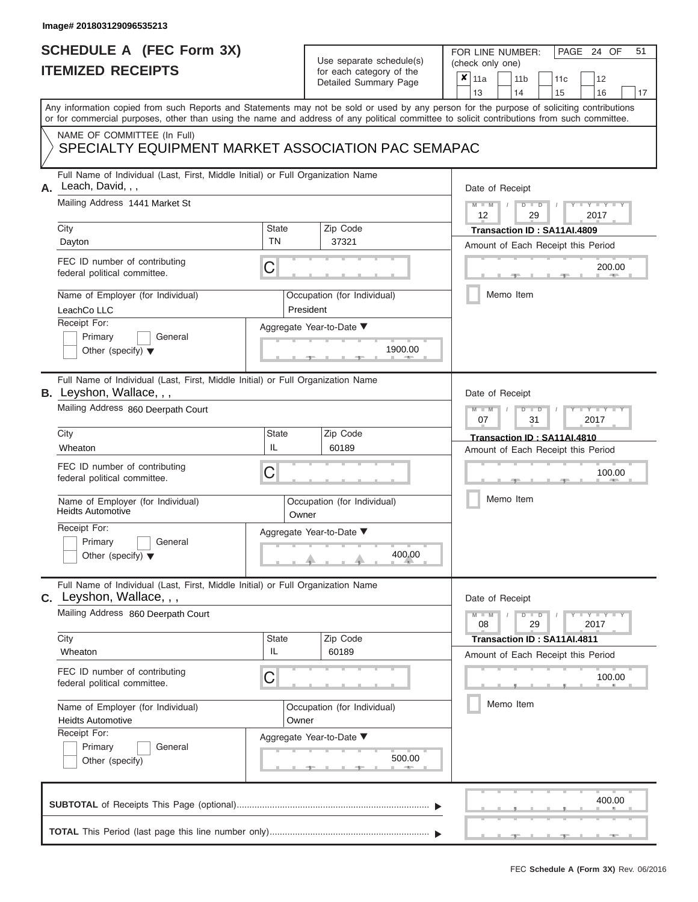## **SCHEDULE A (FEC Form 3X) ITEMIZED RECEIPTS**

# Use separate schedule(s)

| SCHEDULE A (FEC Form 3X)<br><b>ITEMIZED RECEIPTS</b>                                                                                                                                                                                                                                                                                                                                        |                                  | Use separate schedule(s)<br>for each category of the<br>Detailed Summary Page                        | 51<br>FOR LINE NUMBER:<br>PAGE 24 OF<br>(check only one)<br>$\boldsymbol{x}$<br>11a<br>11 <sub>b</sub><br>12<br>11 <sub>c</sub>                                                         |
|---------------------------------------------------------------------------------------------------------------------------------------------------------------------------------------------------------------------------------------------------------------------------------------------------------------------------------------------------------------------------------------------|----------------------------------|------------------------------------------------------------------------------------------------------|-----------------------------------------------------------------------------------------------------------------------------------------------------------------------------------------|
| Any information copied from such Reports and Statements may not be sold or used by any person for the purpose of soliciting contributions                                                                                                                                                                                                                                                   |                                  |                                                                                                      | 13<br>14<br>15<br>16<br>17                                                                                                                                                              |
| or for commercial purposes, other than using the name and address of any political committee to solicit contributions from such committee.<br>NAME OF COMMITTEE (In Full)<br>SPECIALTY EQUIPMENT MARKET ASSOCIATION PAC SEMAPAC                                                                                                                                                             |                                  |                                                                                                      |                                                                                                                                                                                         |
| Full Name of Individual (Last, First, Middle Initial) or Full Organization Name<br>Leach, David, , ,<br>А.<br>Mailing Address 1441 Market St<br>City<br>Dayton<br>FEC ID number of contributing<br>federal political committee.<br>Name of Employer (for Individual)<br>LeachCo LLC<br>Receipt For:<br>Primary<br>General<br>Other (specify) $\blacktriangledown$                           | <b>State</b><br>TN<br>С          | Zip Code<br>37321<br>Occupation (for Individual)<br>President<br>Aggregate Year-to-Date ▼<br>1900.00 | Date of Receipt<br>$M - M$ /<br>$D$ $D$<br>$Y - Y - I$<br>12<br>29<br>2017<br>Transaction ID: SA11AI.4809<br>Amount of Each Receipt this Period<br>200.00<br><b>AND IN</b><br>Memo Item |
| Full Name of Individual (Last, First, Middle Initial) or Full Organization Name<br><b>B.</b> Leyshon, Wallace, , ,<br>Mailing Address 860 Deerpath Court<br>City<br>Wheaton<br>FEC ID number of contributing<br>federal political committee.<br>Name of Employer (for Individual)<br><b>Heidts Automotive</b><br>Receipt For:<br>Primary<br>General<br>Other (specify) $\blacktriangledown$ | <b>State</b><br>IL<br>C<br>Owner | Zip Code<br>60189<br>Occupation (for Individual)<br>Aggregate Year-to-Date ▼<br>400.00               | Date of Receipt<br>$M - M$<br>$D$ $D$<br>Y TYT<br>07<br>31<br>2017<br>Transaction ID: SA11AI.4810<br>Amount of Each Receipt this Period<br>100.00<br>Memo Item                          |
| Full Name of Individual (Last, First, Middle Initial) or Full Organization Name<br>C. Leyshon, Wallace, , ,<br>Mailing Address 860 Deerpath Court<br>City<br>Wheaton<br>FEC ID number of contributing<br>federal political committee.<br>Name of Employer (for Individual)<br><b>Heidts Automotive</b><br>Receipt For:<br>Primary<br>General<br>Other (specify)                             | <b>State</b><br>IL<br>С<br>Owner | Zip Code<br>60189<br>Occupation (for Individual)<br>Aggregate Year-to-Date ▼<br>500.00               | Date of Receipt<br>$M - M$<br>$D$ $D$<br>$-1$ $-1$ $-1$ $-1$ $-1$ $-1$<br>29<br>2017<br>08<br>Transaction ID: SA11AI.4811<br>Amount of Each Receipt this Period<br>100.00<br>Memo Item  |
|                                                                                                                                                                                                                                                                                                                                                                                             |                                  |                                                                                                      | 400.00                                                                                                                                                                                  |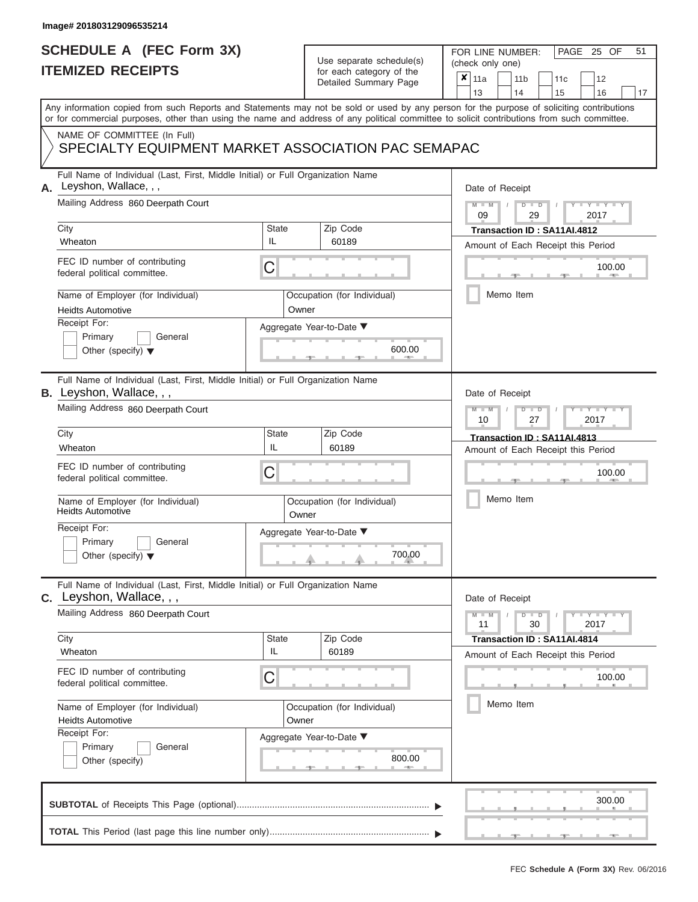### **SCHEDULE A (FEC Form 3X) ITEMIZED RECEIPTS**

# Use separate schedule(s)

| SCHEDULE A (FEC Form 3X)<br><b>ITEMIZED RECEIPTS</b>                                                                                                                                                                                                                                                                                                                                    |                                                                                      | Use separate schedule(s)<br>for each category of the<br>Detailed Summary Page          | 51<br>FOR LINE NUMBER:<br>PAGE 25 OF<br>(check only one)<br>$\boldsymbol{x}$<br>11a<br>11 <sub>b</sub><br>12<br>11 <sub>c</sub>                                                         |
|-----------------------------------------------------------------------------------------------------------------------------------------------------------------------------------------------------------------------------------------------------------------------------------------------------------------------------------------------------------------------------------------|--------------------------------------------------------------------------------------|----------------------------------------------------------------------------------------|-----------------------------------------------------------------------------------------------------------------------------------------------------------------------------------------|
| Any information copied from such Reports and Statements may not be sold or used by any person for the purpose of soliciting contributions<br>or for commercial purposes, other than using the name and address of any political committee to solicit contributions from such committee.                                                                                                 |                                                                                      |                                                                                        | 13<br>14<br>15<br>16<br>17                                                                                                                                                              |
| NAME OF COMMITTEE (In Full)<br>SPECIALTY EQUIPMENT MARKET ASSOCIATION PAC SEMAPAC                                                                                                                                                                                                                                                                                                       |                                                                                      |                                                                                        |                                                                                                                                                                                         |
| Full Name of Individual (Last, First, Middle Initial) or Full Organization Name<br>Leyshon, Wallace, , ,<br>А.<br>Mailing Address 860 Deerpath Court<br>City<br>Wheaton<br>FEC ID number of contributing<br>federal political committee.<br>Name of Employer (for Individual)<br><b>Heidts Automotive</b><br>Receipt For:<br>Primary<br>General<br>Other (specify) $\blacktriangledown$ | State<br>IL<br>С<br>Owner                                                            | Zip Code<br>60189<br>Occupation (for Individual)<br>Aggregate Year-to-Date ▼<br>600.00 | Date of Receipt<br>$M - M$ /<br>$D$ $D$<br>$Y - Y - I$<br>09<br>29<br>2017<br>Transaction ID: SA11AI.4812<br>Amount of Each Receipt this Period<br>100.00<br><b>AND IN</b><br>Memo Item |
| Full Name of Individual (Last, First, Middle Initial) or Full Organization Name<br><b>B.</b> Leyshon, Wallace, , ,<br>Mailing Address 860 Deerpath Court<br>City<br>Wheaton<br>FEC ID number of contributing<br>federal political committee.<br>Name of Employer (for Individual)<br><b>Heidts Automotive</b><br>Receipt For:                                                           | <b>State</b><br>Zip Code<br>IL<br>60189<br>С<br>Occupation (for Individual)<br>Owner |                                                                                        | Date of Receipt<br>$M - M$<br>$D$ $D$<br>Y TYT<br>2017<br>10<br>27<br>Transaction ID: SA11AI.4813<br>Amount of Each Receipt this Period<br>100.00<br>Memo Item                          |
| Primary<br>General<br>Other (specify) $\blacktriangledown$<br>Full Name of Individual (Last, First, Middle Initial) or Full Organization Name<br>C. Leyshon, Wallace, , ,<br>Mailing Address 860 Deerpath Court<br>City                                                                                                                                                                 | <b>State</b>                                                                         | $\begin{array}{c}\n700.00 \\ \hline\n\end{array}$<br>Zip Code                          | Date of Receipt<br>$M - M$<br>$D$ $D$<br>$\mathbf{I} = \mathbf{Y} - \mathbf{I} - \mathbf{Y} - \mathbf{I}$<br>11<br>30<br>2017<br>Transaction ID: SA11AI.4814                            |
| Wheaton<br>FEC ID number of contributing<br>federal political committee.<br>Name of Employer (for Individual)<br><b>Heidts Automotive</b><br>Receipt For:<br>Primary<br>General<br>Other (specify)                                                                                                                                                                                      | IL<br>С<br>Owner                                                                     | 60189<br>Occupation (for Individual)<br>Aggregate Year-to-Date ▼<br>800.00             | Amount of Each Receipt this Period<br>100.00<br>Memo Item                                                                                                                               |
|                                                                                                                                                                                                                                                                                                                                                                                         |                                                                                      |                                                                                        | 300.00                                                                                                                                                                                  |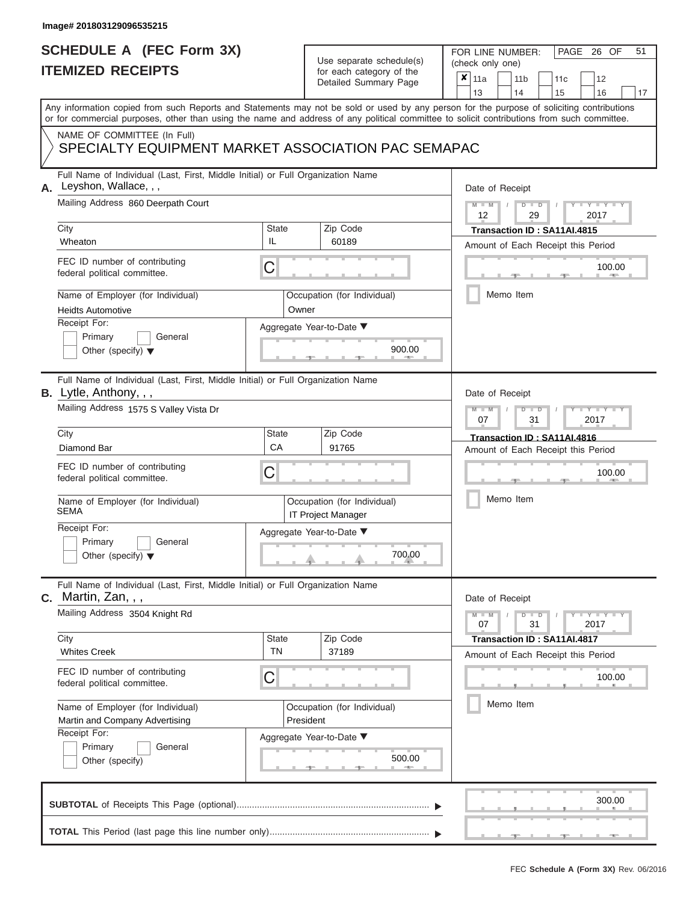## **SCHEDULE A (FEC Form 3X) ITEMIZED RECEIPTS**

# Use separate schedule(s)

| SCHEDULE A (FEC Form 3X)<br><b>ITEMIZED RECEIPTS</b>                                                                                                                                                                                                                                    |                    | Use separate schedule(s)<br>for each category of the                    | 51<br>FOR LINE NUMBER:<br>PAGE 26 OF<br>(check only one)                             |  |  |  |  |  |
|-----------------------------------------------------------------------------------------------------------------------------------------------------------------------------------------------------------------------------------------------------------------------------------------|--------------------|-------------------------------------------------------------------------|--------------------------------------------------------------------------------------|--|--|--|--|--|
|                                                                                                                                                                                                                                                                                         |                    | Detailed Summary Page                                                   | ×<br>11a<br>11 <sub>b</sub><br>12<br>11c<br>13<br>14<br>15<br>16<br>17               |  |  |  |  |  |
| Any information copied from such Reports and Statements may not be sold or used by any person for the purpose of soliciting contributions<br>or for commercial purposes, other than using the name and address of any political committee to solicit contributions from such committee. |                    |                                                                         |                                                                                      |  |  |  |  |  |
| NAME OF COMMITTEE (In Full)<br>SPECIALTY EQUIPMENT MARKET ASSOCIATION PAC SEMAPAC                                                                                                                                                                                                       |                    |                                                                         |                                                                                      |  |  |  |  |  |
| Full Name of Individual (Last, First, Middle Initial) or Full Organization Name<br>Leyshon, Wallace, , ,                                                                                                                                                                                |                    |                                                                         | Date of Receipt                                                                      |  |  |  |  |  |
| Mailing Address 860 Deerpath Court<br>City                                                                                                                                                                                                                                              | State              | Zip Code                                                                | $M - M$<br>$D$ $D$<br>$Y - Y - I$<br>12<br>29<br>2017<br>Transaction ID: SA11AI.4815 |  |  |  |  |  |
| Wheaton<br>FEC ID number of contributing                                                                                                                                                                                                                                                | IL<br>С            | 60189                                                                   | Amount of Each Receipt this Period<br>100.00                                         |  |  |  |  |  |
| federal political committee.<br>Name of Employer (for Individual)                                                                                                                                                                                                                       |                    | Occupation (for Individual)                                             | <b>COLL</b><br>Memo Item                                                             |  |  |  |  |  |
| <b>Heidts Automotive</b><br>Receipt For:<br>Primary<br>General<br>Other (specify) $\blacktriangledown$                                                                                                                                                                                  | Owner              | Aggregate Year-to-Date ▼<br>900.00                                      |                                                                                      |  |  |  |  |  |
| Full Name of Individual (Last, First, Middle Initial) or Full Organization Name<br><b>B.</b> Lytle, Anthony, , ,                                                                                                                                                                        |                    |                                                                         | Date of Receipt                                                                      |  |  |  |  |  |
| Mailing Address 1575 S Valley Vista Dr                                                                                                                                                                                                                                                  |                    | $M - M$<br>$D$ $\Box$ $D$<br>Y TYT<br>2017<br>07<br>31                  |                                                                                      |  |  |  |  |  |
| City<br>Diamond Bar                                                                                                                                                                                                                                                                     | <b>State</b><br>CA | Zip Code<br>91765                                                       | Transaction ID: SA11AI.4816<br>Amount of Each Receipt this Period                    |  |  |  |  |  |
| FEC ID number of contributing<br>federal political committee.                                                                                                                                                                                                                           | С                  |                                                                         | 100.00                                                                               |  |  |  |  |  |
| Name of Employer (for Individual)<br><b>SEMA</b>                                                                                                                                                                                                                                        |                    | Occupation (for Individual)<br>IT Project Manager                       | Memo Item                                                                            |  |  |  |  |  |
| Receipt For:<br>Primary<br>General<br>Other (specify) $\blacktriangledown$                                                                                                                                                                                                              |                    | Aggregate Year-to-Date ▼<br>$\begin{array}{c}\n 700.00 \\  \end{array}$ |                                                                                      |  |  |  |  |  |
| Full Name of Individual (Last, First, Middle Initial) or Full Organization Name<br>$c.$ Martin, Zan, , ,                                                                                                                                                                                |                    |                                                                         | Date of Receipt                                                                      |  |  |  |  |  |
| Mailing Address 3504 Knight Rd<br>City                                                                                                                                                                                                                                                  | <b>State</b>       | Zip Code                                                                | $D$ $\Box$ $D$<br>$T - Y = T - Y$<br>$M - M$<br>07<br>31<br>2017                     |  |  |  |  |  |
| <b>Whites Creek</b>                                                                                                                                                                                                                                                                     | <b>TN</b>          | 37189                                                                   | Transaction ID: SA11AI.4817<br>Amount of Each Receipt this Period                    |  |  |  |  |  |
| FEC ID number of contributing<br>federal political committee.                                                                                                                                                                                                                           | С                  |                                                                         | 100.00                                                                               |  |  |  |  |  |
| Name of Employer (for Individual)<br>Martin and Company Advertising<br>Receipt For:                                                                                                                                                                                                     |                    | Occupation (for Individual)<br>President                                | Memo Item                                                                            |  |  |  |  |  |
| Primary<br>General<br>Other (specify)                                                                                                                                                                                                                                                   |                    | Aggregate Year-to-Date ▼<br>500.00<br>$-1$                              |                                                                                      |  |  |  |  |  |
|                                                                                                                                                                                                                                                                                         |                    |                                                                         | 300.00                                                                               |  |  |  |  |  |
|                                                                                                                                                                                                                                                                                         |                    |                                                                         |                                                                                      |  |  |  |  |  |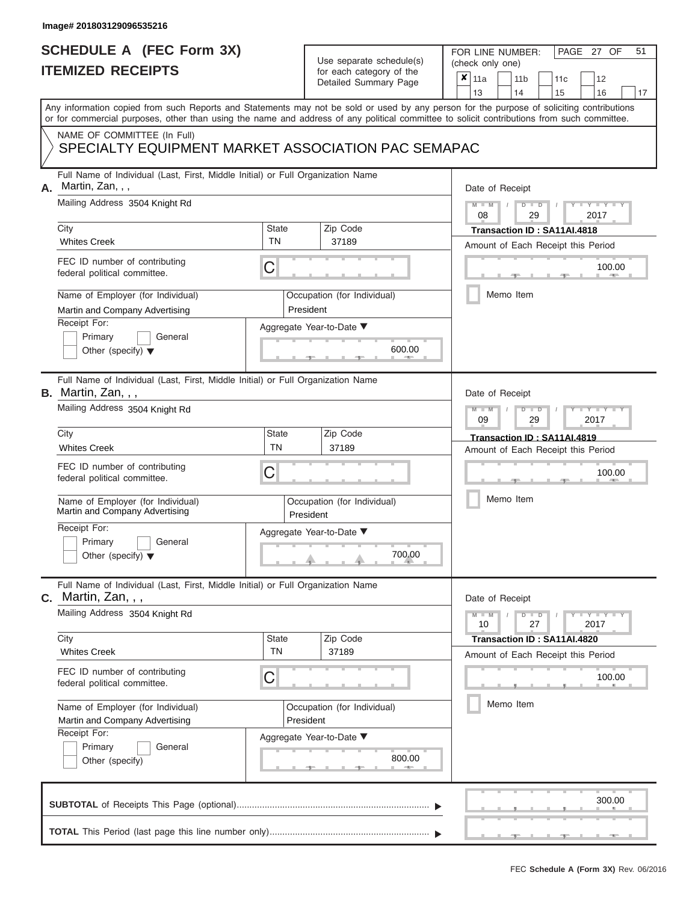# **SCHEDULE A (FEC Form 3X)**

# Use separate schedule(s)

| SCHEDULE A (FEC Form 3X)<br><b>ITEMIZED RECEIPTS</b>                                                                                                                                                                                                                                                                                                                                             | Use separate schedule(s)<br>for each category of the<br>Detailed Summary Page                                                         | 51<br>FOR LINE NUMBER:<br>PAGE 27 OF<br>(check only one)<br>$\boldsymbol{x}$<br>11a<br>11 <sub>b</sub><br>12<br>11c<br>13<br>14<br>15<br>16<br>17                                                                                                                                       |
|--------------------------------------------------------------------------------------------------------------------------------------------------------------------------------------------------------------------------------------------------------------------------------------------------------------------------------------------------------------------------------------------------|---------------------------------------------------------------------------------------------------------------------------------------|-----------------------------------------------------------------------------------------------------------------------------------------------------------------------------------------------------------------------------------------------------------------------------------------|
|                                                                                                                                                                                                                                                                                                                                                                                                  |                                                                                                                                       | Any information copied from such Reports and Statements may not be sold or used by any person for the purpose of soliciting contributions<br>or for commercial purposes, other than using the name and address of any political committee to solicit contributions from such committee. |
| NAME OF COMMITTEE (In Full)<br>SPECIALTY EQUIPMENT MARKET ASSOCIATION PAC SEMAPAC                                                                                                                                                                                                                                                                                                                |                                                                                                                                       |                                                                                                                                                                                                                                                                                         |
| Full Name of Individual (Last, First, Middle Initial) or Full Organization Name<br>Martin, Zan, , ,<br>А.<br>Mailing Address 3504 Knight Rd<br>City<br><b>Whites Creek</b><br>FEC ID number of contributing<br>federal political committee.<br>Name of Employer (for Individual)<br>Martin and Company Advertising<br>Receipt For:<br>Primary<br>General<br>Other (specify) $\blacktriangledown$ | Zip Code<br><b>State</b><br><b>TN</b><br>37189<br>C<br>Occupation (for Individual)<br>President<br>Aggregate Year-to-Date ▼<br>600.00 | Date of Receipt<br>$M = M$ /<br>$D$ $D$<br>$\mathbf{I} = \mathbf{Y} + \mathbf{Y} + \mathbf{I}$<br>08<br>29<br>2017<br>Transaction ID : SA11AI.4818<br>Amount of Each Receipt this Period<br>100.00<br><b>AND I</b><br>Memo Item                                                         |
| Full Name of Individual (Last, First, Middle Initial) or Full Organization Name<br><b>B.</b> Martin, Zan, , ,<br>Mailing Address 3504 Knight Rd<br>City<br><b>Whites Creek</b>                                                                                                                                                                                                                   | <b>State</b><br>Zip Code<br><b>TN</b><br>37189                                                                                        | Date of Receipt<br>$M - M$<br>$D$ $D$<br>$+Y+Y+$<br>09<br>29<br>2017<br>Transaction ID: SA11AI.4819<br>Amount of Each Receipt this Period                                                                                                                                               |
| FEC ID number of contributing<br>federal political committee.<br>Name of Employer (for Individual)<br>Martin and Company Advertising<br>Receipt For:<br>Primary<br>General<br>Other (specify) $\blacktriangledown$                                                                                                                                                                               | C<br>Occupation (for Individual)<br>President<br>Aggregate Year-to-Date ▼<br>700.00                                                   | 100.00<br>Memo Item                                                                                                                                                                                                                                                                     |
| Full Name of Individual (Last, First, Middle Initial) or Full Organization Name<br>Martin, Zan, , ,<br>C.<br>Mailing Address 3504 Knight Rd<br>City<br><b>Whites Creek</b><br>FEC ID number of contributing                                                                                                                                                                                      | Zip Code<br><b>State</b><br><b>TN</b><br>37189                                                                                        | Date of Receipt<br>$M - M$<br>$D$ $D$<br>$\Box$ $\Upsilon$ $\Box$ $\Upsilon$ $\Box$<br>10<br>27<br>2017<br>Transaction ID: SA11AI.4820<br>Amount of Each Receipt this Period                                                                                                            |
| federal political committee.<br>Name of Employer (for Individual)<br>Martin and Company Advertising<br>Receipt For:<br>Primary<br>General<br>Other (specify)                                                                                                                                                                                                                                     | C<br>Occupation (for Individual)<br>President<br>Aggregate Year-to-Date ▼<br>800.00                                                   | 100.00<br>Memo Item                                                                                                                                                                                                                                                                     |
|                                                                                                                                                                                                                                                                                                                                                                                                  |                                                                                                                                       | 300.00                                                                                                                                                                                                                                                                                  |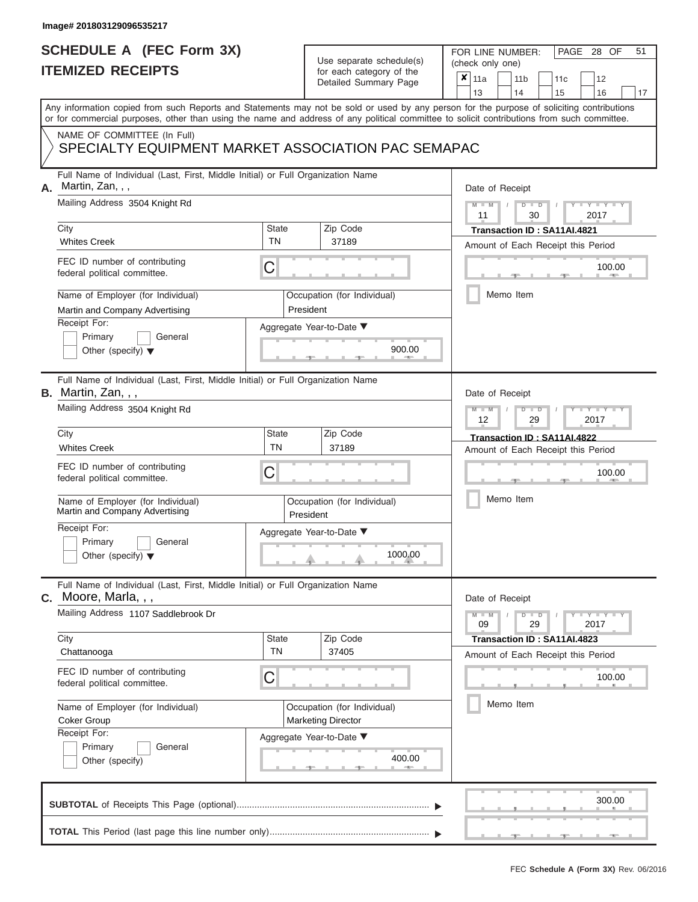|                          | <b>SCHEDULE A (FEC Form 3X)</b> |
|--------------------------|---------------------------------|
| <b>ITEMIZED RECEIPTS</b> |                                 |

FOR LINE NUMBER:<br>(check only one)

PAGE 28 OF 51

|    | TEMIZED RECEIPTS                                                                                                                                                                                                                                                                        |                                                                        | for each category of the<br>Detailed Summary Page        | x<br>11a<br>11 <sub>b</sub><br>12<br>11 <sub>c</sub><br>13<br>14<br>15<br>16<br>17 |  |  |  |
|----|-----------------------------------------------------------------------------------------------------------------------------------------------------------------------------------------------------------------------------------------------------------------------------------------|------------------------------------------------------------------------|----------------------------------------------------------|------------------------------------------------------------------------------------|--|--|--|
|    | Any information copied from such Reports and Statements may not be sold or used by any person for the purpose of soliciting contributions<br>or for commercial purposes, other than using the name and address of any political committee to solicit contributions from such committee. |                                                                        |                                                          |                                                                                    |  |  |  |
|    | NAME OF COMMITTEE (In Full)<br>SPECIALTY EQUIPMENT MARKET ASSOCIATION PAC SEMAPAC                                                                                                                                                                                                       |                                                                        |                                                          |                                                                                    |  |  |  |
| Α. | Full Name of Individual (Last, First, Middle Initial) or Full Organization Name<br>Martin, Zan, , ,                                                                                                                                                                                     |                                                                        |                                                          | Date of Receipt                                                                    |  |  |  |
|    | Mailing Address 3504 Knight Rd                                                                                                                                                                                                                                                          |                                                                        |                                                          | Y I Y I<br>$M - M$<br>$D$ $D$<br>2017<br>11<br>30                                  |  |  |  |
|    | City<br><b>Whites Creek</b>                                                                                                                                                                                                                                                             | State<br>TN                                                            | Zip Code<br>37189                                        | Transaction ID: SA11AI.4821<br>Amount of Each Receipt this Period                  |  |  |  |
|    | FEC ID number of contributing<br>federal political committee.                                                                                                                                                                                                                           | С                                                                      |                                                          | 100.00                                                                             |  |  |  |
|    | Name of Employer (for Individual)<br>Martin and Company Advertising                                                                                                                                                                                                                     |                                                                        | Occupation (for Individual)<br>President                 | Memo Item                                                                          |  |  |  |
|    | Receipt For:<br>Primary<br>General<br>Other (specify) $\blacktriangledown$                                                                                                                                                                                                              |                                                                        | Aggregate Year-to-Date ▼<br>900.00                       |                                                                                    |  |  |  |
|    | Full Name of Individual (Last, First, Middle Initial) or Full Organization Name<br>B. Martin, Zan, , ,                                                                                                                                                                                  |                                                                        |                                                          | Date of Receipt                                                                    |  |  |  |
|    | Mailing Address 3504 Knight Rd                                                                                                                                                                                                                                                          | Y TYT<br>$\overline{\mathbb{D}}$<br>D<br>12<br>2017<br>29              |                                                          |                                                                                    |  |  |  |
|    | City<br><b>Whites Creek</b>                                                                                                                                                                                                                                                             | State<br>TN                                                            | Zip Code<br>37189                                        | Transaction ID: SA11AI.4822<br>Amount of Each Receipt this Period                  |  |  |  |
|    | FEC ID number of contributing<br>federal political committee.                                                                                                                                                                                                                           | C                                                                      |                                                          | 100.00                                                                             |  |  |  |
|    | Name of Employer (for Individual)<br>Martin and Company Advertising                                                                                                                                                                                                                     |                                                                        | Occupation (for Individual)<br>President                 | Memo Item                                                                          |  |  |  |
|    | Receipt For:<br>Primary<br>General<br>Other (specify) $\blacktriangledown$                                                                                                                                                                                                              |                                                                        | Aggregate Year-to-Date ▼<br>1000.00                      |                                                                                    |  |  |  |
|    | Full Name of Individual (Last, First, Middle Initial) or Full Organization Name<br>C. Moore, Marla, , ,                                                                                                                                                                                 | Date of Receipt                                                        |                                                          |                                                                                    |  |  |  |
|    | Mailing Address 1107 Saddlebrook Dr                                                                                                                                                                                                                                                     | $Y - Y - Y$<br>$M - M$<br>$\overline{D}$<br>$\Box$<br>29<br>2017<br>09 |                                                          |                                                                                    |  |  |  |
|    | City<br>Chattanooga                                                                                                                                                                                                                                                                     | <b>State</b><br>TN                                                     | Zip Code<br>37405                                        | Transaction ID: SA11AI.4823<br>Amount of Each Receipt this Period                  |  |  |  |
|    | FEC ID number of contributing<br>federal political committee.                                                                                                                                                                                                                           | C                                                                      |                                                          | 100.00                                                                             |  |  |  |
|    | Name of Employer (for Individual)<br><b>Coker Group</b><br>Receipt For:                                                                                                                                                                                                                 |                                                                        | Occupation (for Individual)<br><b>Marketing Director</b> | Memo Item                                                                          |  |  |  |
|    | Primary<br>General<br>Other (specify)                                                                                                                                                                                                                                                   |                                                                        | Aggregate Year-to-Date ▼<br>400.00                       |                                                                                    |  |  |  |
|    |                                                                                                                                                                                                                                                                                         |                                                                        |                                                          | 300.00                                                                             |  |  |  |
|    |                                                                                                                                                                                                                                                                                         |                                                                        |                                                          |                                                                                    |  |  |  |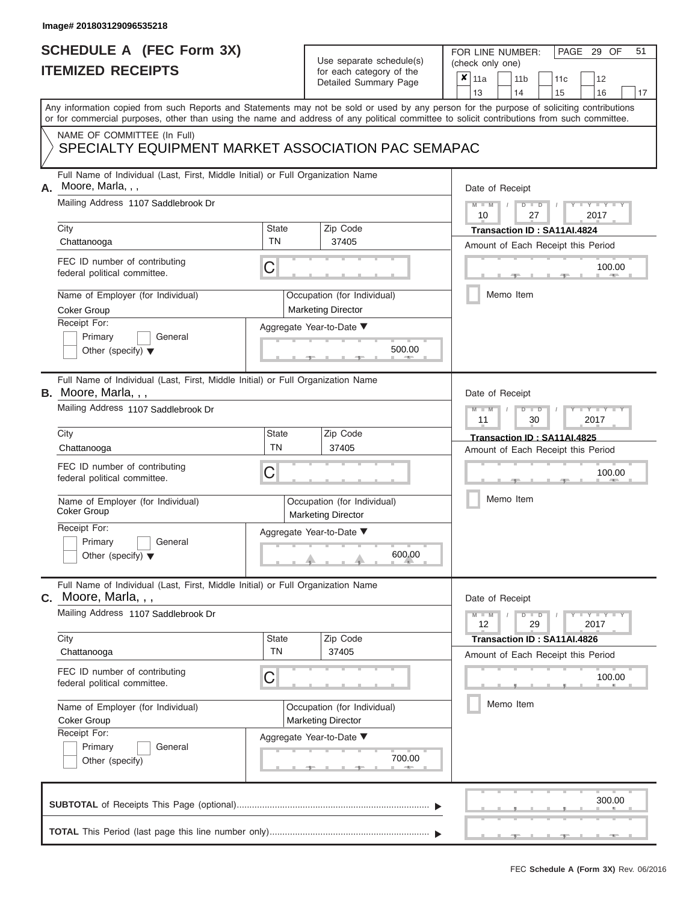## **SCHEDULE A (FEC Form 3X) ITEMIZED RECEIPTS**

# Use separate schedule(s)

| SCHEDULE A (FEC Form 3X)<br><b>ITEMIZED RECEIPTS</b>                                                       |                           | Use separate schedule(s)<br>for each category of the       | 51<br>FOR LINE NUMBER:<br>PAGE 29 OF<br>(check only one)<br>$\boldsymbol{x}$<br>11a<br>11 <sub>b</sub><br>12<br>11 <sub>c</sub>                                                                                                                                                         |  |
|------------------------------------------------------------------------------------------------------------|---------------------------|------------------------------------------------------------|-----------------------------------------------------------------------------------------------------------------------------------------------------------------------------------------------------------------------------------------------------------------------------------------|--|
|                                                                                                            |                           | Detailed Summary Page                                      | 13<br>14<br>15<br>16<br>17                                                                                                                                                                                                                                                              |  |
|                                                                                                            |                           |                                                            | Any information copied from such Reports and Statements may not be sold or used by any person for the purpose of soliciting contributions<br>or for commercial purposes, other than using the name and address of any political committee to solicit contributions from such committee. |  |
| NAME OF COMMITTEE (In Full)<br>SPECIALTY EQUIPMENT MARKET ASSOCIATION PAC SEMAPAC                          |                           |                                                            |                                                                                                                                                                                                                                                                                         |  |
| Full Name of Individual (Last, First, Middle Initial) or Full Organization Name<br>Moore, Marla, , ,<br>Α. |                           |                                                            | Date of Receipt                                                                                                                                                                                                                                                                         |  |
| Mailing Address 1107 Saddlebrook Dr<br>City                                                                | <b>State</b>              | Zip Code                                                   | $M = M$ /<br>$D$ $D$<br>$\cdots$ Y $\cdots$ Y $\cdots$<br>10<br>27<br>2017<br>Transaction ID: SA11AI.4824                                                                                                                                                                               |  |
| Chattanooga                                                                                                | <b>TN</b>                 | 37405                                                      | Amount of Each Receipt this Period                                                                                                                                                                                                                                                      |  |
| FEC ID number of contributing<br>federal political committee.                                              | C                         |                                                            | 100.00<br><b>AND I</b>                                                                                                                                                                                                                                                                  |  |
| Name of Employer (for Individual)<br><b>Coker Group</b>                                                    |                           | Occupation (for Individual)<br><b>Marketing Director</b>   | Memo Item                                                                                                                                                                                                                                                                               |  |
| Receipt For:<br>Primary<br>General<br>Other (specify) $\blacktriangledown$                                 |                           | Aggregate Year-to-Date ▼<br>500.00<br><b>British Allen</b> |                                                                                                                                                                                                                                                                                         |  |
| Full Name of Individual (Last, First, Middle Initial) or Full Organization Name<br>B. Moore, Marla, , ,    |                           |                                                            | Date of Receipt                                                                                                                                                                                                                                                                         |  |
| Mailing Address 1107 Saddlebrook Dr                                                                        |                           |                                                            |                                                                                                                                                                                                                                                                                         |  |
| City                                                                                                       | State<br><b>TN</b>        | Zip Code                                                   | Transaction ID: SA11AI.4825                                                                                                                                                                                                                                                             |  |
| Chattanooga<br>FEC ID number of contributing<br>federal political committee.                               | C                         | 37405                                                      | Amount of Each Receipt this Period<br>100.00                                                                                                                                                                                                                                            |  |
| Name of Employer (for Individual)<br><b>Coker Group</b>                                                    |                           | Occupation (for Individual)<br><b>Marketing Director</b>   | Memo Item                                                                                                                                                                                                                                                                               |  |
| Receipt For:<br>Primary<br>General<br>Other (specify) $\blacktriangledown$                                 |                           | Aggregate Year-to-Date ▼<br>600.00                         |                                                                                                                                                                                                                                                                                         |  |
| Full Name of Individual (Last, First, Middle Initial) or Full Organization Name<br>C. Moore, Marla, , ,    |                           |                                                            | Date of Receipt                                                                                                                                                                                                                                                                         |  |
| Mailing Address 1107 Saddlebrook Dr                                                                        |                           |                                                            | $M - M$<br>$D$ $D$<br>$\Box$ $\Upsilon$ $\Box$ $\Upsilon$ $\Box$<br>12<br>29<br>2017                                                                                                                                                                                                    |  |
| City<br>Chattanooga                                                                                        | <b>State</b><br><b>TN</b> | Zip Code<br>37405                                          | Transaction ID: SA11AI.4826<br>Amount of Each Receipt this Period                                                                                                                                                                                                                       |  |
| FEC ID number of contributing<br>federal political committee.                                              | C                         |                                                            | 100.00                                                                                                                                                                                                                                                                                  |  |
| Name of Employer (for Individual)<br><b>Coker Group</b>                                                    |                           | Occupation (for Individual)<br><b>Marketing Director</b>   | Memo Item                                                                                                                                                                                                                                                                               |  |
| Receipt For:<br>Primary<br>General<br>Other (specify)                                                      |                           | Aggregate Year-to-Date ▼<br>700.00                         |                                                                                                                                                                                                                                                                                         |  |
|                                                                                                            |                           |                                                            | 300.00                                                                                                                                                                                                                                                                                  |  |
|                                                                                                            |                           |                                                            |                                                                                                                                                                                                                                                                                         |  |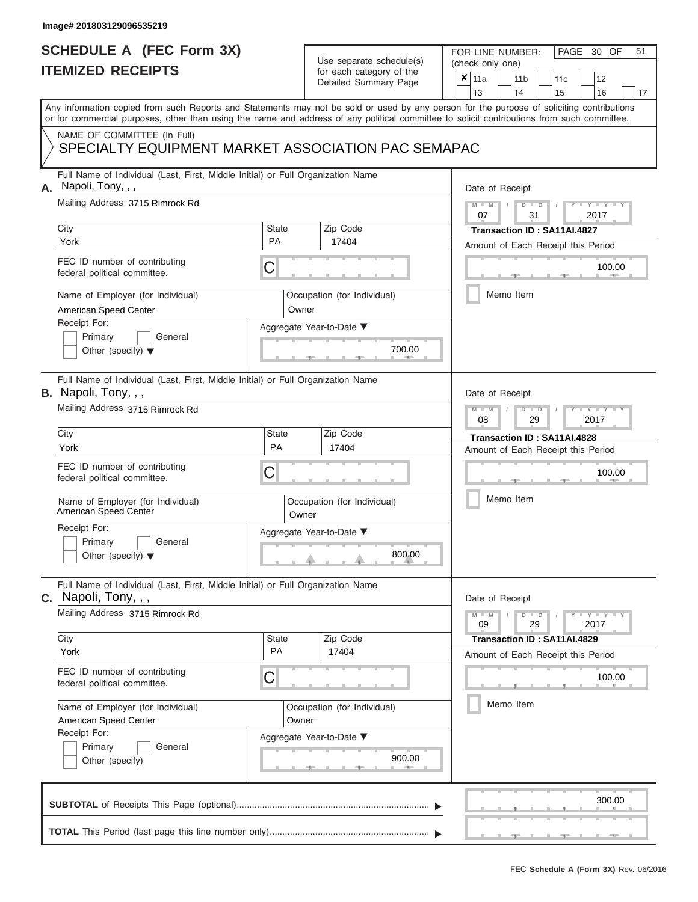## **SCHEDULE A (FEC Form 3X) ITEMIZED RECEIPTS**

# Use separate schedule(s)

| SCHEDULE A (FEC Form 3X)<br><b>ITEMIZED RECEIPTS</b>                                                                                                                                                                                                                                                                                                                       |                                                                     | Use separate schedule(s)<br>for each category of the<br>Detailed Summary Page | 51<br>FOR LINE NUMBER:<br>PAGE 30 OF<br>(check only one)<br>$\boldsymbol{x}$<br>11a<br>11 <sub>b</sub><br>12<br>11 <sub>c</sub>                                                                              |
|----------------------------------------------------------------------------------------------------------------------------------------------------------------------------------------------------------------------------------------------------------------------------------------------------------------------------------------------------------------------------|---------------------------------------------------------------------|-------------------------------------------------------------------------------|--------------------------------------------------------------------------------------------------------------------------------------------------------------------------------------------------------------|
| Any information copied from such Reports and Statements may not be sold or used by any person for the purpose of soliciting contributions<br>or for commercial purposes, other than using the name and address of any political committee to solicit contributions from such committee.                                                                                    |                                                                     |                                                                               | 13<br>14<br>15<br>16<br>17                                                                                                                                                                                   |
| NAME OF COMMITTEE (In Full)<br>SPECIALTY EQUIPMENT MARKET ASSOCIATION PAC SEMAPAC                                                                                                                                                                                                                                                                                          |                                                                     |                                                                               |                                                                                                                                                                                                              |
| Full Name of Individual (Last, First, Middle Initial) or Full Organization Name<br>Napoli, Tony, , ,<br>А.<br>Mailing Address 3715 Rimrock Rd<br>City<br>York<br>FEC ID number of contributing<br>federal political committee.<br>Name of Employer (for Individual)<br>American Speed Center<br>Receipt For:<br>Primary<br>General<br>Other (specify) $\blacktriangledown$ | State<br><b>PA</b><br>С<br>Owner<br>Aggregate Year-to-Date ▼        | Zip Code<br>17404<br>Occupation (for Individual)<br>700.00                    | Date of Receipt<br>$M - M$ /<br>$D$ $D$<br>$Y - Y - I$<br>07<br>31<br>2017<br>Transaction ID: SA11AI.4827<br>Amount of Each Receipt this Period<br>100.00<br><b>AND IN</b><br>Memo Item                      |
| Full Name of Individual (Last, First, Middle Initial) or Full Organization Name<br>B. Napoli, Tony, , ,<br>Mailing Address 3715 Rimrock Rd<br>City<br>York<br>FEC ID number of contributing<br>federal political committee.<br>Name of Employer (for Individual)<br>American Speed Center<br>Receipt For:<br>Primary<br>General<br>Other (specify) $\blacktriangledown$    | <b>State</b><br>PA<br>С<br>Owner<br>Aggregate Year-to-Date ▼        | Zip Code<br>17404<br>Occupation (for Individual)<br>800.00                    | Date of Receipt<br>$M - M$<br>$D$ $D$<br>Y TYT<br>08<br>2017<br>29<br>Transaction ID: SA11AI.4828<br>Amount of Each Receipt this Period<br>100.00<br>Memo Item                                               |
| Full Name of Individual (Last, First, Middle Initial) or Full Organization Name<br>$c.$ Napoli, Tony, $, ,$<br>Mailing Address 3715 Rimrock Rd<br>City<br>York<br>FEC ID number of contributing<br>federal political committee.<br>Name of Employer (for Individual)<br>American Speed Center<br>Receipt For:<br>Primary<br>General<br>Other (specify)                     | <b>State</b><br><b>PA</b><br>С<br>Owner<br>Aggregate Year-to-Date ▼ | Zip Code<br>17404<br>Occupation (for Individual)<br>900.00                    | Date of Receipt<br>$M - M$<br>$D$ $D$<br>$\mathbf{I} = \mathbf{Y} + \mathbf{Y} + \mathbf{I}$<br>09<br>29<br>2017<br>Transaction ID: SA11AI.4829<br>Amount of Each Receipt this Period<br>100.00<br>Memo Item |
|                                                                                                                                                                                                                                                                                                                                                                            |                                                                     |                                                                               | 300.00                                                                                                                                                                                                       |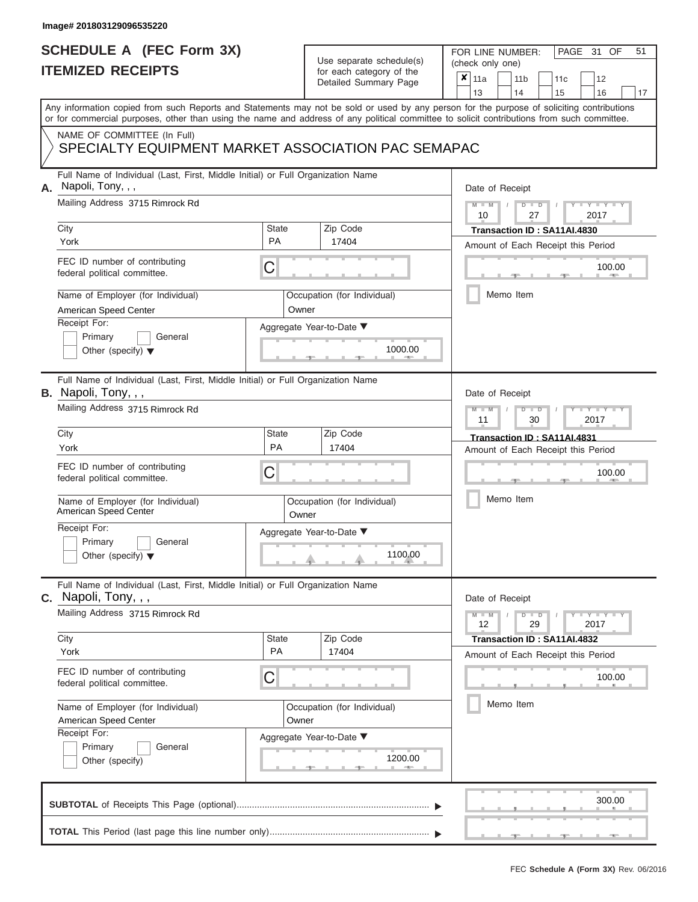### **SCHEDULE A (FEC Form 3X) ITEMIZED RECEIPTS**

# Use separate schedule(s)

| SCHEDULE A (FEC Form 3X)<br><b>ITEMIZED RECEIPTS</b>                                                                                                                                                                                                                                                                                                                       |                                         | Use separate schedule(s)<br>for each category of the<br>Detailed Summary Page           | 51<br>FOR LINE NUMBER:<br>PAGE 31 OF<br>(check only one)<br>$\boldsymbol{x}$<br>11a<br>11 <sub>b</sub><br>12<br>11c                                                                                                       |
|----------------------------------------------------------------------------------------------------------------------------------------------------------------------------------------------------------------------------------------------------------------------------------------------------------------------------------------------------------------------------|-----------------------------------------|-----------------------------------------------------------------------------------------|---------------------------------------------------------------------------------------------------------------------------------------------------------------------------------------------------------------------------|
| Any information copied from such Reports and Statements may not be sold or used by any person for the purpose of soliciting contributions                                                                                                                                                                                                                                  |                                         |                                                                                         | 13<br>14<br>15<br>16<br>17                                                                                                                                                                                                |
| or for commercial purposes, other than using the name and address of any political committee to solicit contributions from such committee.<br>NAME OF COMMITTEE (In Full)<br>SPECIALTY EQUIPMENT MARKET ASSOCIATION PAC SEMAPAC                                                                                                                                            |                                         |                                                                                         |                                                                                                                                                                                                                           |
| Full Name of Individual (Last, First, Middle Initial) or Full Organization Name<br>Napoli, Tony, , ,<br>А.<br>Mailing Address 3715 Rimrock Rd<br>City<br>York<br>FEC ID number of contributing<br>federal political committee.<br>Name of Employer (for Individual)<br>American Speed Center<br>Receipt For:<br>Primary<br>General<br>Other (specify) $\blacktriangledown$ | State<br><b>PA</b><br>С<br>Owner        | Zip Code<br>17404<br>Occupation (for Individual)<br>Aggregate Year-to-Date ▼<br>1000.00 | Date of Receipt<br>$M - M$ /<br>$D$ $D$<br>$Y - Y - I$<br>10<br>27<br>2017<br>Transaction ID: SA11AI.4830<br>Amount of Each Receipt this Period<br>100.00<br><b>AND A</b><br>Memo Item                                    |
| Full Name of Individual (Last, First, Middle Initial) or Full Organization Name<br>B. Napoli, Tony, , ,<br>Mailing Address 3715 Rimrock Rd<br>City<br>York<br>FEC ID number of contributing<br>federal political committee.<br>Name of Employer (for Individual)<br>American Speed Center<br>Receipt For:<br>Primary<br>General<br>Other (specify) $\blacktriangledown$    | <b>State</b><br>PA<br>С<br>Owner        | Zip Code<br>17404<br>Occupation (for Individual)<br>Aggregate Year-to-Date ▼<br>1100.00 | Date of Receipt<br>$M - M$<br>$D$ $\Box$ $D$<br>Y TY<br>11<br>2017<br>30<br>Transaction ID: SA11AI.4831<br>Amount of Each Receipt this Period<br>100.00<br>Memo Item                                                      |
| Full Name of Individual (Last, First, Middle Initial) or Full Organization Name<br>$c.$ Napoli, Tony, $, ,$<br>Mailing Address 3715 Rimrock Rd<br>City<br>York<br>FEC ID number of contributing<br>federal political committee.<br>Name of Employer (for Individual)<br>American Speed Center<br>Receipt For:<br>Primary<br>General<br>Other (specify)                     | <b>State</b><br><b>PA</b><br>С<br>Owner | Zip Code<br>17404<br>Occupation (for Individual)<br>Aggregate Year-to-Date ▼<br>1200.00 | Date of Receipt<br>$M - M$<br>$D$ $D$<br>$\mathbf{I} = \mathbf{Y} - \mathbf{I} - \mathbf{Y} - \mathbf{I}$<br>12<br>29<br>2017<br>Transaction ID: SA11AI.4832<br>Amount of Each Receipt this Period<br>100.00<br>Memo Item |
|                                                                                                                                                                                                                                                                                                                                                                            |                                         |                                                                                         | 300.00                                                                                                                                                                                                                    |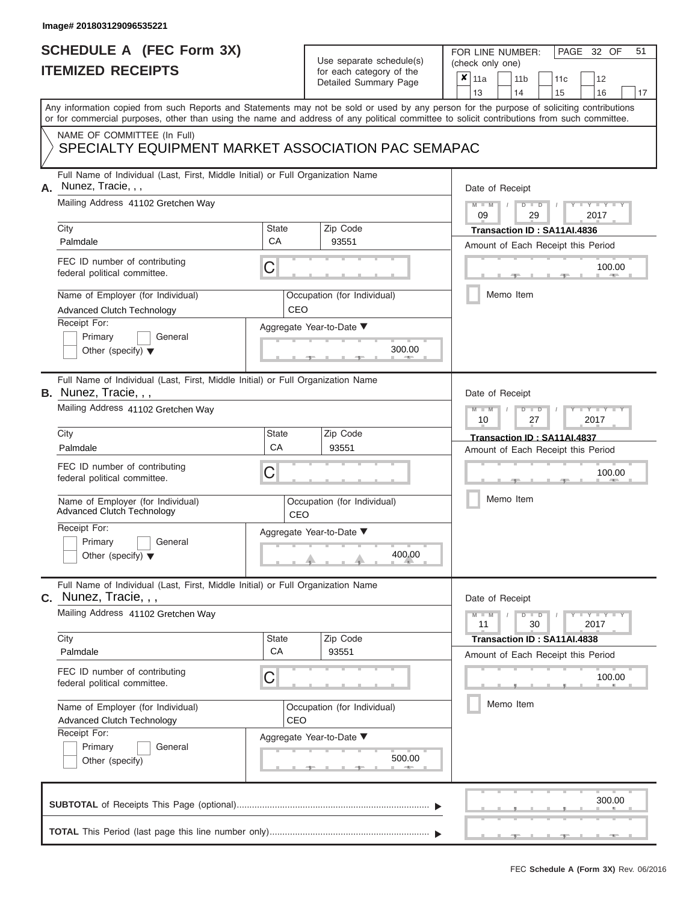# **SCHEDULE A (FEC Form 3X)**

# Use separate schedule(s)

| SCHEDULE A (FEC Form 3X)<br><b>ITEMIZED RECEIPTS</b>                                                                                                                                                                                                                                                                                                                                               |                                | Use separate schedule(s)<br>for each category of the<br>Detailed Summary Page          | 51<br>FOR LINE NUMBER:<br>PAGE 32 OF<br>(check only one)<br>$\boldsymbol{x}$<br>11a<br>11 <sub>b</sub><br>12<br>11c<br>13<br>16<br>14<br>15<br>17                                                   |
|----------------------------------------------------------------------------------------------------------------------------------------------------------------------------------------------------------------------------------------------------------------------------------------------------------------------------------------------------------------------------------------------------|--------------------------------|----------------------------------------------------------------------------------------|-----------------------------------------------------------------------------------------------------------------------------------------------------------------------------------------------------|
| Any information copied from such Reports and Statements may not be sold or used by any person for the purpose of soliciting contributions<br>or for commercial purposes, other than using the name and address of any political committee to solicit contributions from such committee.<br>NAME OF COMMITTEE (In Full)<br>SPECIALTY EQUIPMENT MARKET ASSOCIATION PAC SEMAPAC                       |                                |                                                                                        |                                                                                                                                                                                                     |
| Full Name of Individual (Last, First, Middle Initial) or Full Organization Name<br>Nunez, Tracie, , ,<br>А.<br>Mailing Address 41102 Gretchen Way<br>City<br>Palmdale<br>FEC ID number of contributing<br>federal political committee.<br>Name of Employer (for Individual)<br><b>Advanced Clutch Technology</b><br>Receipt For:<br>Primary<br>General<br>Other (specify) $\blacktriangledown$     | <b>State</b><br>CA<br>С<br>CEO | Zip Code<br>93551<br>Occupation (for Individual)<br>Aggregate Year-to-Date ▼<br>300.00 | Date of Receipt<br>$M = M$ /<br>$D$ $D$<br>$Y - Y - I$<br>09<br>29<br>2017<br>Transaction ID: SA11AI.4836<br>Amount of Each Receipt this Period<br>100.00<br><b>AND IN</b><br>Memo Item             |
| Full Name of Individual (Last, First, Middle Initial) or Full Organization Name<br><b>B.</b> Nunez, Tracie, , ,<br>Mailing Address 41102 Gretchen Way<br>City<br>Palmdale<br>FEC ID number of contributing<br>federal political committee.<br>Name of Employer (for Individual)<br><b>Advanced Clutch Technology</b><br>Receipt For:<br>Primary<br>General<br>Other (specify) $\blacktriangledown$ | <b>State</b><br>CA<br>С<br>CEO | Zip Code<br>93551<br>Occupation (for Individual)<br>Aggregate Year-to-Date ▼<br>400.00 | Date of Receipt<br>$M - M$<br>$D$ $D$<br>Y TYT<br>10<br>27<br>2017<br>Transaction ID: SA11AI.4837<br>Amount of Each Receipt this Period<br>100.00<br>Memo Item                                      |
| Full Name of Individual (Last, First, Middle Initial) or Full Organization Name<br>$c.$ Nunez, Tracie, , ,<br>Mailing Address 41102 Gretchen Way<br>City<br>Palmdale<br>FEC ID number of contributing<br>federal political committee.<br>Name of Employer (for Individual)<br><b>Advanced Clutch Technology</b><br>Receipt For:<br>Primary<br>General<br>Other (specify)                           | <b>State</b><br>CA<br>С<br>CEO | Zip Code<br>93551<br>Occupation (for Individual)<br>Aggregate Year-to-Date ▼<br>500.00 | Date of Receipt<br>$M - M$<br>$D$ $D$<br>$\Box$ $\Upsilon$ $\Box$ $\Upsilon$ $\Box$<br>30<br>2017<br>11<br>Transaction ID: SA11AI.4838<br>Amount of Each Receipt this Period<br>100.00<br>Memo Item |
|                                                                                                                                                                                                                                                                                                                                                                                                    |                                |                                                                                        | 300.00                                                                                                                                                                                              |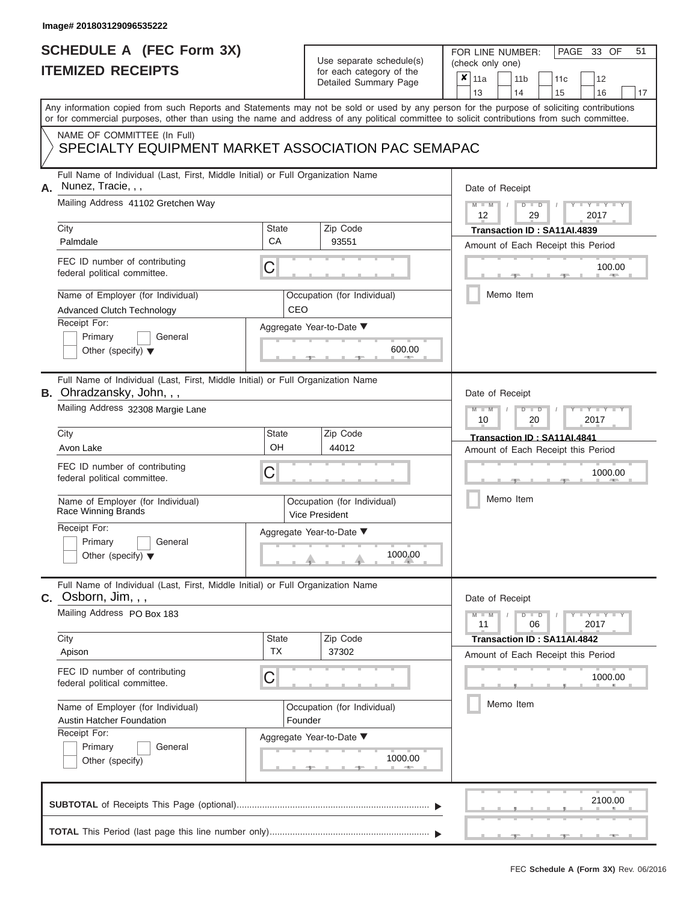# **SCHEDULE A (FEC Form 3X)**

# Use separate schedule(s)

| SCHEDULE A (FEC Form 3X)<br><b>ITEMIZED RECEIPTS</b> |                                                                                                                                                                                                                                                                                         | Use separate schedule(s)<br>for each category of the                 | FOR LINE NUMBER:<br>PAGE 33 OF<br>(check only one)   | 51                                                                    |                         |
|------------------------------------------------------|-----------------------------------------------------------------------------------------------------------------------------------------------------------------------------------------------------------------------------------------------------------------------------------------|----------------------------------------------------------------------|------------------------------------------------------|-----------------------------------------------------------------------|-------------------------|
|                                                      |                                                                                                                                                                                                                                                                                         |                                                                      | Detailed Summary Page                                | ×<br>11a<br>11 <sub>b</sub><br>11c<br>13<br>14<br>15                  | 12<br>16<br>17          |
|                                                      | Any information copied from such Reports and Statements may not be sold or used by any person for the purpose of soliciting contributions<br>or for commercial purposes, other than using the name and address of any political committee to solicit contributions from such committee. |                                                                      |                                                      |                                                                       |                         |
|                                                      | NAME OF COMMITTEE (In Full)<br>SPECIALTY EQUIPMENT MARKET ASSOCIATION PAC SEMAPAC                                                                                                                                                                                                       |                                                                      |                                                      |                                                                       |                         |
| А.                                                   | Full Name of Individual (Last, First, Middle Initial) or Full Organization Name<br>Nunez, Tracie, , ,                                                                                                                                                                                   |                                                                      |                                                      | Date of Receipt                                                       |                         |
| City                                                 | Mailing Address 41102 Gretchen Way                                                                                                                                                                                                                                                      | <b>State</b>                                                         | Zip Code                                             | $M - M$<br>$D$ $D$<br>12<br>29<br>2017<br>Transaction ID: SA11AI.4839 | $Y - Y - I$             |
|                                                      | Palmdale                                                                                                                                                                                                                                                                                | CA                                                                   | 93551                                                | Amount of Each Receipt this Period                                    |                         |
|                                                      | FEC ID number of contributing<br>federal political committee.                                                                                                                                                                                                                           | С                                                                    |                                                      |                                                                       | 100.00<br><b>AND IN</b> |
|                                                      | Name of Employer (for Individual)<br>Advanced Clutch Technology                                                                                                                                                                                                                         | CEO                                                                  | Occupation (for Individual)                          | Memo Item                                                             |                         |
|                                                      | Receipt For:<br>Primary<br>General                                                                                                                                                                                                                                                      |                                                                      | Aggregate Year-to-Date ▼                             |                                                                       |                         |
|                                                      | Other (specify) $\blacktriangledown$                                                                                                                                                                                                                                                    |                                                                      | 600.00                                               |                                                                       |                         |
|                                                      | Full Name of Individual (Last, First, Middle Initial) or Full Organization Name<br>B. Ohradzansky, John, , ,                                                                                                                                                                            |                                                                      |                                                      | Date of Receipt                                                       |                         |
|                                                      | Mailing Address 32308 Margie Lane                                                                                                                                                                                                                                                       | $M - M$<br>$D$ $\Box$ $D$<br>$T - Y = T - Y = T$<br>2017<br>10<br>20 |                                                      |                                                                       |                         |
| City                                                 |                                                                                                                                                                                                                                                                                         | <b>State</b>                                                         | Zip Code                                             | Transaction ID: SA11AI.4841                                           |                         |
|                                                      | Avon Lake                                                                                                                                                                                                                                                                               | OH                                                                   | 44012                                                | Amount of Each Receipt this Period                                    |                         |
|                                                      | FEC ID number of contributing<br>federal political committee.                                                                                                                                                                                                                           | С                                                                    |                                                      |                                                                       | 1000.00                 |
|                                                      | Name of Employer (for Individual)<br>Race Winning Brands                                                                                                                                                                                                                                |                                                                      | Occupation (for Individual)<br><b>Vice President</b> | Memo Item                                                             |                         |
|                                                      | Receipt For:                                                                                                                                                                                                                                                                            |                                                                      | Aggregate Year-to-Date ▼                             |                                                                       |                         |
|                                                      | Primary<br>General<br>Other (specify) $\blacktriangledown$                                                                                                                                                                                                                              |                                                                      | 1000.00                                              |                                                                       |                         |
|                                                      | Full Name of Individual (Last, First, Middle Initial) or Full Organization Name<br>$C.$ Osborn, Jim, , ,                                                                                                                                                                                |                                                                      |                                                      | Date of Receipt                                                       |                         |
|                                                      | Mailing Address PO Box 183                                                                                                                                                                                                                                                              |                                                                      |                                                      | $M - M$<br>$D$ $\Box$ $D$<br>$T - Y = T - Y$<br>11<br>06<br>2017      |                         |
| City                                                 | Apison                                                                                                                                                                                                                                                                                  | <b>State</b><br><b>TX</b>                                            | Zip Code<br>37302                                    | Transaction ID: SA11AI.4842<br>Amount of Each Receipt this Period     |                         |
|                                                      | FEC ID number of contributing<br>federal political committee.                                                                                                                                                                                                                           | С                                                                    |                                                      |                                                                       | 1000.00                 |
|                                                      | Name of Employer (for Individual)<br><b>Austin Hatcher Foundation</b>                                                                                                                                                                                                                   | Founder                                                              | Occupation (for Individual)                          | Memo Item                                                             |                         |
|                                                      | Receipt For:<br>Primary<br>General<br>Other (specify)                                                                                                                                                                                                                                   |                                                                      | Aggregate Year-to-Date ▼<br>1000.00                  |                                                                       |                         |
|                                                      |                                                                                                                                                                                                                                                                                         |                                                                      |                                                      |                                                                       | 2100.00                 |
|                                                      |                                                                                                                                                                                                                                                                                         |                                                                      |                                                      |                                                                       |                         |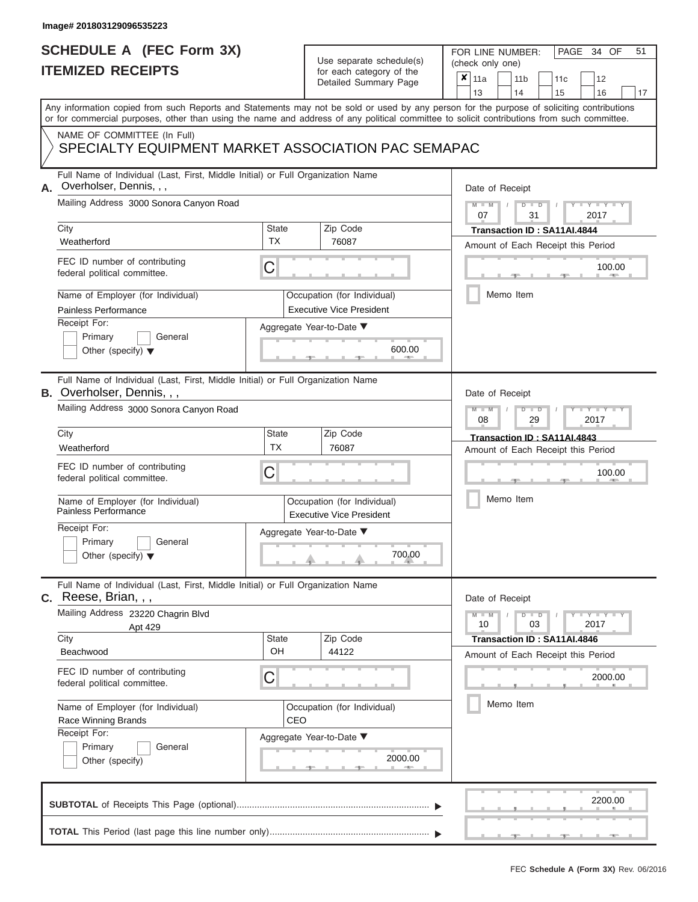|                          | SCHEDULE A (FEC Form 3X) |
|--------------------------|--------------------------|
| <b>ITEMIZED RECEIPTS</b> |                          |

FOR LINE NUMBER:<br>(check only one)

PAGE 34 OF 51

| II EMIZEV REVEIF I J                                                                                                                       |                                                                                 | for each category of the<br>Detailed Summary Page              | $\pmb{\times}$<br>11a<br>11 <sub>b</sub><br>12<br>11c                                                                                     |  |  |  |
|--------------------------------------------------------------------------------------------------------------------------------------------|---------------------------------------------------------------------------------|----------------------------------------------------------------|-------------------------------------------------------------------------------------------------------------------------------------------|--|--|--|
|                                                                                                                                            |                                                                                 |                                                                | 13<br>14<br>15<br>16<br>17                                                                                                                |  |  |  |
| or for commercial purposes, other than using the name and address of any political committee to solicit contributions from such committee. |                                                                                 |                                                                | Any information copied from such Reports and Statements may not be sold or used by any person for the purpose of soliciting contributions |  |  |  |
| NAME OF COMMITTEE (In Full)<br>SPECIALTY EQUIPMENT MARKET ASSOCIATION PAC SEMAPAC                                                          |                                                                                 |                                                                |                                                                                                                                           |  |  |  |
| Overholser, Dennis, , ,<br>А.                                                                                                              | Full Name of Individual (Last, First, Middle Initial) or Full Organization Name |                                                                |                                                                                                                                           |  |  |  |
| Mailing Address 3000 Sonora Canyon Road                                                                                                    |                                                                                 |                                                                | $M - M$<br>$Y - Y - Y$<br>$D$ $D$<br>07<br>31<br>2017                                                                                     |  |  |  |
| City                                                                                                                                       | <b>State</b>                                                                    | Zip Code                                                       | Transaction ID: SA11AI.4844                                                                                                               |  |  |  |
| Weatherford                                                                                                                                | <b>TX</b>                                                                       | 76087                                                          | Amount of Each Receipt this Period                                                                                                        |  |  |  |
| FEC ID number of contributing<br>federal political committee.                                                                              | С                                                                               |                                                                | 100.00                                                                                                                                    |  |  |  |
| Name of Employer (for Individual)<br>Painless Performance                                                                                  |                                                                                 | Occupation (for Individual)<br><b>Executive Vice President</b> | Memo Item                                                                                                                                 |  |  |  |
| Receipt For:                                                                                                                               |                                                                                 | Aggregate Year-to-Date ▼                                       |                                                                                                                                           |  |  |  |
| Primary<br>General<br>Other (specify) $\blacktriangledown$                                                                                 |                                                                                 | 600.00                                                         |                                                                                                                                           |  |  |  |
| Full Name of Individual (Last, First, Middle Initial) or Full Organization Name<br><b>B.</b> Overholser, Dennis,,,                         |                                                                                 |                                                                | Date of Receipt                                                                                                                           |  |  |  |
| Mailing Address 3000 Sonora Canyon Road                                                                                                    | $M - M$<br>$T - Y = T - Y$<br>$D$ $\Box$ $D$<br>08<br>29<br>2017                |                                                                |                                                                                                                                           |  |  |  |
| City                                                                                                                                       | State                                                                           | Zip Code                                                       | Transaction ID: SA11AI.4843<br>Amount of Each Receipt this Period                                                                         |  |  |  |
| Weatherford                                                                                                                                | <b>TX</b>                                                                       | 76087                                                          |                                                                                                                                           |  |  |  |
| FEC ID number of contributing<br>federal political committee.                                                                              | C                                                                               |                                                                |                                                                                                                                           |  |  |  |
| Name of Employer (for Individual)<br>Painless Performance                                                                                  |                                                                                 | Occupation (for Individual)<br><b>Executive Vice President</b> | Memo Item                                                                                                                                 |  |  |  |
| Receipt For:<br>Primary<br>General                                                                                                         |                                                                                 | Aggregate Year-to-Date ▼                                       |                                                                                                                                           |  |  |  |
| Other (specify) $\blacktriangledown$                                                                                                       |                                                                                 | 700.00                                                         |                                                                                                                                           |  |  |  |
| Full Name of Individual (Last, First, Middle Initial) or Full Organization Name<br>Reese, Brian, , ,<br>С.                                 |                                                                                 |                                                                | Date of Receipt                                                                                                                           |  |  |  |
| Mailing Address 23220 Chagrin Blvd<br>Apt 429                                                                                              |                                                                                 |                                                                | Y FYLY TY<br>$M - M$<br>$D$ $D$<br>10<br>03<br>2017                                                                                       |  |  |  |
| City                                                                                                                                       | <b>State</b>                                                                    | Zip Code                                                       | Transaction ID: SA11AI.4846                                                                                                               |  |  |  |
| Beachwood                                                                                                                                  | OH                                                                              | 44122                                                          | Amount of Each Receipt this Period                                                                                                        |  |  |  |
| FEC ID number of contributing<br>federal political committee.                                                                              | С                                                                               |                                                                | 2000.00                                                                                                                                   |  |  |  |
| Name of Employer (for Individual)                                                                                                          |                                                                                 | Occupation (for Individual)                                    | Memo Item                                                                                                                                 |  |  |  |
| Race Winning Brands                                                                                                                        | CEO                                                                             |                                                                |                                                                                                                                           |  |  |  |
| Receipt For:                                                                                                                               |                                                                                 | Aggregate Year-to-Date ▼                                       |                                                                                                                                           |  |  |  |
| Primary<br>General<br>Other (specify)                                                                                                      |                                                                                 | 2000.00<br><b>AND A</b>                                        |                                                                                                                                           |  |  |  |
|                                                                                                                                            |                                                                                 |                                                                | 2200.00                                                                                                                                   |  |  |  |
|                                                                                                                                            |                                                                                 |                                                                |                                                                                                                                           |  |  |  |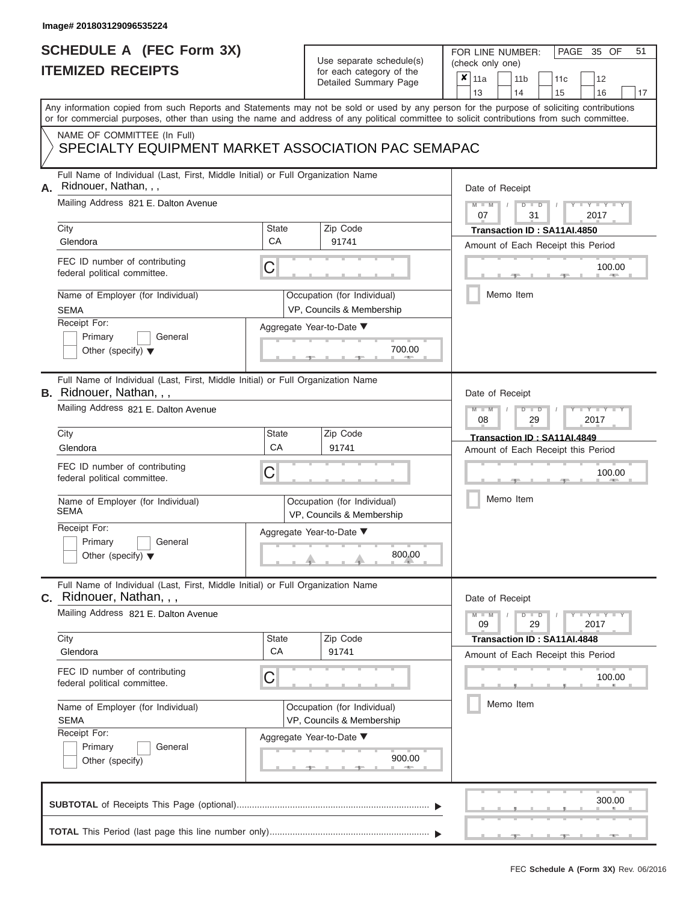# **SCHEDULE A (FEC Form 3X)**

# Use separate schedule(s)

|                                                                                                                                                        | SCHEDULE A (FEC Form 3X)<br><b>ITEMIZED RECEIPTS</b>                                                                                                       |                    | Use separate schedule(s)<br>for each category of the<br>Detailed Summary Page | 51<br>FOR LINE NUMBER:<br>PAGE 35 OF<br>(check only one)<br>$\boldsymbol{x}$<br>11a<br>11 <sub>b</sub><br>12<br>11 <sub>c</sub> |
|--------------------------------------------------------------------------------------------------------------------------------------------------------|------------------------------------------------------------------------------------------------------------------------------------------------------------|--------------------|-------------------------------------------------------------------------------|---------------------------------------------------------------------------------------------------------------------------------|
|                                                                                                                                                        | Any information copied from such Reports and Statements may not be sold or used by any person for the purpose of soliciting contributions                  |                    |                                                                               | 13<br>14<br>15<br>16<br>17                                                                                                      |
|                                                                                                                                                        | or for commercial purposes, other than using the name and address of any political committee to solicit contributions from such committee.                 |                    |                                                                               |                                                                                                                                 |
|                                                                                                                                                        | NAME OF COMMITTEE (In Full)<br>SPECIALTY EQUIPMENT MARKET ASSOCIATION PAC SEMAPAC                                                                          |                    |                                                                               |                                                                                                                                 |
| Full Name of Individual (Last, First, Middle Initial) or Full Organization Name<br>Ridnouer, Nathan, , ,<br>А.<br>Mailing Address 821 E. Dalton Avenue |                                                                                                                                                            |                    |                                                                               | Date of Receipt<br>$M - M$ /<br>$D$ $D$<br>$Y - Y$<br>07<br>31<br>2017                                                          |
|                                                                                                                                                        | City<br>Glendora                                                                                                                                           | State<br>CA        | Zip Code<br>91741                                                             | Transaction ID: SA11AI.4850<br>Amount of Each Receipt this Period                                                               |
|                                                                                                                                                        | FEC ID number of contributing<br>federal political committee.                                                                                              | С                  |                                                                               | 100.00<br><b>AND IN</b>                                                                                                         |
|                                                                                                                                                        | Name of Employer (for Individual)<br><b>SEMA</b>                                                                                                           |                    | Occupation (for Individual)<br>VP, Councils & Membership                      | Memo Item                                                                                                                       |
|                                                                                                                                                        | Receipt For:<br>Primary<br>General<br>Other (specify) $\blacktriangledown$                                                                                 |                    | Aggregate Year-to-Date ▼<br>700.00                                            |                                                                                                                                 |
|                                                                                                                                                        | Full Name of Individual (Last, First, Middle Initial) or Full Organization Name<br><b>B.</b> Ridnouer, Nathan, , ,<br>Mailing Address 821 E. Dalton Avenue |                    |                                                                               | Date of Receipt<br>$M - M$<br>$D$ $D$<br>Y TY T                                                                                 |
|                                                                                                                                                        | City                                                                                                                                                       | <b>State</b>       | Zip Code                                                                      | 08<br>2017<br>29                                                                                                                |
|                                                                                                                                                        | Glendora                                                                                                                                                   | CA                 | 91741                                                                         | Transaction ID: SA11AI.4849<br>Amount of Each Receipt this Period                                                               |
|                                                                                                                                                        | FEC ID number of contributing<br>federal political committee.                                                                                              | С                  |                                                                               | 100.00                                                                                                                          |
|                                                                                                                                                        | Name of Employer (for Individual)<br>SEMA                                                                                                                  |                    | Occupation (for Individual)<br>VP, Councils & Membership                      | Memo Item                                                                                                                       |
|                                                                                                                                                        | Receipt For:<br>Primary<br>General                                                                                                                         |                    | Aggregate Year-to-Date ▼                                                      |                                                                                                                                 |
|                                                                                                                                                        | Other (specify) $\blacktriangledown$                                                                                                                       |                    | 800.00                                                                        |                                                                                                                                 |
|                                                                                                                                                        | Full Name of Individual (Last, First, Middle Initial) or Full Organization Name<br><b>C.</b> Ridnouer, Nathan, , ,                                         |                    |                                                                               | Date of Receipt                                                                                                                 |
|                                                                                                                                                        | Mailing Address 821 E. Dalton Avenue                                                                                                                       |                    |                                                                               | $M - M$<br>$\mathbf{I} = \mathbf{Y}$ $\mathbf{I} = \mathbf{Y}$ $\mathbf{I}$<br>$D$ $D$<br>09<br>29<br>2017                      |
|                                                                                                                                                        | City<br>Glendora                                                                                                                                           | <b>State</b><br>CA | Zip Code<br>91741                                                             | Transaction ID: SA11AI.4848<br>Amount of Each Receipt this Period                                                               |
|                                                                                                                                                        | FEC ID number of contributing<br>federal political committee.                                                                                              | С                  |                                                                               | 100.00                                                                                                                          |
|                                                                                                                                                        | Name of Employer (for Individual)<br><b>SEMA</b>                                                                                                           |                    | Occupation (for Individual)<br>VP, Councils & Membership                      | Memo Item                                                                                                                       |
|                                                                                                                                                        | Receipt For:<br>Primary<br>General<br>Other (specify)                                                                                                      |                    | Aggregate Year-to-Date ▼<br>900.00                                            |                                                                                                                                 |
|                                                                                                                                                        |                                                                                                                                                            |                    |                                                                               | 300.00                                                                                                                          |
|                                                                                                                                                        |                                                                                                                                                            |                    |                                                                               |                                                                                                                                 |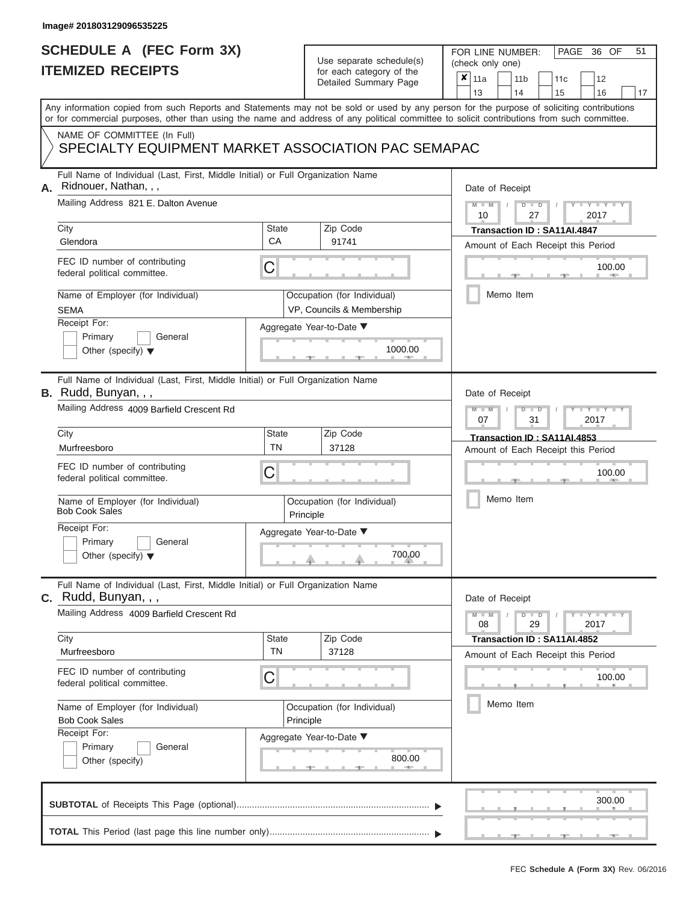## **SCHEDULE A (FEC Form 3X) ITEMIZED RECEIPTS**

# Use separate schedule(s)

| SCHEDULE A (FEC Form 3X)<br><b>ITEMIZED RECEIPTS</b>                                                                                                   |                                          | Use separate schedule(s)<br>for each category of the                    | 51<br>FOR LINE NUMBER:<br>PAGE 36 OF<br>(check only one)                                                                                                                                                                                                                                |
|--------------------------------------------------------------------------------------------------------------------------------------------------------|------------------------------------------|-------------------------------------------------------------------------|-----------------------------------------------------------------------------------------------------------------------------------------------------------------------------------------------------------------------------------------------------------------------------------------|
|                                                                                                                                                        |                                          | Detailed Summary Page                                                   | $\boldsymbol{x}$<br>11a<br>11 <sub>b</sub><br>12<br>11 <sub>c</sub><br>13<br>14<br>15<br>16<br>17                                                                                                                                                                                       |
|                                                                                                                                                        |                                          |                                                                         | Any information copied from such Reports and Statements may not be sold or used by any person for the purpose of soliciting contributions<br>or for commercial purposes, other than using the name and address of any political committee to solicit contributions from such committee. |
| NAME OF COMMITTEE (In Full)<br>SPECIALTY EQUIPMENT MARKET ASSOCIATION PAC SEMAPAC                                                                      |                                          |                                                                         |                                                                                                                                                                                                                                                                                         |
| Full Name of Individual (Last, First, Middle Initial) or Full Organization Name<br>Ridnouer, Nathan, , ,<br>А.<br>Mailing Address 821 E. Dalton Avenue |                                          |                                                                         | Date of Receipt<br>$D$ $D$                                                                                                                                                                                                                                                              |
| City<br>Glendora                                                                                                                                       | <b>State</b><br>CA                       | Zip Code<br>91741                                                       | $M = M$ /<br>$\cdots$ Y $\cdots$ Y $\cdots$<br>10<br>27<br>2017<br>Transaction ID: SA11AI.4847                                                                                                                                                                                          |
| FEC ID number of contributing<br>federal political committee.                                                                                          | C                                        |                                                                         | Amount of Each Receipt this Period<br>100.00<br><b>AND IN</b>                                                                                                                                                                                                                           |
| Name of Employer (for Individual)<br><b>SEMA</b>                                                                                                       |                                          | Occupation (for Individual)<br>VP, Councils & Membership                | Memo Item                                                                                                                                                                                                                                                                               |
| Receipt For:<br>Primary<br>General<br>Other (specify) $\blacktriangledown$                                                                             |                                          | Aggregate Year-to-Date ▼<br>1000.00                                     |                                                                                                                                                                                                                                                                                         |
| Full Name of Individual (Last, First, Middle Initial) or Full Organization Name<br>B. Rudd, Bunyan, , ,<br>Mailing Address 4009 Barfield Crescent Rd   |                                          |                                                                         | Date of Receipt<br>$M - M$<br>$D$ $D$<br>$T - Y = T - Y = T$                                                                                                                                                                                                                            |
| City                                                                                                                                                   | State                                    | Zip Code                                                                | 07<br>31<br>2017<br>Transaction ID: SA11AI.4853                                                                                                                                                                                                                                         |
| Murfreesboro<br>FEC ID number of contributing<br>federal political committee.                                                                          | <b>TN</b><br>C                           | 37128                                                                   | Amount of Each Receipt this Period<br>100.00                                                                                                                                                                                                                                            |
| Name of Employer (for Individual)<br><b>Bob Cook Sales</b>                                                                                             |                                          | Occupation (for Individual)<br>Principle                                | Memo Item                                                                                                                                                                                                                                                                               |
| Receipt For:<br>Primary<br>General<br>Other (specify) $\blacktriangledown$                                                                             |                                          | Aggregate Year-to-Date ▼<br>$\begin{array}{c}\n 700.00 \\  \end{array}$ |                                                                                                                                                                                                                                                                                         |
| Full Name of Individual (Last, First, Middle Initial) or Full Organization Name<br>C. Rudd, Bunyan, , ,                                                |                                          |                                                                         | Date of Receipt                                                                                                                                                                                                                                                                         |
| Mailing Address 4009 Barfield Crescent Rd                                                                                                              |                                          |                                                                         | $M - M$<br>$D$ $D$<br>$\mathbf{I} = \mathbf{Y} + \mathbf{I} + \mathbf{Y} + \mathbf{I}$<br>08<br>29<br>2017                                                                                                                                                                              |
| City<br>Murfreesboro                                                                                                                                   | <b>State</b><br><b>TN</b>                | Zip Code<br>37128                                                       | Transaction ID: SA11AI.4852<br>Amount of Each Receipt this Period                                                                                                                                                                                                                       |
| FEC ID number of contributing<br>federal political committee.                                                                                          | C                                        |                                                                         | 100.00                                                                                                                                                                                                                                                                                  |
| Name of Employer (for Individual)<br><b>Bob Cook Sales</b><br>Receipt For:                                                                             | Occupation (for Individual)<br>Principle |                                                                         | Memo Item                                                                                                                                                                                                                                                                               |
| Primary<br>General<br>Other (specify)                                                                                                                  |                                          | Aggregate Year-to-Date ▼<br>800.00                                      |                                                                                                                                                                                                                                                                                         |
|                                                                                                                                                        |                                          |                                                                         | 300.00                                                                                                                                                                                                                                                                                  |
|                                                                                                                                                        |                                          |                                                                         |                                                                                                                                                                                                                                                                                         |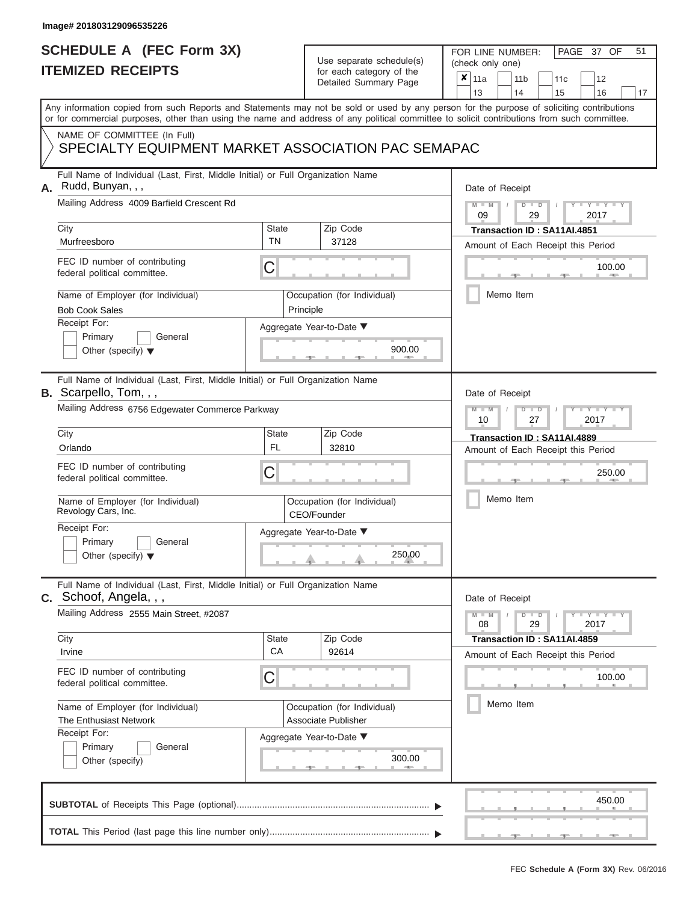# **SCHEDULE A (FEC Form 3X)**

# Use separate schedule(s)

|    | SCHEDULE A (FEC Form 3X)<br><b>ITEMIZED RECEIPTS</b>                                                                                                                                                                                                                                                                                                                         |                                                   | Use separate schedule(s)<br>for each category of the<br>Detailed Summary Page | 51<br>FOR LINE NUMBER:<br>PAGE 37 OF<br>(check only one)<br>$\boldsymbol{x}$<br>11a<br>11 <sub>b</sub><br>12<br>11c<br>16<br>13<br>14<br>15<br>17 |
|----|------------------------------------------------------------------------------------------------------------------------------------------------------------------------------------------------------------------------------------------------------------------------------------------------------------------------------------------------------------------------------|---------------------------------------------------|-------------------------------------------------------------------------------|---------------------------------------------------------------------------------------------------------------------------------------------------|
|    | Any information copied from such Reports and Statements may not be sold or used by any person for the purpose of soliciting contributions<br>or for commercial purposes, other than using the name and address of any political committee to solicit contributions from such committee.<br>NAME OF COMMITTEE (In Full)<br>SPECIALTY EQUIPMENT MARKET ASSOCIATION PAC SEMAPAC |                                                   |                                                                               |                                                                                                                                                   |
|    | Full Name of Individual (Last, First, Middle Initial) or Full Organization Name                                                                                                                                                                                                                                                                                              |                                                   |                                                                               |                                                                                                                                                   |
| А. | Rudd, Bunyan, , ,<br>Mailing Address 4009 Barfield Crescent Rd                                                                                                                                                                                                                                                                                                               |                                                   |                                                                               | Date of Receipt<br>$M - M$ /<br>$D$ $D$<br>$Y - Y - I$<br>09<br>29<br>2017                                                                        |
|    | City<br>Murfreesboro                                                                                                                                                                                                                                                                                                                                                         | <b>State</b><br><b>TN</b>                         | Zip Code<br>37128                                                             | Transaction ID: SA11AI.4851<br>Amount of Each Receipt this Period                                                                                 |
|    | FEC ID number of contributing<br>federal political committee.                                                                                                                                                                                                                                                                                                                | С                                                 |                                                                               | 100.00                                                                                                                                            |
|    | Name of Employer (for Individual)<br><b>Bob Cook Sales</b>                                                                                                                                                                                                                                                                                                                   |                                                   | Occupation (for Individual)<br>Principle                                      | Memo Item                                                                                                                                         |
|    | Receipt For:<br>Primary<br>General<br>Other (specify) $\blacktriangledown$                                                                                                                                                                                                                                                                                                   |                                                   | Aggregate Year-to-Date ▼<br>900.00                                            |                                                                                                                                                   |
|    | Full Name of Individual (Last, First, Middle Initial) or Full Organization Name<br><b>B.</b> Scarpello, Tom, , ,                                                                                                                                                                                                                                                             |                                                   |                                                                               | Date of Receipt                                                                                                                                   |
|    | Mailing Address 6756 Edgewater Commerce Parkway                                                                                                                                                                                                                                                                                                                              | $M - M$<br>$D$ $D$<br>Y Y Y U<br>10<br>2017<br>27 |                                                                               |                                                                                                                                                   |
|    | City<br>Orlando                                                                                                                                                                                                                                                                                                                                                              | <b>State</b><br><b>FL</b>                         | Zip Code<br>32810                                                             | Transaction ID: SA11AI.4889<br>Amount of Each Receipt this Period                                                                                 |
|    | FEC ID number of contributing<br>federal political committee.                                                                                                                                                                                                                                                                                                                | С                                                 |                                                                               | 250.00                                                                                                                                            |
|    | Name of Employer (for Individual)<br>Revology Cars, Inc.                                                                                                                                                                                                                                                                                                                     |                                                   | Occupation (for Individual)<br>CEO/Founder                                    | Memo Item                                                                                                                                         |
|    | Receipt For:<br>Primary<br>General<br>Other (specify) $\blacktriangledown$                                                                                                                                                                                                                                                                                                   |                                                   | Aggregate Year-to-Date ▼<br>250.00                                            |                                                                                                                                                   |
|    | Full Name of Individual (Last, First, Middle Initial) or Full Organization Name<br>C. Schoof, Angela, , ,                                                                                                                                                                                                                                                                    |                                                   |                                                                               | Date of Receipt                                                                                                                                   |
|    | Mailing Address 2555 Main Street, #2087                                                                                                                                                                                                                                                                                                                                      |                                                   |                                                                               | $M - M$<br>$D$ $D$<br>$\cdots$ Y $\cdots$ Y $\cdots$<br>08<br>29<br>2017                                                                          |
|    | City<br>Irvine                                                                                                                                                                                                                                                                                                                                                               | <b>State</b><br>CA                                | Zip Code<br>92614                                                             | Transaction ID: SA11AI.4859<br>Amount of Each Receipt this Period                                                                                 |
|    | FEC ID number of contributing<br>federal political committee.                                                                                                                                                                                                                                                                                                                | С                                                 |                                                                               | 100.00                                                                                                                                            |
|    | Name of Employer (for Individual)<br>The Enthusiast Network                                                                                                                                                                                                                                                                                                                  |                                                   | Occupation (for Individual)<br>Associate Publisher                            | Memo Item                                                                                                                                         |
|    | Receipt For:<br>Primary<br>General<br>Other (specify)                                                                                                                                                                                                                                                                                                                        |                                                   | Aggregate Year-to-Date ▼<br>300.00                                            |                                                                                                                                                   |
|    |                                                                                                                                                                                                                                                                                                                                                                              |                                                   |                                                                               | 450.00                                                                                                                                            |
|    |                                                                                                                                                                                                                                                                                                                                                                              |                                                   |                                                                               |                                                                                                                                                   |

FEC **Schedule A (Form 3X)** Rev. 06/2016

<u> ↓ → , , , , , , , , , , , ,</u>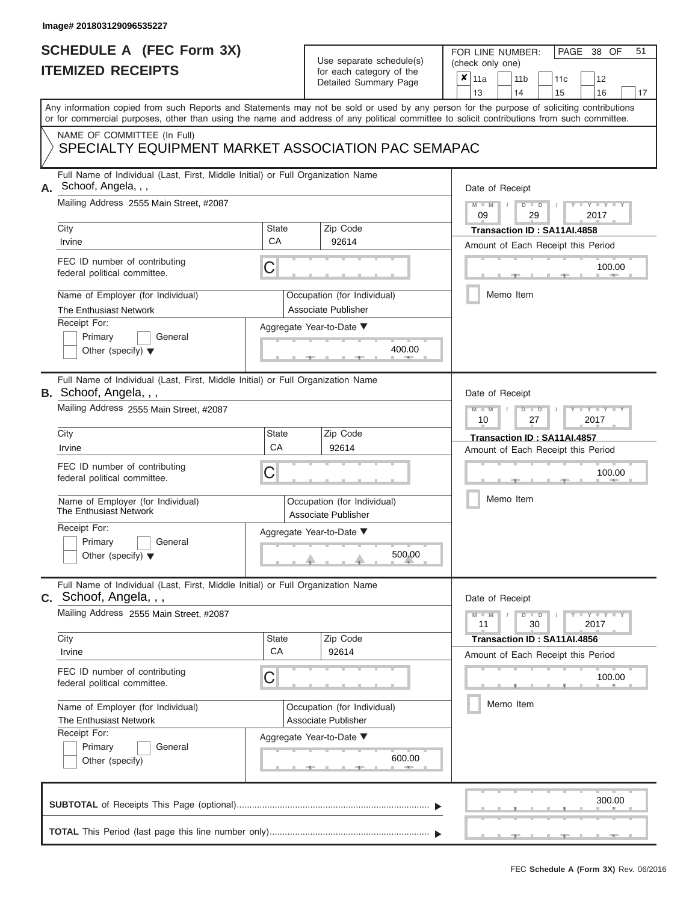| <b>SCHEDULE A (FEC Form 3X)</b> |  |  |
|---------------------------------|--|--|
| <b>ITEMIZED RECEIPTS</b>        |  |  |

FOR LINE NUMBER:

PAGE 38 OF 51

| <b>ITEMIZED RECEIPTS</b> |                                                                                                                                                                                                                                 |                           | Use separate schedule(s)<br>for each category of the                                            | (check only one)                                                                                                                          |  |  |
|--------------------------|---------------------------------------------------------------------------------------------------------------------------------------------------------------------------------------------------------------------------------|---------------------------|-------------------------------------------------------------------------------------------------|-------------------------------------------------------------------------------------------------------------------------------------------|--|--|
|                          |                                                                                                                                                                                                                                 |                           | Detailed Summary Page                                                                           | $\boldsymbol{x}$<br>11a<br>12<br>11 <sub>b</sub><br>11c<br>13<br>14<br>15<br>16<br>17                                                     |  |  |
|                          | or for commercial purposes, other than using the name and address of any political committee to solicit contributions from such committee.<br>NAME OF COMMITTEE (In Full)<br>SPECIALTY EQUIPMENT MARKET ASSOCIATION PAC SEMAPAC |                           |                                                                                                 | Any information copied from such Reports and Statements may not be sold or used by any person for the purpose of soliciting contributions |  |  |
| А.                       | Full Name of Individual (Last, First, Middle Initial) or Full Organization Name<br>Schoof, Angela, , ,<br>Mailing Address 2555 Main Street. #2087                                                                               |                           |                                                                                                 | Date of Receipt<br>$M - M$<br>Y TYT<br>$D$ $D$<br>09<br>29<br>2017                                                                        |  |  |
|                          | City<br>Irvine                                                                                                                                                                                                                  | State<br>CA               | Zip Code<br>92614                                                                               | Transaction ID: SA11AI.4858<br>Amount of Each Receipt this Period                                                                         |  |  |
|                          | FEC ID number of contributing<br>federal political committee.                                                                                                                                                                   | C                         |                                                                                                 | 100.00                                                                                                                                    |  |  |
|                          | Name of Employer (for Individual)<br>The Enthusiast Network<br>Receipt For:<br>Primary<br>General<br>Other (specify) $\blacktriangledown$                                                                                       |                           | Occupation (for Individual)<br><b>Associate Publisher</b><br>Aggregate Year-to-Date ▼<br>400.00 | Memo Item                                                                                                                                 |  |  |
|                          | Full Name of Individual (Last, First, Middle Initial) or Full Organization Name<br><b>B.</b> Schoof, Angela, , ,<br>Mailing Address 2555 Main Street, #2087                                                                     |                           |                                                                                                 | Date of Receipt<br>$M - M$<br><b>TEXTER</b><br>$D$ $D$<br>10<br>27<br>2017                                                                |  |  |
|                          | City<br>Irvine                                                                                                                                                                                                                  | State<br>CA               | Zip Code<br>92614                                                                               | Transaction ID: SA11AI.4857<br>Amount of Each Receipt this Period                                                                         |  |  |
|                          | FEC ID number of contributing<br>federal political committee.                                                                                                                                                                   | C                         |                                                                                                 | 100.00                                                                                                                                    |  |  |
|                          | Name of Employer (for Individual)<br>The Enthusiast Network                                                                                                                                                                     |                           | Occupation (for Individual)<br>Associate Publisher                                              | Memo Item                                                                                                                                 |  |  |
|                          | Receipt For:<br>Primary<br>General<br>Other (specify) $\blacktriangledown$                                                                                                                                                      |                           | Aggregate Year-to-Date ▼<br>500.00                                                              |                                                                                                                                           |  |  |
|                          | Full Name of Individual (Last, First, Middle Initial) or Full Organization Name<br>C. Schoof, Angela, , ,                                                                                                                       |                           |                                                                                                 | Date of Receipt                                                                                                                           |  |  |
|                          | Mailing Address 2555 Main Street, #2087                                                                                                                                                                                         |                           |                                                                                                 | $Y - Y - Y - Y$<br>$M - M$<br>$D$ $\Box$ $D$<br>30<br>11<br>2017                                                                          |  |  |
|                          | City<br>Irvine                                                                                                                                                                                                                  | <b>State</b><br><b>CA</b> | Zip Code<br>92614                                                                               | Transaction ID: SA11AI.4856<br>Amount of Each Receipt this Period                                                                         |  |  |
|                          | FEC ID number of contributing<br>federal political committee.                                                                                                                                                                   | C                         |                                                                                                 | 100.00                                                                                                                                    |  |  |
|                          | Name of Employer (for Individual)<br>The Enthusiast Network<br>Receipt For:                                                                                                                                                     |                           | Occupation (for Individual)<br>Associate Publisher                                              | Memo Item                                                                                                                                 |  |  |
|                          | Primary<br>General<br>Other (specify)                                                                                                                                                                                           |                           | Aggregate Year-to-Date ▼<br>600.00<br><b>AND</b>                                                |                                                                                                                                           |  |  |
|                          |                                                                                                                                                                                                                                 |                           |                                                                                                 | 300.00                                                                                                                                    |  |  |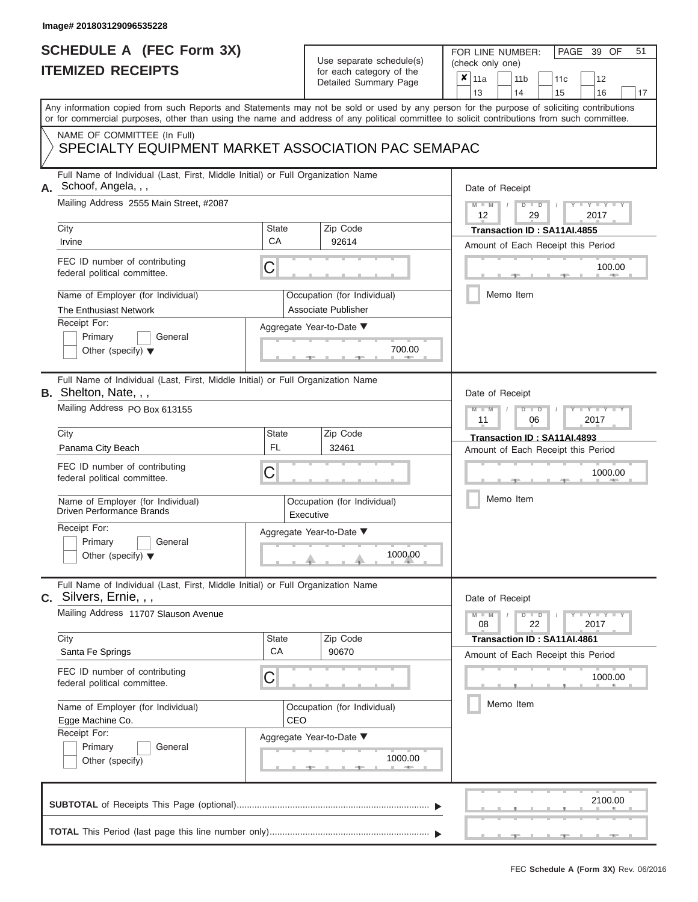# **SCHEDULE A (FEC Form 3X)**

# Use separate schedule(s)

| SCHEDULE A (FEC Form 3X)<br><b>ITEMIZED RECEIPTS</b>                                                                                                                                                                                                                                    |                    | Use separate schedule(s)<br>for each category of the<br>Detailed Summary Page | 51<br>FOR LINE NUMBER:<br>PAGE 39 OF<br>(check only one)<br>$\boldsymbol{x}$<br>11a<br>11 <sub>b</sub><br>12<br>11 <sub>c</sub> |
|-----------------------------------------------------------------------------------------------------------------------------------------------------------------------------------------------------------------------------------------------------------------------------------------|--------------------|-------------------------------------------------------------------------------|---------------------------------------------------------------------------------------------------------------------------------|
|                                                                                                                                                                                                                                                                                         |                    |                                                                               | 13<br>14<br>15<br>16<br>17                                                                                                      |
| Any information copied from such Reports and Statements may not be sold or used by any person for the purpose of soliciting contributions<br>or for commercial purposes, other than using the name and address of any political committee to solicit contributions from such committee. |                    |                                                                               |                                                                                                                                 |
| NAME OF COMMITTEE (In Full)<br>SPECIALTY EQUIPMENT MARKET ASSOCIATION PAC SEMAPAC                                                                                                                                                                                                       |                    |                                                                               |                                                                                                                                 |
| Full Name of Individual (Last, First, Middle Initial) or Full Organization Name<br>Schoof, Angela, , ,<br>А.<br>Mailing Address 2555 Main Street. #2087<br>City                                                                                                                         | State              | Zip Code                                                                      | Date of Receipt<br>$M - M$ /<br>$D$ $D$<br>$Y - Y$<br>12<br>29<br>2017                                                          |
| Irvine                                                                                                                                                                                                                                                                                  | CA                 | 92614                                                                         | Transaction ID: SA11AI.4855<br>Amount of Each Receipt this Period                                                               |
| FEC ID number of contributing<br>federal political committee.                                                                                                                                                                                                                           | С                  |                                                                               | 100.00<br><b>COLLECTION</b>                                                                                                     |
| Name of Employer (for Individual)<br>The Enthusiast Network                                                                                                                                                                                                                             |                    | Occupation (for Individual)<br>Associate Publisher                            | Memo Item                                                                                                                       |
| Receipt For:<br>Primary<br>General<br>Other (specify) $\blacktriangledown$                                                                                                                                                                                                              |                    | Aggregate Year-to-Date ▼<br>700.00                                            |                                                                                                                                 |
| Full Name of Individual (Last, First, Middle Initial) or Full Organization Name<br><b>B.</b> Shelton, Nate, $,$<br>Mailing Address PO Box 613155                                                                                                                                        |                    |                                                                               | Date of Receipt<br>$M - M$<br>$D$ $D$<br>Y TYT<br>11<br>2017<br>06                                                              |
| City                                                                                                                                                                                                                                                                                    | <b>State</b>       | Zip Code                                                                      | Transaction ID: SA11AI.4893                                                                                                     |
| Panama City Beach                                                                                                                                                                                                                                                                       | <b>FL</b>          | 32461                                                                         | Amount of Each Receipt this Period                                                                                              |
| FEC ID number of contributing<br>federal political committee.                                                                                                                                                                                                                           | С                  |                                                                               | 1000.00                                                                                                                         |
| Name of Employer (for Individual)<br><b>Driven Performance Brands</b>                                                                                                                                                                                                                   |                    | Occupation (for Individual)<br>Executive                                      | Memo Item                                                                                                                       |
| Receipt For:                                                                                                                                                                                                                                                                            |                    | Aggregate Year-to-Date ▼                                                      |                                                                                                                                 |
| Primary<br>General<br>Other (specify) $\blacktriangledown$                                                                                                                                                                                                                              |                    | 1000.00                                                                       |                                                                                                                                 |
| Full Name of Individual (Last, First, Middle Initial) or Full Organization Name<br>C. Silvers, Ernie, , ,                                                                                                                                                                               |                    |                                                                               | Date of Receipt                                                                                                                 |
| Mailing Address 11707 Slauson Avenue                                                                                                                                                                                                                                                    |                    |                                                                               | $M - M$<br>$D$ $D$<br>$-1$ $-1$ $-1$ $-1$ $-1$ $-1$<br>22<br>2017<br>08                                                         |
| City<br>Santa Fe Springs                                                                                                                                                                                                                                                                | <b>State</b><br>CA | Zip Code<br>90670                                                             | Transaction ID: SA11AI.4861<br>Amount of Each Receipt this Period                                                               |
| FEC ID number of contributing<br>federal political committee.                                                                                                                                                                                                                           | С                  |                                                                               | 1000.00                                                                                                                         |
| Name of Employer (for Individual)<br>Egge Machine Co.                                                                                                                                                                                                                                   | CEO                | Occupation (for Individual)                                                   | Memo Item                                                                                                                       |
| Receipt For:<br>Primary<br>General<br>Other (specify)                                                                                                                                                                                                                                   |                    | Aggregate Year-to-Date ▼<br>1000.00                                           |                                                                                                                                 |
|                                                                                                                                                                                                                                                                                         |                    |                                                                               | 2100.00                                                                                                                         |
|                                                                                                                                                                                                                                                                                         |                    |                                                                               |                                                                                                                                 |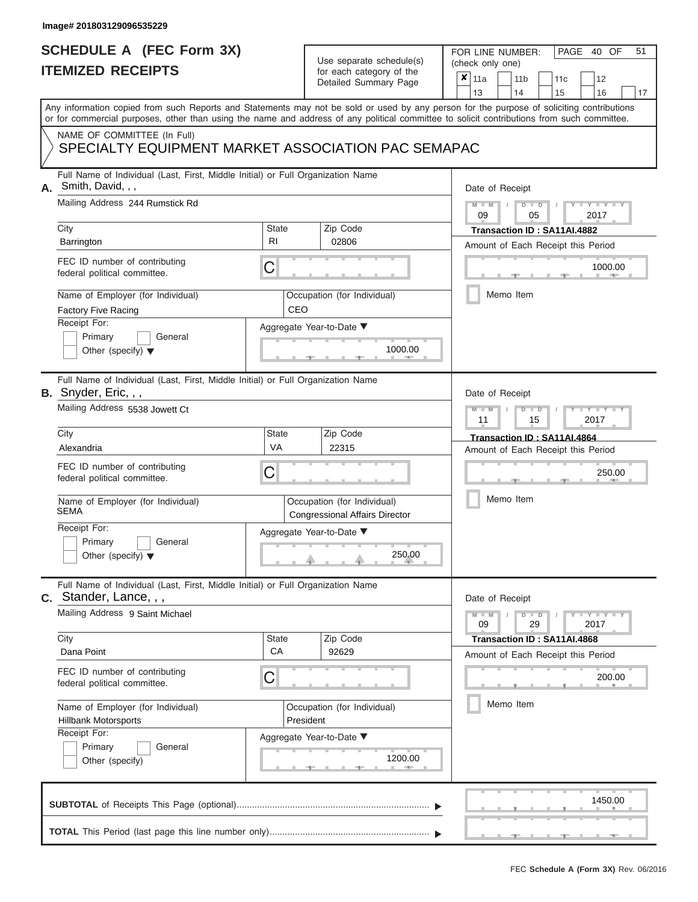### **SCHEDULE A (FEC Form 3X) ITEMIZED RECEIPTS**

# Use separate schedule(s)

| SCHEDULE A (FEC Form 3X)<br><b>ITEMIZED RECEIPTS</b>                                                           |                    | Use separate schedule(s)<br>for each category of the                 | 51<br>FOR LINE NUMBER:<br>PAGE 40 OF<br>(check only one)                                                                                                                                                                                                                                |
|----------------------------------------------------------------------------------------------------------------|--------------------|----------------------------------------------------------------------|-----------------------------------------------------------------------------------------------------------------------------------------------------------------------------------------------------------------------------------------------------------------------------------------|
|                                                                                                                |                    | Detailed Summary Page                                                | ×<br>11a<br>11 <sub>b</sub><br>12<br>11c<br>13<br>14<br>15<br>16<br>17                                                                                                                                                                                                                  |
|                                                                                                                |                    |                                                                      | Any information copied from such Reports and Statements may not be sold or used by any person for the purpose of soliciting contributions<br>or for commercial purposes, other than using the name and address of any political committee to solicit contributions from such committee. |
| NAME OF COMMITTEE (In Full)<br>SPECIALTY EQUIPMENT MARKET ASSOCIATION PAC SEMAPAC                              |                    |                                                                      |                                                                                                                                                                                                                                                                                         |
| Full Name of Individual (Last, First, Middle Initial) or Full Organization Name<br>Smith, David, , ,<br>А.     |                    |                                                                      | Date of Receipt                                                                                                                                                                                                                                                                         |
| Mailing Address 244 Rumstick Rd<br>City                                                                        | <b>State</b>       | Zip Code                                                             | $M - M$<br>$D$ $D$<br>$Y - Y - I$<br>09<br>05<br>2017<br>Transaction ID: SA11AI.4882                                                                                                                                                                                                    |
| Barrington                                                                                                     | R <sub>l</sub>     | 02806                                                                | Amount of Each Receipt this Period                                                                                                                                                                                                                                                      |
| FEC ID number of contributing<br>federal political committee.                                                  | С                  |                                                                      | 1000.00<br><b>AND A</b>                                                                                                                                                                                                                                                                 |
| Name of Employer (for Individual)<br>Factory Five Racing                                                       | CEO                | Occupation (for Individual)                                          | Memo Item                                                                                                                                                                                                                                                                               |
| Receipt For:<br>Primary<br>General                                                                             |                    | Aggregate Year-to-Date ▼                                             |                                                                                                                                                                                                                                                                                         |
| Other (specify) $\blacktriangledown$                                                                           |                    | 1000.00                                                              |                                                                                                                                                                                                                                                                                         |
| Full Name of Individual (Last, First, Middle Initial) or Full Organization Name<br><b>B.</b> Snyder, Eric, , , |                    |                                                                      | Date of Receipt                                                                                                                                                                                                                                                                         |
| Mailing Address 5538 Jowett Ct                                                                                 |                    |                                                                      | $M - M$<br>$D$ $D$<br>Y TYT<br>2017<br>11<br>15                                                                                                                                                                                                                                         |
| City                                                                                                           | <b>State</b>       | Zip Code                                                             | Transaction ID: SA11AI.4864                                                                                                                                                                                                                                                             |
| Alexandria                                                                                                     | VA                 | 22315                                                                | Amount of Each Receipt this Period                                                                                                                                                                                                                                                      |
| FEC ID number of contributing<br>federal political committee.                                                  | С                  |                                                                      | 250.00                                                                                                                                                                                                                                                                                  |
| Name of Employer (for Individual)<br><b>SEMA</b>                                                               |                    | Occupation (for Individual)<br><b>Congressional Affairs Director</b> | Memo Item                                                                                                                                                                                                                                                                               |
| Receipt For:                                                                                                   |                    | Aggregate Year-to-Date ▼                                             |                                                                                                                                                                                                                                                                                         |
| Primary<br>General<br>Other (specify) $\blacktriangledown$                                                     |                    | 250.00                                                               |                                                                                                                                                                                                                                                                                         |
| Full Name of Individual (Last, First, Middle Initial) or Full Organization Name<br>C. Stander, Lance, , ,      |                    |                                                                      | Date of Receipt                                                                                                                                                                                                                                                                         |
| Mailing Address 9 Saint Michael                                                                                |                    |                                                                      | $T - Y = T - Y$<br>$M - M$<br>$D$ $D$<br>09<br>29<br>2017                                                                                                                                                                                                                               |
| City<br>Dana Point                                                                                             | <b>State</b><br>CA | Zip Code<br>92629                                                    | Transaction ID: SA11AI.4868<br>Amount of Each Receipt this Period                                                                                                                                                                                                                       |
| FEC ID number of contributing<br>federal political committee.                                                  | С                  |                                                                      | 200.00                                                                                                                                                                                                                                                                                  |
| Name of Employer (for Individual)<br><b>Hillbank Motorsports</b>                                               |                    | Occupation (for Individual)<br>President                             | Memo Item                                                                                                                                                                                                                                                                               |
| Receipt For:<br>Primary<br>General<br>Other (specify)                                                          |                    | Aggregate Year-to-Date ▼<br>1200.00                                  |                                                                                                                                                                                                                                                                                         |
|                                                                                                                |                    |                                                                      | 1450.00                                                                                                                                                                                                                                                                                 |
|                                                                                                                |                    |                                                                      |                                                                                                                                                                                                                                                                                         |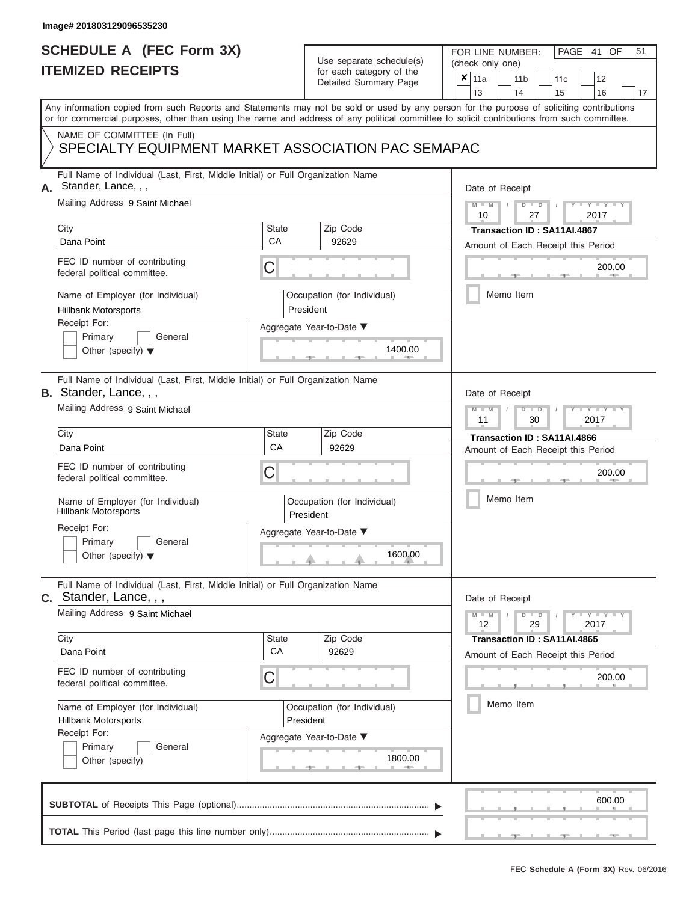## **SCHEDULE A (FEC Form 3X) ITEMIZED RECEIPTS**

# Use separate schedule(s)

| SCHEDULE A (FEC Form 3X)<br><b>ITEMIZED RECEIPTS</b>                                                             |                    | Use separate schedule(s)<br>for each category of the | 51<br>FOR LINE NUMBER:<br>PAGE 41 OF<br>(check only one)                                                                                                                                                                                                                                |
|------------------------------------------------------------------------------------------------------------------|--------------------|------------------------------------------------------|-----------------------------------------------------------------------------------------------------------------------------------------------------------------------------------------------------------------------------------------------------------------------------------------|
|                                                                                                                  |                    | Detailed Summary Page                                | ×<br>11a<br>11 <sub>b</sub><br>12<br>11c<br>13<br>14<br>15<br>16<br>17                                                                                                                                                                                                                  |
|                                                                                                                  |                    |                                                      | Any information copied from such Reports and Statements may not be sold or used by any person for the purpose of soliciting contributions<br>or for commercial purposes, other than using the name and address of any political committee to solicit contributions from such committee. |
| NAME OF COMMITTEE (In Full)<br>SPECIALTY EQUIPMENT MARKET ASSOCIATION PAC SEMAPAC                                |                    |                                                      |                                                                                                                                                                                                                                                                                         |
| Full Name of Individual (Last, First, Middle Initial) or Full Organization Name<br>Stander, Lance, , ,           |                    |                                                      | Date of Receipt                                                                                                                                                                                                                                                                         |
| Mailing Address 9 Saint Michael<br>City                                                                          | State              | Zip Code                                             | Y I Y I<br>$M - M$<br>$D$ $D$<br>10<br>27<br>2017<br>Transaction ID: SA11AI.4867                                                                                                                                                                                                        |
| Dana Point                                                                                                       | CA                 | 92629                                                | Amount of Each Receipt this Period                                                                                                                                                                                                                                                      |
| FEC ID number of contributing<br>federal political committee.                                                    | С                  |                                                      | 200.00<br><b>Britannia</b>                                                                                                                                                                                                                                                              |
| Name of Employer (for Individual)<br><b>Hillbank Motorsports</b>                                                 |                    | Occupation (for Individual)<br>President             | Memo Item                                                                                                                                                                                                                                                                               |
| Receipt For:                                                                                                     |                    | Aggregate Year-to-Date ▼                             |                                                                                                                                                                                                                                                                                         |
| Primary<br>General<br>Other (specify) $\blacktriangledown$                                                       |                    | 1400.00                                              |                                                                                                                                                                                                                                                                                         |
| Full Name of Individual (Last, First, Middle Initial) or Full Organization Name<br><b>B.</b> Stander, Lance, , , |                    |                                                      | Date of Receipt                                                                                                                                                                                                                                                                         |
| Mailing Address 9 Saint Michael                                                                                  |                    |                                                      | $M - M$<br>$D$ $D$<br>$T - Y = T - Y - T$<br>11<br>2017<br>30                                                                                                                                                                                                                           |
| City<br>Dana Point                                                                                               | <b>State</b><br>CA | Zip Code<br>92629                                    | Transaction ID: SA11AI.4866                                                                                                                                                                                                                                                             |
| FEC ID number of contributing<br>federal political committee.                                                    | С                  |                                                      | Amount of Each Receipt this Period<br>200.00                                                                                                                                                                                                                                            |
| Name of Employer (for Individual)<br><b>Hillbank Motorsports</b>                                                 |                    | Occupation (for Individual)<br>President             | Memo Item                                                                                                                                                                                                                                                                               |
| Receipt For:                                                                                                     |                    | Aggregate Year-to-Date ▼                             |                                                                                                                                                                                                                                                                                         |
| Primary<br>General<br>Other (specify) $\blacktriangledown$                                                       |                    | 1600.00                                              |                                                                                                                                                                                                                                                                                         |
| Full Name of Individual (Last, First, Middle Initial) or Full Organization Name<br>C. Stander, Lance, , ,        |                    |                                                      | Date of Receipt                                                                                                                                                                                                                                                                         |
| Mailing Address 9 Saint Michael                                                                                  |                    |                                                      | $M - M$<br>$D$ $\Box$ $D$<br>$T - Y = T - Y$<br>12<br>29<br>2017                                                                                                                                                                                                                        |
| City<br>Dana Point                                                                                               | <b>State</b><br>CA | Zip Code<br>92629                                    | Transaction ID: SA11AI.4865<br>Amount of Each Receipt this Period                                                                                                                                                                                                                       |
| FEC ID number of contributing<br>federal political committee.                                                    | С                  |                                                      | 200.00                                                                                                                                                                                                                                                                                  |
| Name of Employer (for Individual)<br><b>Hillbank Motorsports</b>                                                 |                    | Occupation (for Individual)<br>President             | Memo Item                                                                                                                                                                                                                                                                               |
| Receipt For:<br>Primary<br>General<br>Other (specify)                                                            |                    | Aggregate Year-to-Date ▼<br>1800.00                  |                                                                                                                                                                                                                                                                                         |
|                                                                                                                  |                    |                                                      | 600.00                                                                                                                                                                                                                                                                                  |
|                                                                                                                  |                    |                                                      |                                                                                                                                                                                                                                                                                         |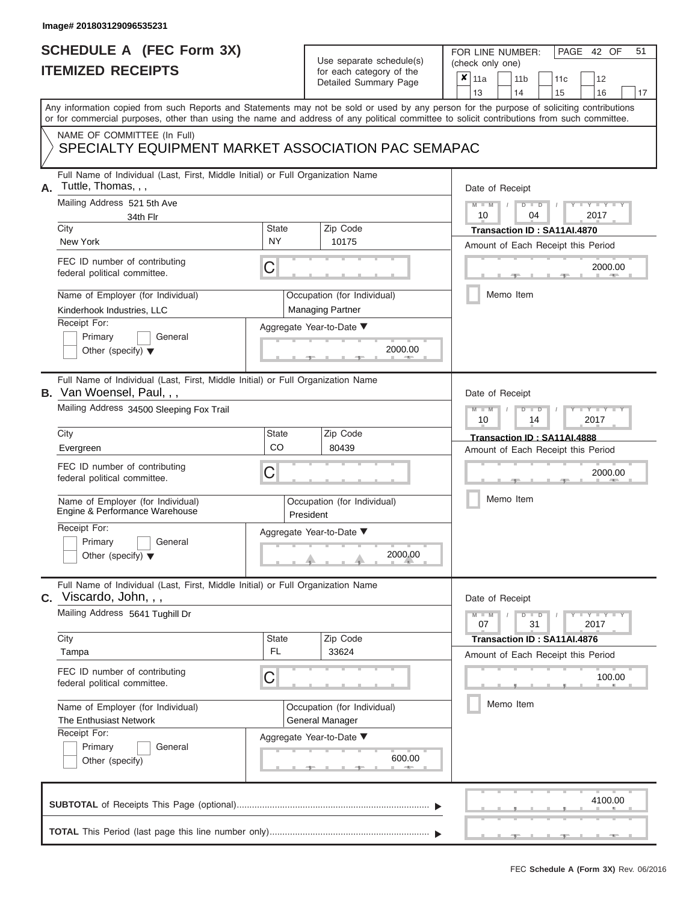## **SCHEDULE A (FEC Form 3X) ITEMIZED RECEIPTS**

# Use separate schedule(s)

| SCHEDULE A (FEC Form 3X)<br><b>ITEMIZED RECEIPTS</b>                                                                                                                                                                                                                                                                                                                                                     | Use separate schedule(s)<br>for each category of the<br>Detailed Summary Page                                                                        | 51<br>FOR LINE NUMBER:<br>PAGE 42 OF<br>(check only one)<br>$\boldsymbol{x}$<br>11a<br>11 <sub>b</sub><br>12<br>11 <sub>c</sub>                                                        |
|----------------------------------------------------------------------------------------------------------------------------------------------------------------------------------------------------------------------------------------------------------------------------------------------------------------------------------------------------------------------------------------------------------|------------------------------------------------------------------------------------------------------------------------------------------------------|----------------------------------------------------------------------------------------------------------------------------------------------------------------------------------------|
| Any information copied from such Reports and Statements may not be sold or used by any person for the purpose of soliciting contributions<br>or for commercial purposes, other than using the name and address of any political committee to solicit contributions from such committee.                                                                                                                  |                                                                                                                                                      | 13<br>14<br>15<br>16<br>17                                                                                                                                                             |
| NAME OF COMMITTEE (In Full)<br>SPECIALTY EQUIPMENT MARKET ASSOCIATION PAC SEMAPAC                                                                                                                                                                                                                                                                                                                        |                                                                                                                                                      |                                                                                                                                                                                        |
| Full Name of Individual (Last, First, Middle Initial) or Full Organization Name<br>Tuttle, Thomas, , ,<br>А.<br>Mailing Address 521 5th Ave<br>34th Flr<br>City<br>New York<br>FEC ID number of contributing<br>federal political committee.<br>Name of Employer (for Individual)<br>Kinderhook Industries, LLC<br>Receipt For:<br>Primary<br>General<br>Other (specify) $\blacktriangledown$            | <b>State</b><br>Zip Code<br><b>NY</b><br>10175<br>С<br>Occupation (for Individual)<br><b>Managing Partner</b><br>Aggregate Year-to-Date ▼<br>2000.00 | Date of Receipt<br>$M - M$ /<br>$D$ $D$<br>$Y - Y$<br>10<br>2017<br>04<br>Transaction ID: SA11AI.4870<br>Amount of Each Receipt this Period<br>2000.00<br>Memo Item                    |
| Full Name of Individual (Last, First, Middle Initial) or Full Organization Name<br><b>B.</b> Van Woensel, Paul,,,<br>Mailing Address 34500 Sleeping Fox Trail<br>City<br>Evergreen<br>FEC ID number of contributing<br>federal political committee.<br>Name of Employer (for Individual)<br>Engine & Performance Warehouse<br>Receipt For:<br>Primary<br>General<br>Other (specify) $\blacktriangledown$ | <b>State</b><br>Zip Code<br>CO<br>80439<br>С<br>Occupation (for Individual)<br>President<br>Aggregate Year-to-Date ▼<br>2000.00                      | Date of Receipt<br>$M - M$<br>$D$ $D$<br>Y TYT<br>2017<br>10<br>14<br>Transaction ID: SA11AI.4888<br>Amount of Each Receipt this Period<br>2000.00<br>Memo Item                        |
| Full Name of Individual (Last, First, Middle Initial) or Full Organization Name<br>C. Viscardo, John, , ,<br>Mailing Address 5641 Tughill Dr<br>City<br>Tampa<br>FEC ID number of contributing<br>federal political committee.<br>Name of Employer (for Individual)<br>The Enthusiast Network<br>Receipt For:<br>Primary<br>General<br>Other (specify)                                                   | Zip Code<br><b>State</b><br>FL.<br>33624<br>С<br>Occupation (for Individual)<br>General Manager<br>Aggregate Year-to-Date ▼<br>600.00                | Date of Receipt<br>$M - M$<br>$D$ $D$<br>$-1$ $-1$ $-1$ $-1$ $-1$ $-1$<br>07<br>31<br>2017<br>Transaction ID: SA11AI.4876<br>Amount of Each Receipt this Period<br>100.00<br>Memo Item |
|                                                                                                                                                                                                                                                                                                                                                                                                          |                                                                                                                                                      | 4100.00                                                                                                                                                                                |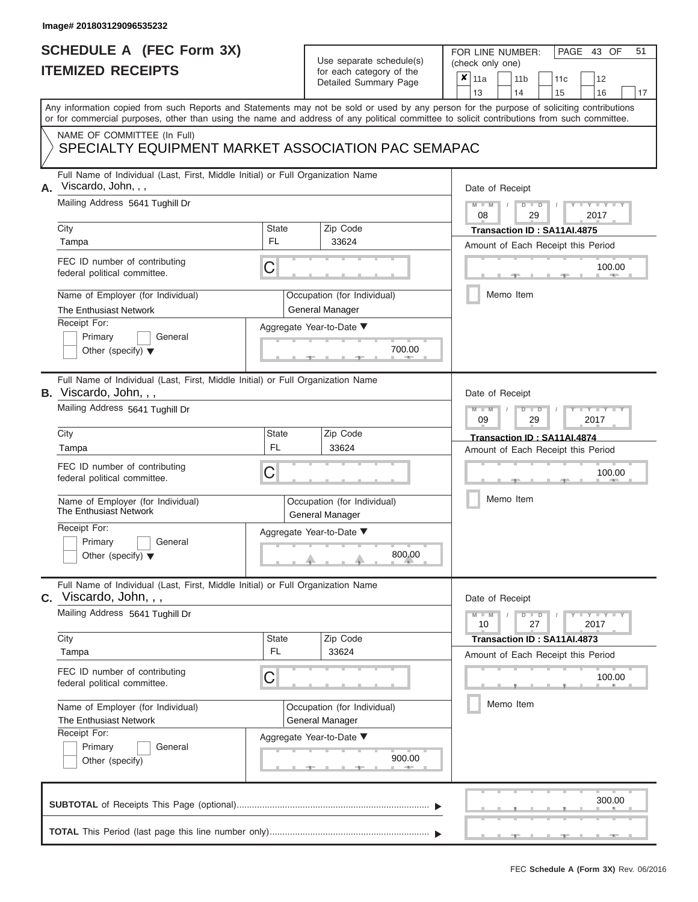### **SCHEDULE A (FEC Form 3X) ITEMIZED RECEIPTS**

# Use separate schedule(s)

FOR LINE NUMBER:<br>(check only one)

PAGE 43 OF 51

| <b>IIEMIZED REGEIPIS</b> |                                                                                                                                                                                                                                                                                         |           | for each category of the<br>Detailed Summary Page     | × | 11a                           | 11 <sub>b</sub> |                             | 11c | 12                                 |    |
|--------------------------|-----------------------------------------------------------------------------------------------------------------------------------------------------------------------------------------------------------------------------------------------------------------------------------------|-----------|-------------------------------------------------------|---|-------------------------------|-----------------|-----------------------------|-----|------------------------------------|----|
|                          |                                                                                                                                                                                                                                                                                         |           |                                                       |   | 13                            | 14              |                             | 15  | 16                                 | 17 |
|                          | Any information copied from such Reports and Statements may not be sold or used by any person for the purpose of soliciting contributions<br>or for commercial purposes, other than using the name and address of any political committee to solicit contributions from such committee. |           |                                                       |   |                               |                 |                             |     |                                    |    |
|                          | NAME OF COMMITTEE (In Full)<br>SPECIALTY EQUIPMENT MARKET ASSOCIATION PAC SEMAPAC                                                                                                                                                                                                       |           |                                                       |   |                               |                 |                             |     |                                    |    |
| А.                       | Full Name of Individual (Last, First, Middle Initial) or Full Organization Name<br>Viscardo, John, , ,                                                                                                                                                                                  |           |                                                       |   | Date of Receipt               |                 |                             |     |                                    |    |
|                          | Mailing Address 5641 Tughill Dr                                                                                                                                                                                                                                                         |           |                                                       |   | 08                            | $D$ $D$         | 29                          |     | $Y - Y$<br>2017                    |    |
|                          | City                                                                                                                                                                                                                                                                                    | State     | Zip Code                                              |   |                               |                 | Transaction ID: SA11AI.4875 |     |                                    |    |
|                          | Tampa                                                                                                                                                                                                                                                                                   | FL        | 33624                                                 |   |                               |                 |                             |     | Amount of Each Receipt this Period |    |
|                          | FEC ID number of contributing<br>federal political committee.                                                                                                                                                                                                                           | C         |                                                       |   |                               |                 |                             |     | 100.00                             |    |
|                          | Name of Employer (for Individual)<br>The Enthusiast Network                                                                                                                                                                                                                             |           | Occupation (for Individual)<br><b>General Manager</b> |   |                               | Memo Item       |                             |     |                                    |    |
|                          | Receipt For:                                                                                                                                                                                                                                                                            |           | Aggregate Year-to-Date ▼                              |   |                               |                 |                             |     |                                    |    |
|                          | Primary<br>General                                                                                                                                                                                                                                                                      |           |                                                       |   |                               |                 |                             |     |                                    |    |
|                          | Other (specify) $\blacktriangledown$                                                                                                                                                                                                                                                    |           | 700.00                                                |   |                               |                 |                             |     |                                    |    |
|                          | Full Name of Individual (Last, First, Middle Initial) or Full Organization Name<br><b>B.</b> Viscardo, John, , ,                                                                                                                                                                        |           |                                                       |   | Date of Receipt               |                 |                             |     |                                    |    |
|                          | Mailing Address 5641 Tughill Dr                                                                                                                                                                                                                                                         |           |                                                       |   | 09                            | ъ               | $\Box$<br>29                |     | $Y = Y$<br>2017                    |    |
|                          | City                                                                                                                                                                                                                                                                                    | State     | Zip Code                                              |   |                               |                 | Transaction ID: SA11AI.4874 |     |                                    |    |
|                          | Tampa                                                                                                                                                                                                                                                                                   | <b>FL</b> | 33624                                                 |   |                               |                 |                             |     | Amount of Each Receipt this Period |    |
|                          | FEC ID number of contributing<br>federal political committee.                                                                                                                                                                                                                           | C         |                                                       |   |                               |                 |                             |     | 100.00                             |    |
|                          | Name of Employer (for Individual)<br>The Enthusiast Network                                                                                                                                                                                                                             |           | Occupation (for Individual)<br>General Manager        |   |                               | Memo Item       |                             |     |                                    |    |
|                          | Receipt For:                                                                                                                                                                                                                                                                            |           | Aggregate Year-to-Date ▼                              |   |                               |                 |                             |     |                                    |    |
|                          | Primary<br>General<br>Other (specify) $\blacktriangledown$                                                                                                                                                                                                                              |           | 800.00                                                |   |                               |                 |                             |     |                                    |    |
|                          | Full Name of Individual (Last, First, Middle Initial) or Full Organization Name<br>C. Viscardo, John, , ,                                                                                                                                                                               |           |                                                       |   | Date of Receipt               |                 |                             |     |                                    |    |
|                          | Mailing Address 5641 Tughill Dr                                                                                                                                                                                                                                                         |           |                                                       |   | $\overline{\mathsf{M}}$<br>10 | $D$ $D$         | 27                          |     | Y I Y I<br>2017                    |    |
|                          | City                                                                                                                                                                                                                                                                                    | State     | Zip Code                                              |   |                               |                 | Transaction ID: SA11AI.4873 |     |                                    |    |
|                          | Tampa                                                                                                                                                                                                                                                                                   | FL        | 33624                                                 |   |                               |                 |                             |     | Amount of Each Receipt this Period |    |
|                          | FEC ID number of contributing<br>federal political committee.                                                                                                                                                                                                                           | С         |                                                       |   |                               |                 |                             |     | 100.00                             |    |
|                          | Name of Employer (for Individual)                                                                                                                                                                                                                                                       |           | Occupation (for Individual)                           |   |                               | Memo Item       |                             |     |                                    |    |
|                          | The Enthusiast Network                                                                                                                                                                                                                                                                  |           | General Manager                                       |   |                               |                 |                             |     |                                    |    |
|                          | Receipt For:                                                                                                                                                                                                                                                                            |           | Aggregate Year-to-Date ▼                              |   |                               |                 |                             |     |                                    |    |
|                          | General<br>Primary<br>Other (specify)                                                                                                                                                                                                                                                   |           | 900.00<br>$-0.015$                                    |   |                               |                 |                             |     |                                    |    |
|                          |                                                                                                                                                                                                                                                                                         |           |                                                       |   |                               |                 |                             |     | 300.00                             |    |
|                          |                                                                                                                                                                                                                                                                                         |           |                                                       |   |                               |                 |                             |     |                                    |    |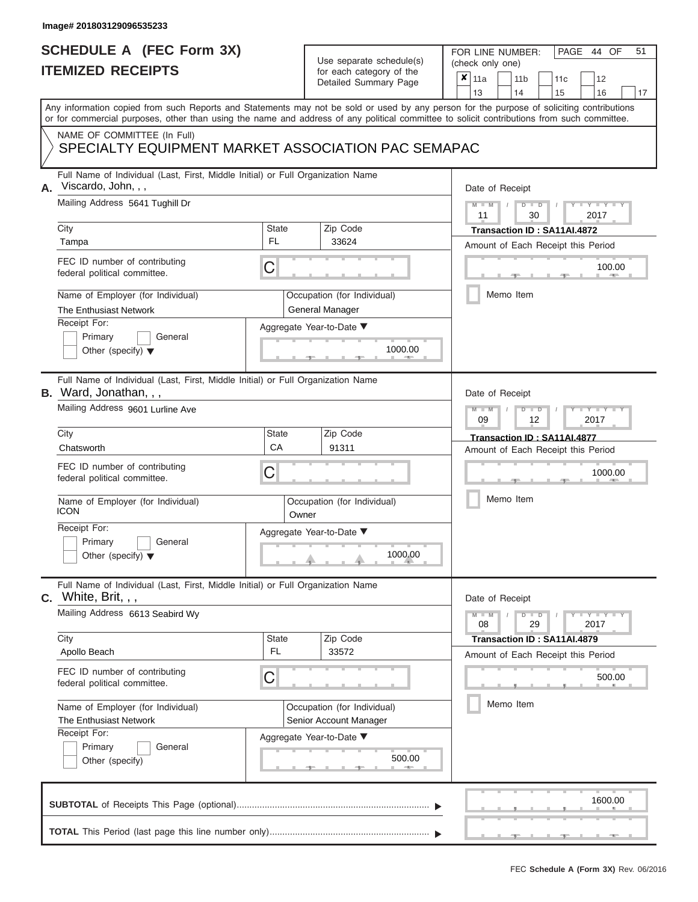### **SCHEDULE A (FEC Form 3X) ITEMIZED RECEIPTS**

# Use separate schedule(s)

FOR LINE NUMBER:<br>(check only one)

PAGE 44 OF 51

|    | <b>IIEMIZED REGEIPIS</b>                                                                                                                                                                                                                                                                |                    | for each category of the<br>Detailed Summary Page                                 |               | $\pmb{\times}$ | 11a                   |           | 11 <sub>b</sub>                           | 11c                                                               | 12              |    |
|----|-----------------------------------------------------------------------------------------------------------------------------------------------------------------------------------------------------------------------------------------------------------------------------------------|--------------------|-----------------------------------------------------------------------------------|---------------|----------------|-----------------------|-----------|-------------------------------------------|-------------------------------------------------------------------|-----------------|----|
|    | Any information copied from such Reports and Statements may not be sold or used by any person for the purpose of soliciting contributions<br>or for commercial purposes, other than using the name and address of any political committee to solicit contributions from such committee. |                    |                                                                                   |               |                | 13                    |           | 14                                        | 15                                                                | 16              | 17 |
|    | NAME OF COMMITTEE (In Full)<br>SPECIALTY EQUIPMENT MARKET ASSOCIATION PAC SEMAPAC                                                                                                                                                                                                       |                    |                                                                                   |               |                |                       |           |                                           |                                                                   |                 |    |
| А. | Full Name of Individual (Last, First, Middle Initial) or Full Organization Name<br>Viscardo, John, , ,<br>Mailing Address 5641 Tughill Dr                                                                                                                                               |                    |                                                                                   |               |                | Date of Receipt       |           | $\overline{\mathsf{D}}$<br>$\overline{D}$ |                                                                   | $Y = Y$         |    |
|    | City                                                                                                                                                                                                                                                                                    | State<br>FL        | Zip Code                                                                          |               |                | 11                    |           | 30                                        | Transaction ID: SA11AI.4872                                       | 2017            |    |
|    | Tampa<br>FEC ID number of contributing<br>federal political committee.                                                                                                                                                                                                                  | С                  | 33624                                                                             |               |                |                       |           |                                           | Amount of Each Receipt this Period                                | 100.00          |    |
|    | Name of Employer (for Individual)<br>The Enthusiast Network<br>Receipt For:<br>Primary<br>General<br>Other (specify) $\blacktriangledown$                                                                                                                                               |                    | Occupation (for Individual)<br><b>General Manager</b><br>Aggregate Year-to-Date ▼ | 1000.00       |                |                       | Memo Item |                                           |                                                                   |                 |    |
|    | Full Name of Individual (Last, First, Middle Initial) or Full Organization Name<br><b>B.</b> Ward, Jonathan, , ,<br>Mailing Address 9601 Lurline Ave<br>City                                                                                                                            | <b>State</b>       | Zip Code                                                                          |               |                | Date of Receipt<br>09 |           | $\Box$<br>ъ<br>12                         |                                                                   | $Y - Y$<br>2017 |    |
|    | Chatsworth<br>FEC ID number of contributing<br>federal political committee.<br>Name of Employer (for Individual)<br><b>ICON</b>                                                                                                                                                         | CA<br>С            | 91311<br>Occupation (for Individual)                                              |               |                |                       | Memo Item |                                           | Transaction ID: SA11AI.4877<br>Amount of Each Receipt this Period | 1000.00         |    |
|    | Receipt For:<br>Primary<br>General<br>Other (specify) $\blacktriangledown$                                                                                                                                                                                                              | Owner              | Aggregate Year-to-Date ▼                                                          | 1000.00       |                |                       |           |                                           |                                                                   |                 |    |
|    | Full Name of Individual (Last, First, Middle Initial) or Full Organization Name<br>$C.$ White, Brit, , ,<br>Mailing Address 6613 Seabird Wy                                                                                                                                             |                    |                                                                                   |               |                | Date of Receipt<br>08 |           | $D$ $\Box$ $D$<br>29                      |                                                                   | Y I Y I<br>2017 |    |
|    | City<br>Apollo Beach<br>FEC ID number of contributing                                                                                                                                                                                                                                   | <b>State</b><br>FL | Zip Code<br>33572                                                                 |               |                |                       |           |                                           | Transaction ID: SA11AI.4879<br>Amount of Each Receipt this Period |                 |    |
|    | federal political committee.<br>Name of Employer (for Individual)                                                                                                                                                                                                                       | C                  | Occupation (for Individual)                                                       |               |                |                       | Memo Item |                                           |                                                                   | 500.00          |    |
|    | The Enthusiast Network<br>Receipt For:<br>Primary<br>General<br>Other (specify)                                                                                                                                                                                                         |                    | Senior Account Manager<br>Aggregate Year-to-Date ▼                                | 500.00<br>$-$ |                |                       |           |                                           |                                                                   |                 |    |
|    |                                                                                                                                                                                                                                                                                         |                    |                                                                                   |               |                |                       |           |                                           |                                                                   | 1600.00         |    |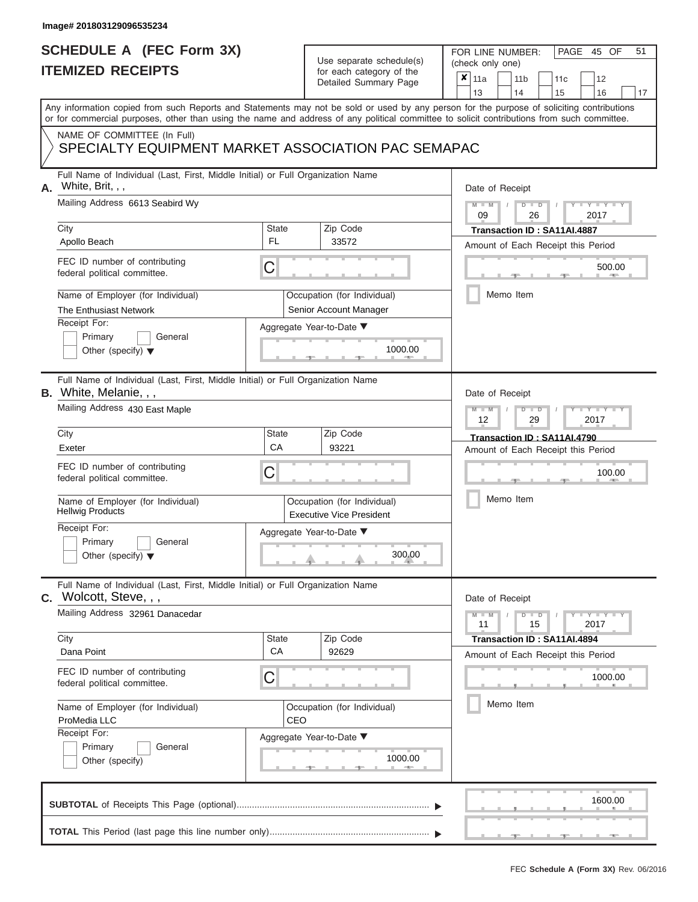### **SCHEDULE A (FEC Form 3X) ITEMIZED RECEIPTS**

# Use separate schedule(s)

| SCHEDULE A (FEC Form 3X)                                                                                                                                                                                                                                                                |                    | Use separate schedule(s)                                       | 51<br>FOR LINE NUMBER:<br>PAGE 45 OF<br>(check only one)                                                                                   |
|-----------------------------------------------------------------------------------------------------------------------------------------------------------------------------------------------------------------------------------------------------------------------------------------|--------------------|----------------------------------------------------------------|--------------------------------------------------------------------------------------------------------------------------------------------|
| <b>ITEMIZED RECEIPTS</b>                                                                                                                                                                                                                                                                |                    | for each category of the<br>Detailed Summary Page              | ×<br>11a<br>11 <sub>b</sub><br>12<br>11c<br>13<br>14<br>15<br>16<br>17                                                                     |
| Any information copied from such Reports and Statements may not be sold or used by any person for the purpose of soliciting contributions<br>or for commercial purposes, other than using the name and address of any political committee to solicit contributions from such committee. |                    |                                                                |                                                                                                                                            |
| NAME OF COMMITTEE (In Full)<br>SPECIALTY EQUIPMENT MARKET ASSOCIATION PAC SEMAPAC                                                                                                                                                                                                       |                    |                                                                |                                                                                                                                            |
| Full Name of Individual (Last, First, Middle Initial) or Full Organization Name<br>White, Brit, , ,<br>Α.                                                                                                                                                                               |                    |                                                                | Date of Receipt                                                                                                                            |
| Mailing Address 6613 Seabird Wy<br>City                                                                                                                                                                                                                                                 | State              | Zip Code                                                       | $M - M$<br>$D$ $D$<br>$Y - Y - I$<br>09<br>26<br>2017<br>Transaction ID: SA11AI.4887                                                       |
| Apollo Beach                                                                                                                                                                                                                                                                            | FL.                | 33572                                                          | Amount of Each Receipt this Period                                                                                                         |
| FEC ID number of contributing<br>federal political committee.                                                                                                                                                                                                                           | С                  |                                                                | 500.00<br><b>AND A</b>                                                                                                                     |
| Name of Employer (for Individual)<br>The Enthusiast Network                                                                                                                                                                                                                             |                    | Occupation (for Individual)<br>Senior Account Manager          | Memo Item                                                                                                                                  |
| Receipt For:                                                                                                                                                                                                                                                                            |                    | Aggregate Year-to-Date ▼                                       |                                                                                                                                            |
| Primary<br>General<br>Other (specify) $\blacktriangledown$                                                                                                                                                                                                                              |                    | 1000.00                                                        |                                                                                                                                            |
| Full Name of Individual (Last, First, Middle Initial) or Full Organization Name<br>B. White, Melanie, , ,                                                                                                                                                                               |                    |                                                                | Date of Receipt                                                                                                                            |
| Mailing Address 430 East Maple                                                                                                                                                                                                                                                          |                    |                                                                | $M - M$<br>$D$ $\Box$ $D$<br>$\blacksquare$ $\blacksquare$ $\blacksquare$ $\blacksquare$ $\blacksquare$ $\blacksquare$<br>12<br>2017<br>29 |
| City                                                                                                                                                                                                                                                                                    | <b>State</b><br>CA | Zip Code                                                       | Transaction ID: SA11AI.4790                                                                                                                |
| Exeter                                                                                                                                                                                                                                                                                  |                    | 93221                                                          | Amount of Each Receipt this Period                                                                                                         |
| FEC ID number of contributing<br>federal political committee.                                                                                                                                                                                                                           | С                  |                                                                | 100.00                                                                                                                                     |
| Name of Employer (for Individual)<br><b>Hellwig Products</b>                                                                                                                                                                                                                            |                    | Occupation (for Individual)<br><b>Executive Vice President</b> | Memo Item                                                                                                                                  |
| Receipt For:                                                                                                                                                                                                                                                                            |                    | Aggregate Year-to-Date ▼                                       |                                                                                                                                            |
| Primary<br>General<br>Other (specify) $\blacktriangledown$                                                                                                                                                                                                                              |                    | 300.00                                                         |                                                                                                                                            |
| Full Name of Individual (Last, First, Middle Initial) or Full Organization Name<br><b>C.</b> Wolcott, Steve, , ,                                                                                                                                                                        |                    |                                                                | Date of Receipt                                                                                                                            |
| Mailing Address 32961 Danacedar                                                                                                                                                                                                                                                         |                    |                                                                | $D$ $\Box$ $D$<br>$T - Y = T - Y$<br>$M - M$<br>11<br>15<br>2017                                                                           |
| City<br>Dana Point                                                                                                                                                                                                                                                                      | <b>State</b><br>CA | Zip Code<br>92629                                              | Transaction ID: SA11AI.4894<br>Amount of Each Receipt this Period                                                                          |
| FEC ID number of contributing<br>federal political committee.                                                                                                                                                                                                                           | С                  |                                                                | 1000.00                                                                                                                                    |
| Name of Employer (for Individual)<br>ProMedia LLC                                                                                                                                                                                                                                       | CEO                | Occupation (for Individual)                                    | Memo Item                                                                                                                                  |
| Receipt For:<br>Primary<br>General<br>Other (specify)                                                                                                                                                                                                                                   |                    | Aggregate Year-to-Date ▼<br>1000.00                            |                                                                                                                                            |
|                                                                                                                                                                                                                                                                                         |                    |                                                                | 1600.00                                                                                                                                    |
|                                                                                                                                                                                                                                                                                         |                    |                                                                |                                                                                                                                            |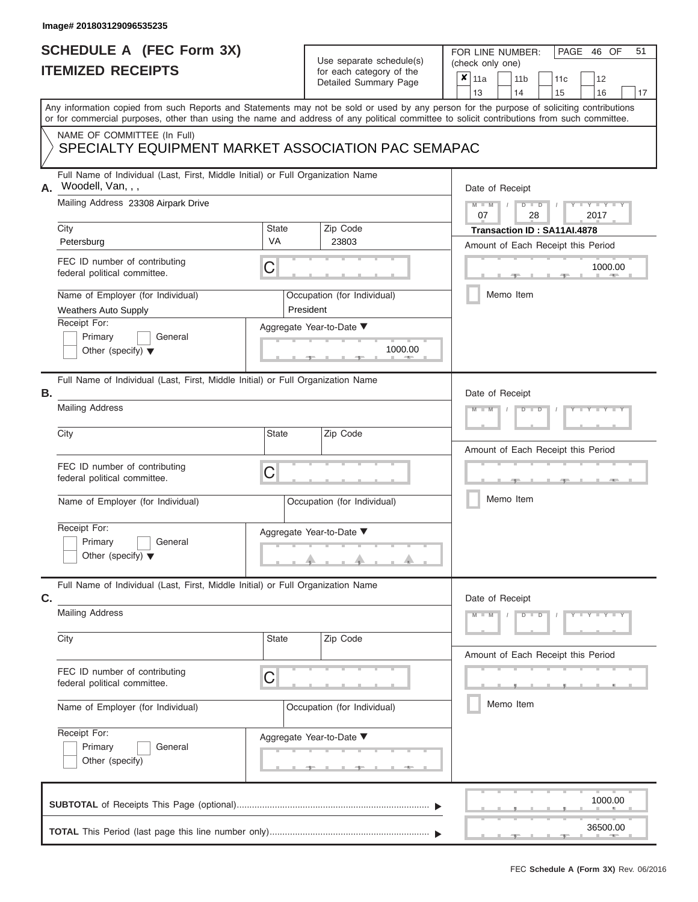### **SCHEDULE A (FEC Form 3X) ITEMIZED RECEIPTS**

# Use separate schedule(s)

FOR LINE NUMBER:<br>(check only one)

PAGE 46 OF 51

|    | IIEMIZED RECEIPIS                                                                                                                                                                                                                                                                                                                                                                    |                                |           | for each category of the<br>Detailed Summary Page                                       | × | 11a<br>13             |           | 14 | 11 <sub>b</sub>                    | 11c<br>15                                                         | 12<br>16                   | 17 |
|----|--------------------------------------------------------------------------------------------------------------------------------------------------------------------------------------------------------------------------------------------------------------------------------------------------------------------------------------------------------------------------------------|--------------------------------|-----------|-----------------------------------------------------------------------------------------|---|-----------------------|-----------|----|------------------------------------|-------------------------------------------------------------------|----------------------------|----|
|    | Any information copied from such Reports and Statements may not be sold or used by any person for the purpose of soliciting contributions<br>or for commercial purposes, other than using the name and address of any political committee to solicit contributions from such committee.                                                                                              |                                |           |                                                                                         |   |                       |           |    |                                    |                                                                   |                            |    |
|    | NAME OF COMMITTEE (In Full)<br>SPECIALTY EQUIPMENT MARKET ASSOCIATION PAC SEMAPAC                                                                                                                                                                                                                                                                                                    |                                |           |                                                                                         |   |                       |           |    |                                    |                                                                   |                            |    |
| А. | Full Name of Individual (Last, First, Middle Initial) or Full Organization Name<br>Woodell, Van, , ,<br>Mailing Address 23308 Airpark Drive<br>City<br>Petersburg<br>FEC ID number of contributing<br>federal political committee.<br>Name of Employer (for Individual)<br><b>Weathers Auto Supply</b><br>Receipt For:<br>Primary<br>General<br>Other (specify) $\blacktriangledown$ | <b>State</b><br><b>VA</b><br>C | President | Zip Code<br>23803<br>Occupation (for Individual)<br>Aggregate Year-to-Date ▼<br>1000.00 |   | Date of Receipt<br>07 | Memo Item |    | D<br>$\overline{\mathsf{D}}$<br>28 | Transaction ID: SA11AI.4878<br>Amount of Each Receipt this Period | $Y - Y$<br>2017<br>1000.00 |    |
| Β. | Full Name of Individual (Last, First, Middle Initial) or Full Organization Name<br><b>Mailing Address</b>                                                                                                                                                                                                                                                                            |                                |           |                                                                                         |   | Date of Receipt       |           |    |                                    |                                                                   | $T - Y = T - Y = T$        |    |
|    | City<br>FEC ID number of contributing<br>federal political committee.<br>Name of Employer (for Individual)<br>Receipt For:<br>Primary<br>General<br>Other (specify) $\blacktriangledown$                                                                                                                                                                                             | <b>State</b><br>C              |           | Zip Code<br>Occupation (for Individual)<br>Aggregate Year-to-Date ▼                     |   |                       | Memo Item |    |                                    | Amount of Each Receipt this Period                                |                            |    |
| C. | Full Name of Individual (Last, First, Middle Initial) or Full Organization Name<br><b>Mailing Address</b><br>City<br>FEC ID number of contributing<br>federal political committee.                                                                                                                                                                                                   | State<br>C                     |           | Zip Code                                                                                |   | Date of Receipt<br>M  |           |    | D<br>D                             | Amount of Each Receipt this Period                                | <b>TEXT</b>                |    |
|    | Name of Employer (for Individual)<br>Receipt For:<br>Primary<br>General<br>Other (specify)                                                                                                                                                                                                                                                                                           |                                |           | Occupation (for Individual)<br>Aggregate Year-to-Date ▼                                 |   |                       | Memo Item |    |                                    |                                                                   |                            |    |
|    |                                                                                                                                                                                                                                                                                                                                                                                      |                                |           |                                                                                         |   |                       |           |    |                                    |                                                                   | 1000.00                    |    |
|    |                                                                                                                                                                                                                                                                                                                                                                                      |                                |           |                                                                                         |   |                       |           |    |                                    |                                                                   | 36500.00                   |    |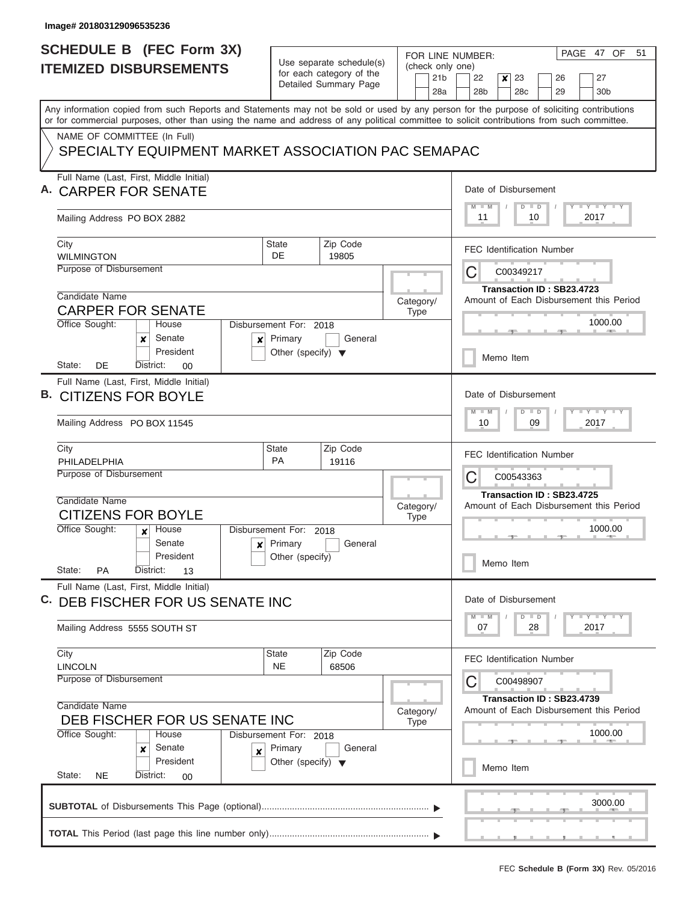|    | <b>SCHEDULE B</b> (FEC Form 3X)                                                                                                                                                                                                                                                         |                                                      |                                      |  | PAGE 47 OF<br>51<br>FOR LINE NUMBER: |                 |                                         |               |                  |                      |               |                                  |  |                                         |  |  |  |  |  |
|----|-----------------------------------------------------------------------------------------------------------------------------------------------------------------------------------------------------------------------------------------------------------------------------------------|------------------------------------------------------|--------------------------------------|--|--------------------------------------|-----------------|-----------------------------------------|---------------|------------------|----------------------|---------------|----------------------------------|--|-----------------------------------------|--|--|--|--|--|
|    | <b>ITEMIZED DISBURSEMENTS</b>                                                                                                                                                                                                                                                           | Use separate schedule(s)<br>for each category of the |                                      |  |                                      |                 | (check only one)                        |               |                  |                      |               |                                  |  |                                         |  |  |  |  |  |
|    |                                                                                                                                                                                                                                                                                         |                                                      | Detailed Summary Page                |  |                                      | 21 <sub>b</sub> |                                         | 22            | $\boldsymbol{x}$ | 23                   |               | 26                               |  | 27                                      |  |  |  |  |  |
|    |                                                                                                                                                                                                                                                                                         |                                                      |                                      |  |                                      | 28a             |                                         | 28b           |                  | 28c                  |               | 29                               |  | 30 <sub>b</sub>                         |  |  |  |  |  |
|    | Any information copied from such Reports and Statements may not be sold or used by any person for the purpose of soliciting contributions<br>or for commercial purposes, other than using the name and address of any political committee to solicit contributions from such committee. |                                                      |                                      |  |                                      |                 |                                         |               |                  |                      |               |                                  |  |                                         |  |  |  |  |  |
|    | NAME OF COMMITTEE (In Full)                                                                                                                                                                                                                                                             |                                                      |                                      |  |                                      |                 |                                         |               |                  |                      |               |                                  |  |                                         |  |  |  |  |  |
|    | SPECIALTY EQUIPMENT MARKET ASSOCIATION PAC SEMAPAC                                                                                                                                                                                                                                      |                                                      |                                      |  |                                      |                 |                                         |               |                  |                      |               |                                  |  |                                         |  |  |  |  |  |
|    |                                                                                                                                                                                                                                                                                         |                                                      |                                      |  |                                      |                 |                                         |               |                  |                      |               |                                  |  |                                         |  |  |  |  |  |
|    | Full Name (Last, First, Middle Initial)                                                                                                                                                                                                                                                 |                                                      |                                      |  |                                      |                 |                                         |               |                  |                      |               |                                  |  |                                         |  |  |  |  |  |
|    | <b>CARPER FOR SENATE</b>                                                                                                                                                                                                                                                                |                                                      |                                      |  |                                      |                 |                                         |               |                  | Date of Disbursement |               |                                  |  |                                         |  |  |  |  |  |
|    | Mailing Address PO BOX 2882                                                                                                                                                                                                                                                             |                                                      |                                      |  |                                      |                 |                                         | $M$ $M$<br>11 |                  | $D$ $D$              | 10            |                                  |  | Y L Y L Y L Y<br>2017                   |  |  |  |  |  |
|    |                                                                                                                                                                                                                                                                                         |                                                      |                                      |  |                                      |                 |                                         |               |                  |                      |               |                                  |  |                                         |  |  |  |  |  |
|    | City                                                                                                                                                                                                                                                                                    | <b>State</b>                                         | Zip Code                             |  |                                      |                 |                                         |               |                  |                      |               | <b>FEC Identification Number</b> |  |                                         |  |  |  |  |  |
|    | <b>WILMINGTON</b><br>Purpose of Disbursement                                                                                                                                                                                                                                            | DE.                                                  | 19805                                |  |                                      |                 |                                         |               |                  |                      |               |                                  |  |                                         |  |  |  |  |  |
|    |                                                                                                                                                                                                                                                                                         |                                                      |                                      |  |                                      |                 | С                                       |               |                  | C00349217            |               |                                  |  |                                         |  |  |  |  |  |
|    | Candidate Name                                                                                                                                                                                                                                                                          |                                                      |                                      |  | Category/                            |                 | Transaction ID: SB23.4723               |               |                  |                      |               |                                  |  |                                         |  |  |  |  |  |
|    | <b>CARPER FOR SENATE</b>                                                                                                                                                                                                                                                                |                                                      |                                      |  | Type                                 |                 | Amount of Each Disbursement this Period |               |                  |                      |               |                                  |  |                                         |  |  |  |  |  |
|    | Office Sought:<br>House                                                                                                                                                                                                                                                                 | Disbursement For: 2018                               |                                      |  |                                      |                 |                                         |               |                  |                      |               |                                  |  | 1000.00                                 |  |  |  |  |  |
|    | Senate<br>x<br>x<br>President                                                                                                                                                                                                                                                           | Primary<br>General                                   |                                      |  |                                      |                 |                                         |               |                  |                      |               |                                  |  |                                         |  |  |  |  |  |
|    | District:<br>State:<br>DE.<br>00                                                                                                                                                                                                                                                        |                                                      | Other (specify) $\blacktriangledown$ |  |                                      |                 |                                         |               |                  | Memo Item            |               |                                  |  |                                         |  |  |  |  |  |
|    | Full Name (Last, First, Middle Initial)                                                                                                                                                                                                                                                 |                                                      |                                      |  |                                      |                 |                                         |               |                  |                      |               |                                  |  |                                         |  |  |  |  |  |
| В. | <b>CITIZENS FOR BOYLE</b>                                                                                                                                                                                                                                                               |                                                      |                                      |  |                                      |                 |                                         |               |                  | Date of Disbursement |               |                                  |  |                                         |  |  |  |  |  |
|    |                                                                                                                                                                                                                                                                                         |                                                      |                                      |  |                                      |                 |                                         | $M - M$       |                  | $D$ $D$              |               |                                  |  | $T$ $Y$ $T$ $Y$ $T$                     |  |  |  |  |  |
|    | Mailing Address PO BOX 11545                                                                                                                                                                                                                                                            |                                                      |                                      |  |                                      |                 |                                         | 10            |                  |                      | 09            |                                  |  | 2017                                    |  |  |  |  |  |
|    | City                                                                                                                                                                                                                                                                                    | <b>State</b>                                         | Zip Code                             |  |                                      |                 |                                         |               |                  |                      |               |                                  |  |                                         |  |  |  |  |  |
|    | PHILADELPHIA                                                                                                                                                                                                                                                                            | <b>PA</b>                                            | 19116                                |  |                                      |                 |                                         |               |                  |                      |               | <b>FEC Identification Number</b> |  |                                         |  |  |  |  |  |
|    | Purpose of Disbursement                                                                                                                                                                                                                                                                 |                                                      |                                      |  |                                      |                 | С                                       |               |                  | C00543363            |               |                                  |  |                                         |  |  |  |  |  |
|    | Candidate Name                                                                                                                                                                                                                                                                          |                                                      |                                      |  |                                      |                 |                                         |               |                  |                      |               | Transaction ID: SB23.4725        |  |                                         |  |  |  |  |  |
|    | <b>CITIZENS FOR BOYLE</b>                                                                                                                                                                                                                                                               |                                                      |                                      |  | Category/                            |                 |                                         |               |                  |                      |               |                                  |  | Amount of Each Disbursement this Period |  |  |  |  |  |
|    | Office Sought:<br>House<br>$\mathbf{x}$                                                                                                                                                                                                                                                 | Disbursement For: 2018                               |                                      |  | <b>Type</b>                          |                 |                                         |               |                  |                      |               |                                  |  | 1000.00                                 |  |  |  |  |  |
|    | Senate<br>×                                                                                                                                                                                                                                                                             | Primary                                              | General                              |  |                                      |                 |                                         |               |                  |                      |               | $-1$                             |  |                                         |  |  |  |  |  |
|    | President                                                                                                                                                                                                                                                                               | Other (specify)                                      |                                      |  |                                      |                 |                                         |               |                  | Memo Item            |               |                                  |  |                                         |  |  |  |  |  |
|    | State:<br><b>PA</b><br>District:<br>13                                                                                                                                                                                                                                                  |                                                      |                                      |  |                                      |                 |                                         |               |                  |                      |               |                                  |  |                                         |  |  |  |  |  |
|    | Full Name (Last, First, Middle Initial)                                                                                                                                                                                                                                                 |                                                      |                                      |  |                                      |                 |                                         |               |                  | Date of Disbursement |               |                                  |  |                                         |  |  |  |  |  |
|    | C. DEB FISCHER FOR US SENATE INC                                                                                                                                                                                                                                                        |                                                      |                                      |  |                                      |                 |                                         |               |                  |                      |               |                                  |  |                                         |  |  |  |  |  |
|    | Mailing Address 5555 SOUTH ST                                                                                                                                                                                                                                                           |                                                      |                                      |  |                                      |                 |                                         | $M - M$<br>07 |                  |                      | $D$ $D$<br>28 |                                  |  | <b>LY LY LY</b><br>2017                 |  |  |  |  |  |
|    |                                                                                                                                                                                                                                                                                         |                                                      |                                      |  |                                      |                 |                                         |               |                  |                      |               |                                  |  |                                         |  |  |  |  |  |
|    | City                                                                                                                                                                                                                                                                                    | <b>State</b>                                         | Zip Code                             |  |                                      |                 |                                         |               |                  |                      |               | <b>FEC Identification Number</b> |  |                                         |  |  |  |  |  |
|    | <b>LINCOLN</b><br>Purpose of Disbursement                                                                                                                                                                                                                                               | <b>NE</b>                                            | 68506                                |  |                                      |                 | С                                       |               |                  | C00498907            |               |                                  |  |                                         |  |  |  |  |  |
|    |                                                                                                                                                                                                                                                                                         |                                                      |                                      |  |                                      |                 |                                         |               |                  |                      |               | Transaction ID: SB23.4739        |  |                                         |  |  |  |  |  |
|    | Candidate Name                                                                                                                                                                                                                                                                          |                                                      |                                      |  | Category/                            |                 |                                         |               |                  |                      |               |                                  |  | Amount of Each Disbursement this Period |  |  |  |  |  |
|    | DEB FISCHER FOR US SENATE INC                                                                                                                                                                                                                                                           |                                                      |                                      |  | Type                                 |                 |                                         |               |                  |                      |               |                                  |  |                                         |  |  |  |  |  |
|    | Office Sought:<br>House<br>Senate                                                                                                                                                                                                                                                       | Disbursement For: 2018<br>Primary                    | General                              |  |                                      |                 |                                         |               |                  |                      |               |                                  |  | 1000.00                                 |  |  |  |  |  |
|    | ×<br>×<br>President                                                                                                                                                                                                                                                                     | Other (specify) $\blacktriangledown$                 |                                      |  |                                      |                 |                                         |               |                  |                      |               |                                  |  |                                         |  |  |  |  |  |
|    | State:<br>District:<br><b>NE</b><br>00                                                                                                                                                                                                                                                  |                                                      |                                      |  |                                      |                 |                                         |               | Memo Item        |                      |               |                                  |  |                                         |  |  |  |  |  |
|    |                                                                                                                                                                                                                                                                                         |                                                      |                                      |  |                                      |                 |                                         |               |                  |                      |               |                                  |  |                                         |  |  |  |  |  |
|    |                                                                                                                                                                                                                                                                                         |                                                      |                                      |  |                                      |                 |                                         |               |                  |                      |               |                                  |  | 3000.00                                 |  |  |  |  |  |
|    |                                                                                                                                                                                                                                                                                         |                                                      |                                      |  |                                      |                 |                                         |               |                  |                      |               |                                  |  |                                         |  |  |  |  |  |
|    |                                                                                                                                                                                                                                                                                         |                                                      |                                      |  |                                      |                 |                                         |               |                  |                      |               | , <u>, , , , , ,</u>             |  |                                         |  |  |  |  |  |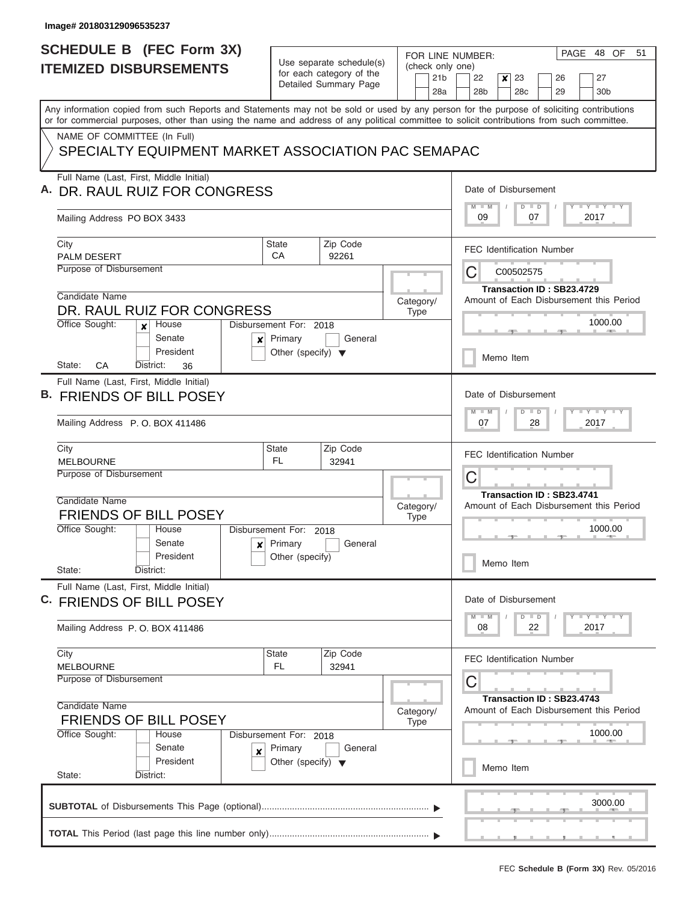|                                               | <b>SCHEDULE B</b> (FEC Form 3X)                                                                                                                                                                                                                                                         |                                                      |                       |  |             |                        | FOR LINE NUMBER:                |                  |                       |                                  |  | PAGE 48 OF                              | 51 |  |
|-----------------------------------------------|-----------------------------------------------------------------------------------------------------------------------------------------------------------------------------------------------------------------------------------------------------------------------------------------|------------------------------------------------------|-----------------------|--|-------------|------------------------|---------------------------------|------------------|-----------------------|----------------------------------|--|-----------------------------------------|----|--|
|                                               | <b>ITEMIZED DISBURSEMENTS</b>                                                                                                                                                                                                                                                           | Use separate schedule(s)<br>for each category of the |                       |  |             |                        | (check only one)                |                  |                       |                                  |  |                                         |    |  |
|                                               |                                                                                                                                                                                                                                                                                         |                                                      | Detailed Summary Page |  |             | 21 <sub>b</sub><br>28a | 22<br>28 <sub>b</sub>           | $\boldsymbol{x}$ | 23<br>28 <sub>c</sub> | 26<br>29                         |  | 27<br>30 <sub>b</sub>                   |    |  |
|                                               | Any information copied from such Reports and Statements may not be sold or used by any person for the purpose of soliciting contributions<br>or for commercial purposes, other than using the name and address of any political committee to solicit contributions from such committee. |                                                      |                       |  |             |                        |                                 |                  |                       |                                  |  |                                         |    |  |
| NAME OF COMMITTEE (In Full)                   |                                                                                                                                                                                                                                                                                         |                                                      |                       |  |             |                        |                                 |                  |                       |                                  |  |                                         |    |  |
|                                               | SPECIALTY EQUIPMENT MARKET ASSOCIATION PAC SEMAPAC                                                                                                                                                                                                                                      |                                                      |                       |  |             |                        |                                 |                  |                       |                                  |  |                                         |    |  |
|                                               | Full Name (Last, First, Middle Initial)                                                                                                                                                                                                                                                 |                                                      |                       |  |             |                        |                                 |                  |                       |                                  |  |                                         |    |  |
|                                               | DR. RAUL RUIZ FOR CONGRESS                                                                                                                                                                                                                                                              |                                                      |                       |  |             |                        | Date of Disbursement<br>$M - M$ |                  |                       |                                  |  | Y FY FY FY                              |    |  |
| Mailing Address PO BOX 3433                   |                                                                                                                                                                                                                                                                                         |                                                      |                       |  |             |                        | 09                              |                  | $D$ $D$<br>07         |                                  |  | 2017                                    |    |  |
| City                                          |                                                                                                                                                                                                                                                                                         | State                                                | Zip Code              |  |             |                        |                                 |                  |                       | <b>FEC Identification Number</b> |  |                                         |    |  |
| <b>PALM DESERT</b><br>Purpose of Disbursement |                                                                                                                                                                                                                                                                                         | CA                                                   | 92261                 |  |             |                        | С                               |                  | C00502575             |                                  |  |                                         |    |  |
|                                               |                                                                                                                                                                                                                                                                                         |                                                      |                       |  |             |                        |                                 |                  |                       | Transaction ID: SB23.4729        |  |                                         |    |  |
| Candidate Name                                |                                                                                                                                                                                                                                                                                         |                                                      |                       |  | Category/   |                        |                                 |                  |                       |                                  |  | Amount of Each Disbursement this Period |    |  |
|                                               | DR. RAUL RUIZ FOR CONGRESS                                                                                                                                                                                                                                                              |                                                      |                       |  | <b>Type</b> |                        |                                 |                  |                       |                                  |  | 1000.00                                 |    |  |
| Office Sought:                                | House<br>$\mathbf{x}$<br>Senate<br>$\boldsymbol{x}$                                                                                                                                                                                                                                     | Disbursement For: 2018<br>Primary                    | General               |  |             |                        |                                 |                  |                       |                                  |  |                                         |    |  |
|                                               | President                                                                                                                                                                                                                                                                               | Other (specify) $\blacktriangledown$                 |                       |  |             |                        |                                 | Memo Item        |                       |                                  |  |                                         |    |  |
| State:<br>СA                                  | District:<br>36                                                                                                                                                                                                                                                                         |                                                      |                       |  |             |                        |                                 |                  |                       |                                  |  |                                         |    |  |
|                                               | Full Name (Last, First, Middle Initial)<br>B. FRIENDS OF BILL POSEY                                                                                                                                                                                                                     |                                                      |                       |  |             |                        | Date of Disbursement            |                  |                       |                                  |  |                                         |    |  |
|                                               |                                                                                                                                                                                                                                                                                         |                                                      |                       |  |             |                        | $M - M$                         |                  | $D$ $D$               |                                  |  | $T$ $T$ $T$ $T$ $T$ $T$ $T$ $T$ $T$     |    |  |
|                                               | Mailing Address P.O. BOX 411486                                                                                                                                                                                                                                                         |                                                      |                       |  |             |                        | 07                              |                  | 28                    |                                  |  | 2017                                    |    |  |
| City<br><b>MELBOURNE</b>                      |                                                                                                                                                                                                                                                                                         | State<br><b>FL</b>                                   | Zip Code<br>32941     |  |             |                        |                                 |                  |                       | <b>FEC Identification Number</b> |  |                                         |    |  |
| Purpose of Disbursement                       |                                                                                                                                                                                                                                                                                         |                                                      |                       |  |             |                        | С                               |                  |                       |                                  |  |                                         |    |  |
|                                               |                                                                                                                                                                                                                                                                                         |                                                      |                       |  |             |                        |                                 |                  |                       | Transaction ID: SB23.4741        |  |                                         |    |  |
| Candidate Name                                |                                                                                                                                                                                                                                                                                         |                                                      |                       |  | Category/   |                        |                                 |                  |                       |                                  |  | Amount of Each Disbursement this Period |    |  |
| Office Sought:                                | <b>FRIENDS OF BILL POSEY</b><br>House                                                                                                                                                                                                                                                   | Disbursement For: 2018                               |                       |  | <b>Type</b> |                        |                                 |                  |                       |                                  |  | 1000.00                                 |    |  |
|                                               | Senate<br>$\mathbf{x}$                                                                                                                                                                                                                                                                  | Primary                                              | General               |  |             |                        |                                 |                  |                       |                                  |  |                                         |    |  |
|                                               | President                                                                                                                                                                                                                                                                               | Other (specify)                                      |                       |  |             |                        |                                 | Memo Item        |                       |                                  |  |                                         |    |  |
| State:                                        | District:<br>Full Name (Last, First, Middle Initial)                                                                                                                                                                                                                                    |                                                      |                       |  |             |                        |                                 |                  |                       |                                  |  |                                         |    |  |
|                                               | C. FRIENDS OF BILL POSEY                                                                                                                                                                                                                                                                |                                                      |                       |  |             |                        | Date of Disbursement            |                  |                       |                                  |  |                                         |    |  |
|                                               |                                                                                                                                                                                                                                                                                         |                                                      |                       |  |             |                        | $M$ $M$                         |                  | $D$ $D$               |                                  |  | $Y - Y - Y - Y - I - Y$                 |    |  |
|                                               | Mailing Address P.O. BOX 411486                                                                                                                                                                                                                                                         |                                                      |                       |  |             |                        | 08                              |                  | 22                    |                                  |  | 2017                                    |    |  |
| City                                          |                                                                                                                                                                                                                                                                                         | State                                                | Zip Code              |  |             |                        |                                 |                  |                       | <b>FEC Identification Number</b> |  |                                         |    |  |
| MELBOURNE<br>Purpose of Disbursement          |                                                                                                                                                                                                                                                                                         | FL.                                                  | 32941                 |  |             |                        |                                 |                  |                       |                                  |  |                                         |    |  |
|                                               |                                                                                                                                                                                                                                                                                         |                                                      |                       |  |             |                        | С                               |                  |                       |                                  |  |                                         |    |  |
| Candidate Name                                |                                                                                                                                                                                                                                                                                         |                                                      |                       |  | Category/   |                        |                                 |                  |                       | Transaction ID: SB23.4743        |  | Amount of Each Disbursement this Period |    |  |
|                                               | <b>FRIENDS OF BILL POSEY</b>                                                                                                                                                                                                                                                            |                                                      |                       |  | <b>Type</b> |                        |                                 |                  |                       |                                  |  |                                         |    |  |
| Office Sought:                                | House                                                                                                                                                                                                                                                                                   | Disbursement For: 2018                               |                       |  |             |                        |                                 |                  |                       |                                  |  | 1000.00                                 |    |  |
|                                               | Senate<br>X<br>President                                                                                                                                                                                                                                                                | Primary<br>Other (specify) $\blacktriangledown$      | General               |  |             |                        |                                 |                  |                       |                                  |  |                                         |    |  |
| State:                                        | District:                                                                                                                                                                                                                                                                               |                                                      |                       |  |             |                        |                                 | Memo Item        |                       |                                  |  |                                         |    |  |
|                                               |                                                                                                                                                                                                                                                                                         |                                                      |                       |  |             |                        |                                 |                  |                       |                                  |  |                                         |    |  |
|                                               |                                                                                                                                                                                                                                                                                         |                                                      |                       |  |             |                        |                                 |                  |                       |                                  |  | 3000.00                                 |    |  |
|                                               |                                                                                                                                                                                                                                                                                         |                                                      |                       |  |             |                        |                                 |                  |                       |                                  |  |                                         |    |  |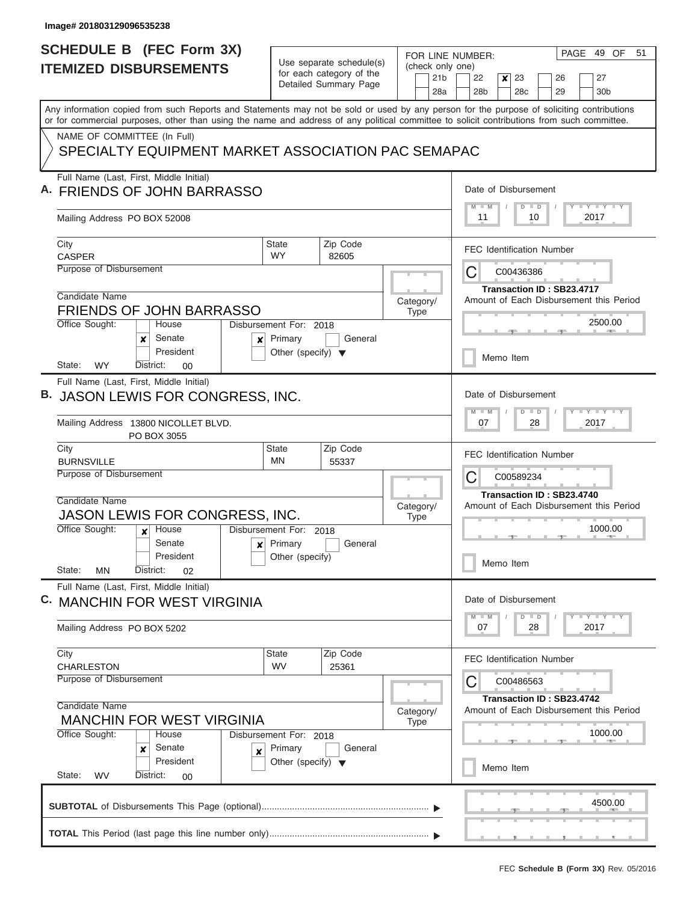| <b>SCHEDULE B</b> (FEC Form 3X)                                                                                                                                                                                                                                                         |                                       |                                                   |                 | PAGE 49 OF<br>51                                                                                                            |  |  |  |  |  |  |  |
|-----------------------------------------------------------------------------------------------------------------------------------------------------------------------------------------------------------------------------------------------------------------------------------------|---------------------------------------|---------------------------------------------------|-----------------|-----------------------------------------------------------------------------------------------------------------------------|--|--|--|--|--|--|--|
| <b>ITEMIZED DISBURSEMENTS</b>                                                                                                                                                                                                                                                           |                                       | Use separate schedule(s)                          |                 | FOR LINE NUMBER:<br>(check only one)                                                                                        |  |  |  |  |  |  |  |
|                                                                                                                                                                                                                                                                                         |                                       | for each category of the<br>Detailed Summary Page | 21 <sub>b</sub> | 22<br>$\boldsymbol{x}$<br>23<br>27<br>26                                                                                    |  |  |  |  |  |  |  |
|                                                                                                                                                                                                                                                                                         |                                       |                                                   | 28a             | 28 <sub>b</sub><br>29<br>28 <sub>c</sub><br>30 <sub>b</sub>                                                                 |  |  |  |  |  |  |  |
| Any information copied from such Reports and Statements may not be sold or used by any person for the purpose of soliciting contributions<br>or for commercial purposes, other than using the name and address of any political committee to solicit contributions from such committee. |                                       |                                                   |                 |                                                                                                                             |  |  |  |  |  |  |  |
| NAME OF COMMITTEE (In Full)                                                                                                                                                                                                                                                             |                                       |                                                   |                 |                                                                                                                             |  |  |  |  |  |  |  |
| SPECIALTY EQUIPMENT MARKET ASSOCIATION PAC SEMAPAC                                                                                                                                                                                                                                      |                                       |                                                   |                 |                                                                                                                             |  |  |  |  |  |  |  |
| Full Name (Last, First, Middle Initial)                                                                                                                                                                                                                                                 |                                       |                                                   |                 |                                                                                                                             |  |  |  |  |  |  |  |
| <b>FRIENDS OF JOHN BARRASSO</b>                                                                                                                                                                                                                                                         |                                       |                                                   |                 | Date of Disbursement<br>$M$ $M$<br><b>LY LY LY</b><br>$D$ $D$                                                               |  |  |  |  |  |  |  |
| Mailing Address PO BOX 52008                                                                                                                                                                                                                                                            |                                       |                                                   |                 | 11<br>10<br>2017                                                                                                            |  |  |  |  |  |  |  |
| City<br><b>CASPER</b>                                                                                                                                                                                                                                                                   | <b>State</b><br><b>WY</b>             | Zip Code<br>82605                                 |                 | <b>FEC Identification Number</b>                                                                                            |  |  |  |  |  |  |  |
| Purpose of Disbursement                                                                                                                                                                                                                                                                 |                                       |                                                   |                 | C<br>C00436386                                                                                                              |  |  |  |  |  |  |  |
| Candidate Name                                                                                                                                                                                                                                                                          |                                       |                                                   | Category/       | Transaction ID: SB23.4717<br>Amount of Each Disbursement this Period                                                        |  |  |  |  |  |  |  |
| <b>FRIENDS OF JOHN BARRASSO</b>                                                                                                                                                                                                                                                         |                                       |                                                   | <b>Type</b>     |                                                                                                                             |  |  |  |  |  |  |  |
| Office Sought:<br>House<br>Senate<br>x<br>×                                                                                                                                                                                                                                             | Disbursement For: 2018<br>Primary     | General                                           |                 | 2500.00                                                                                                                     |  |  |  |  |  |  |  |
| President<br><b>WY</b><br>District:<br>State:<br>00                                                                                                                                                                                                                                     | Other (specify) $\blacktriangledown$  |                                                   |                 | Memo Item                                                                                                                   |  |  |  |  |  |  |  |
| Full Name (Last, First, Middle Initial)                                                                                                                                                                                                                                                 |                                       |                                                   |                 |                                                                                                                             |  |  |  |  |  |  |  |
| JASON LEWIS FOR CONGRESS, INC.                                                                                                                                                                                                                                                          |                                       |                                                   |                 | Date of Disbursement<br>$\mathbb{L}$ $\mathsf{Y}$ $\mathbb{L}$ $\mathsf{Y}$ $\mathbb{L}$ $\mathsf{Y}$<br>$M - M$<br>$D$ $D$ |  |  |  |  |  |  |  |
| Mailing Address 13800 NICOLLET BLVD.<br>PO BOX 3055                                                                                                                                                                                                                                     |                                       |                                                   |                 | 07<br>28<br>2017                                                                                                            |  |  |  |  |  |  |  |
| City<br><b>BURNSVILLE</b>                                                                                                                                                                                                                                                               | <b>State</b><br>MN                    | Zip Code<br>55337                                 |                 | <b>FEC Identification Number</b>                                                                                            |  |  |  |  |  |  |  |
| Purpose of Disbursement                                                                                                                                                                                                                                                                 |                                       |                                                   |                 | С<br>C00589234                                                                                                              |  |  |  |  |  |  |  |
|                                                                                                                                                                                                                                                                                         |                                       |                                                   |                 | Transaction ID: SB23.4740                                                                                                   |  |  |  |  |  |  |  |
| Candidate Name                                                                                                                                                                                                                                                                          |                                       |                                                   | Category/       | Amount of Each Disbursement this Period                                                                                     |  |  |  |  |  |  |  |
| JASON LEWIS FOR CONGRESS, INC.                                                                                                                                                                                                                                                          |                                       |                                                   | <b>Type</b>     |                                                                                                                             |  |  |  |  |  |  |  |
| Office Sought:<br>House<br>$\mathbf{x}$<br>Senate                                                                                                                                                                                                                                       | Disbursement For: 2018<br>$x$ Primary | General                                           |                 | 1000.00                                                                                                                     |  |  |  |  |  |  |  |
| President                                                                                                                                                                                                                                                                               | Other (specify)                       |                                                   |                 |                                                                                                                             |  |  |  |  |  |  |  |
| State:<br><b>MN</b><br>District:<br>02                                                                                                                                                                                                                                                  |                                       |                                                   |                 | Memo Item                                                                                                                   |  |  |  |  |  |  |  |
| Full Name (Last, First, Middle Initial)                                                                                                                                                                                                                                                 |                                       |                                                   |                 |                                                                                                                             |  |  |  |  |  |  |  |
| C. MANCHIN FOR WEST VIRGINIA                                                                                                                                                                                                                                                            |                                       |                                                   |                 | Date of Disbursement                                                                                                        |  |  |  |  |  |  |  |
| Mailing Address PO BOX 5202                                                                                                                                                                                                                                                             |                                       |                                                   |                 | <b>LY LY LY</b><br>$M - M$<br>$D$ $D$<br>07<br>28<br>2017                                                                   |  |  |  |  |  |  |  |
| City                                                                                                                                                                                                                                                                                    | <b>State</b>                          | Zip Code                                          |                 | <b>FEC Identification Number</b>                                                                                            |  |  |  |  |  |  |  |
| <b>CHARLESTON</b>                                                                                                                                                                                                                                                                       | <b>WV</b>                             | 25361                                             |                 |                                                                                                                             |  |  |  |  |  |  |  |
| Purpose of Disbursement                                                                                                                                                                                                                                                                 |                                       |                                                   |                 | C<br>C00486563                                                                                                              |  |  |  |  |  |  |  |
| Candidate Name<br><b>MANCHIN FOR WEST VIRGINIA</b>                                                                                                                                                                                                                                      |                                       |                                                   | Category/       | Transaction ID: SB23.4742<br>Amount of Each Disbursement this Period                                                        |  |  |  |  |  |  |  |
| Office Sought:<br>House                                                                                                                                                                                                                                                                 | Disbursement For: 2018                |                                                   | <b>Type</b>     | 1000.00                                                                                                                     |  |  |  |  |  |  |  |
| Senate<br>x<br>×                                                                                                                                                                                                                                                                        | Primary                               | General                                           |                 |                                                                                                                             |  |  |  |  |  |  |  |
| President                                                                                                                                                                                                                                                                               | Other (specify) $\blacktriangledown$  |                                                   |                 | Memo Item                                                                                                                   |  |  |  |  |  |  |  |
| State:<br><b>WV</b><br>District:<br>00                                                                                                                                                                                                                                                  |                                       |                                                   |                 |                                                                                                                             |  |  |  |  |  |  |  |
|                                                                                                                                                                                                                                                                                         |                                       |                                                   |                 | 4500.00                                                                                                                     |  |  |  |  |  |  |  |
|                                                                                                                                                                                                                                                                                         |                                       |                                                   |                 |                                                                                                                             |  |  |  |  |  |  |  |
|                                                                                                                                                                                                                                                                                         |                                       |                                                   |                 |                                                                                                                             |  |  |  |  |  |  |  |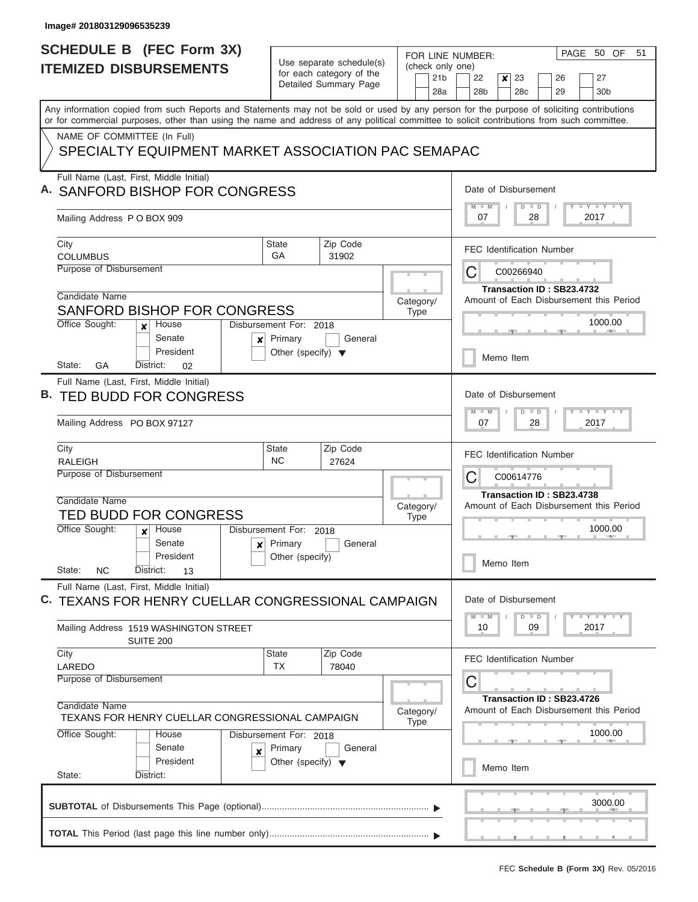| <b>SCHEDULE B</b> (FEC Form 3X)                                                                                                                                                                                                                                                         |                                      |                                                      | FOR LINE NUMBER:       | PAGE 50 OF<br>51                                                                            |
|-----------------------------------------------------------------------------------------------------------------------------------------------------------------------------------------------------------------------------------------------------------------------------------------|--------------------------------------|------------------------------------------------------|------------------------|---------------------------------------------------------------------------------------------|
| <b>ITEMIZED DISBURSEMENTS</b>                                                                                                                                                                                                                                                           |                                      | Use separate schedule(s)<br>for each category of the | (check only one)       |                                                                                             |
|                                                                                                                                                                                                                                                                                         |                                      | Detailed Summary Page                                | 21 <sub>b</sub><br>28a | 23<br>22<br>$\boldsymbol{x}$<br>27<br>26<br>28 <sub>b</sub><br>28c<br>29<br>30 <sub>b</sub> |
| Any information copied from such Reports and Statements may not be sold or used by any person for the purpose of soliciting contributions<br>or for commercial purposes, other than using the name and address of any political committee to solicit contributions from such committee. |                                      |                                                      |                        |                                                                                             |
| NAME OF COMMITTEE (In Full)                                                                                                                                                                                                                                                             |                                      |                                                      |                        |                                                                                             |
| SPECIALTY EQUIPMENT MARKET ASSOCIATION PAC SEMAPAC                                                                                                                                                                                                                                      |                                      |                                                      |                        |                                                                                             |
| Full Name (Last, First, Middle Initial)<br>A. SANFORD BISHOP FOR CONGRESS                                                                                                                                                                                                               |                                      |                                                      |                        | Date of Disbursement                                                                        |
| Mailing Address P O BOX 909                                                                                                                                                                                                                                                             |                                      |                                                      |                        | Y I Y I Y I Y<br>$M$ $M$<br>$D$ $D$<br>07<br>28<br>2017                                     |
| City<br><b>COLUMBUS</b>                                                                                                                                                                                                                                                                 | <b>State</b><br>GA                   | Zip Code                                             |                        | <b>FEC Identification Number</b>                                                            |
| Purpose of Disbursement                                                                                                                                                                                                                                                                 |                                      | 31902                                                |                        | С<br>C00266940                                                                              |
|                                                                                                                                                                                                                                                                                         |                                      |                                                      |                        | Transaction ID: SB23.4732                                                                   |
| Candidate Name                                                                                                                                                                                                                                                                          |                                      |                                                      | Category/              | Amount of Each Disbursement this Period                                                     |
| SANFORD BISHOP FOR CONGRESS<br>Office Sought:<br>House                                                                                                                                                                                                                                  | Disbursement For: 2018               |                                                      | Type                   | 1000.00                                                                                     |
| x<br>Senate<br>$\boldsymbol{x}$                                                                                                                                                                                                                                                         | Primary                              | General                                              |                        |                                                                                             |
| President<br>State:<br>GA<br>District:<br>02                                                                                                                                                                                                                                            | Other (specify) $\blacktriangledown$ |                                                      |                        | Memo Item                                                                                   |
| Full Name (Last, First, Middle Initial)                                                                                                                                                                                                                                                 |                                      |                                                      |                        |                                                                                             |
| B. TED BUDD FOR CONGRESS                                                                                                                                                                                                                                                                |                                      |                                                      |                        | Date of Disbursement                                                                        |
| Mailing Address PO BOX 97127                                                                                                                                                                                                                                                            |                                      |                                                      |                        | $Y = Y = Y = Y = I - Y$<br>$M - M$<br>$D$ $D$<br>07<br>28<br>2017                           |
| City                                                                                                                                                                                                                                                                                    | <b>State</b>                         | Zip Code                                             |                        | <b>FEC Identification Number</b>                                                            |
| <b>RALEIGH</b><br>Purpose of Disbursement                                                                                                                                                                                                                                               | <b>NC</b>                            | 27624                                                |                        | С<br>C00614776                                                                              |
|                                                                                                                                                                                                                                                                                         |                                      |                                                      |                        | Transaction ID: SB23.4738                                                                   |
| Candidate Name                                                                                                                                                                                                                                                                          |                                      |                                                      | Category/              | Amount of Each Disbursement this Period                                                     |
| <b>TED BUDD FOR CONGRESS</b><br>Office Sought:<br>House                                                                                                                                                                                                                                 | Disbursement For: 2018               |                                                      | <b>Type</b>            | 1000.00                                                                                     |
| Senate<br>x                                                                                                                                                                                                                                                                             | Primary                              | General                                              |                        |                                                                                             |
| President                                                                                                                                                                                                                                                                               | Other (specify)                      |                                                      |                        | Memo Item                                                                                   |
| State:<br><b>NC</b><br>District:<br>13                                                                                                                                                                                                                                                  |                                      |                                                      |                        |                                                                                             |
| Full Name (Last, First, Middle Initial)<br>C. TEXANS FOR HENRY CUELLAR CONGRESSIONAL CAMPAIGN                                                                                                                                                                                           |                                      |                                                      |                        | Date of Disbursement                                                                        |
| Mailing Address 1519 WASHINGTON STREET<br><b>SUITE 200</b>                                                                                                                                                                                                                              |                                      |                                                      |                        | $D$ $D$<br>$Y - Y - Y - I - Y$<br>$M - M$<br>09<br>2017<br>10                               |
| City                                                                                                                                                                                                                                                                                    | State<br><b>TX</b>                   | Zip Code                                             |                        | <b>FEC Identification Number</b>                                                            |
| LAREDO<br>Purpose of Disbursement                                                                                                                                                                                                                                                       |                                      | 78040                                                |                        | С                                                                                           |
| Candidate Name<br>TEXANS FOR HENRY CUELLAR CONGRESSIONAL CAMPAIGN                                                                                                                                                                                                                       |                                      |                                                      | Category/<br>Type      | Transaction ID: SB23.4726<br>Amount of Each Disbursement this Period                        |
| Office Sought:<br>House                                                                                                                                                                                                                                                                 | Disbursement For: 2018               |                                                      |                        | 1000.00                                                                                     |
| Senate<br>$\boldsymbol{x}$                                                                                                                                                                                                                                                              | Primary                              | General                                              |                        |                                                                                             |
| President                                                                                                                                                                                                                                                                               | Other (specify) $\blacktriangledown$ |                                                      |                        | Memo Item                                                                                   |
| State:<br>District:                                                                                                                                                                                                                                                                     |                                      |                                                      |                        |                                                                                             |
|                                                                                                                                                                                                                                                                                         |                                      |                                                      |                        | 3000.00                                                                                     |
|                                                                                                                                                                                                                                                                                         |                                      |                                                      |                        |                                                                                             |

L  $\sim$